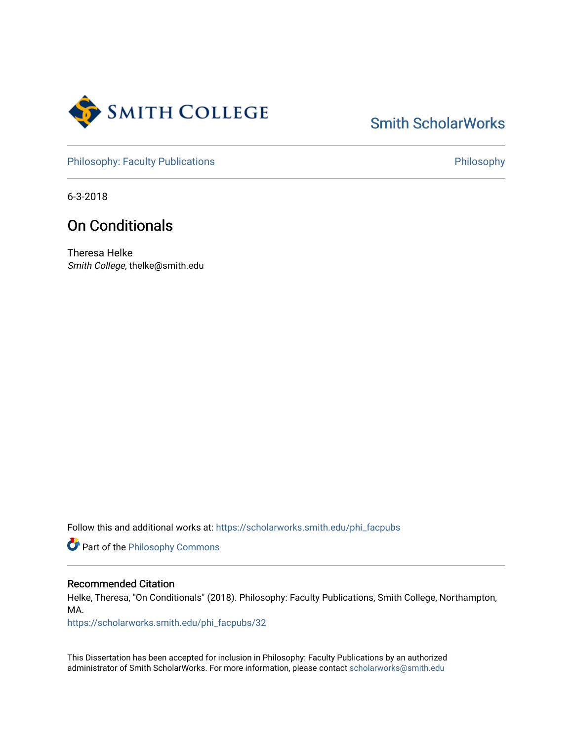

# [Smith ScholarWorks](https://scholarworks.smith.edu/)

[Philosophy: Faculty Publications](https://scholarworks.smith.edu/phi_facpubs) **Philosophy** 

6-3-2018

## On Conditionals

Theresa Helke Smith College, thelke@smith.edu

Follow this and additional works at: [https://scholarworks.smith.edu/phi\\_facpubs](https://scholarworks.smith.edu/phi_facpubs?utm_source=scholarworks.smith.edu%2Fphi_facpubs%2F32&utm_medium=PDF&utm_campaign=PDFCoverPages) 

Part of the [Philosophy Commons](http://network.bepress.com/hgg/discipline/525?utm_source=scholarworks.smith.edu%2Fphi_facpubs%2F32&utm_medium=PDF&utm_campaign=PDFCoverPages) 

#### Recommended Citation

Helke, Theresa, "On Conditionals" (2018). Philosophy: Faculty Publications, Smith College, Northampton, MA.

[https://scholarworks.smith.edu/phi\\_facpubs/32](https://scholarworks.smith.edu/phi_facpubs/32?utm_source=scholarworks.smith.edu%2Fphi_facpubs%2F32&utm_medium=PDF&utm_campaign=PDFCoverPages) 

This Dissertation has been accepted for inclusion in Philosophy: Faculty Publications by an authorized administrator of Smith ScholarWorks. For more information, please contact [scholarworks@smith.edu](mailto:scholarworks@smith.edu)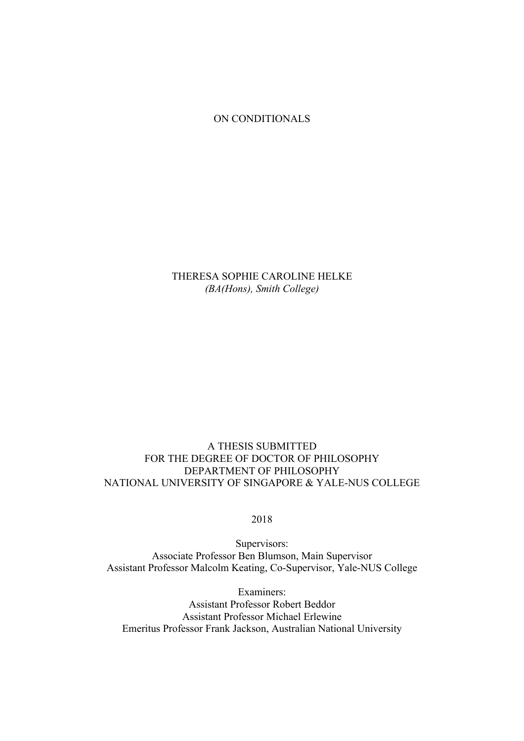ON CONDITIONALS

THERESA SOPHIE CAROLINE HELKE *(BA(Hons), Smith College)*

### A THESIS SUBMITTED FOR THE DEGREE OF DOCTOR OF PHILOSOPHY DEPARTMENT OF PHILOSOPHY NATIONAL UNIVERSITY OF SINGAPORE & YALE-NUS COLLEGE

2018

Supervisors: Associate Professor Ben Blumson, Main Supervisor Assistant Professor Malcolm Keating, Co-Supervisor, Yale-NUS College

Examiners: Assistant Professor Robert Beddor Assistant Professor Michael Erlewine Emeritus Professor Frank Jackson, Australian National University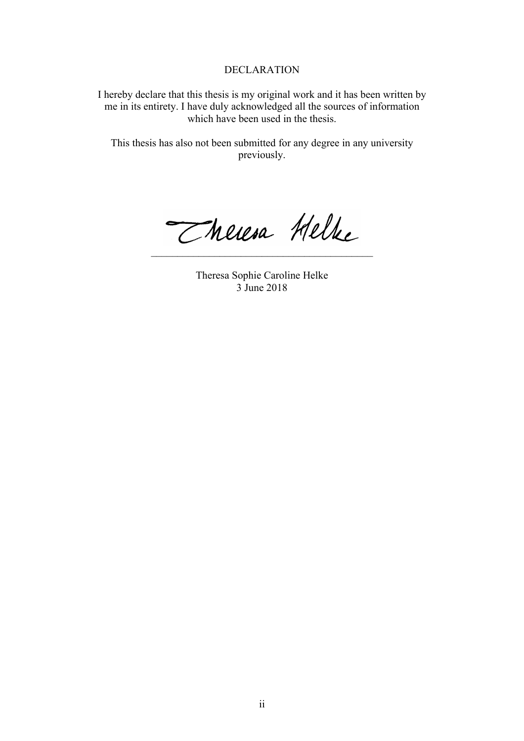#### DECLARATION

I hereby declare that this thesis is my original work and it has been written by me in its entirety. I have duly acknowledged all the sources of information which have been used in the thesis.

This thesis has also not been submitted for any degree in any university previously.

Theresa Helke  $\mathcal{L}_\text{max}$  , where  $\mathcal{L}_\text{max}$  and  $\mathcal{L}_\text{max}$  and  $\mathcal{L}_\text{max}$  and  $\mathcal{L}_\text{max}$ 

Theresa Sophie Caroline Helke 3 June 2018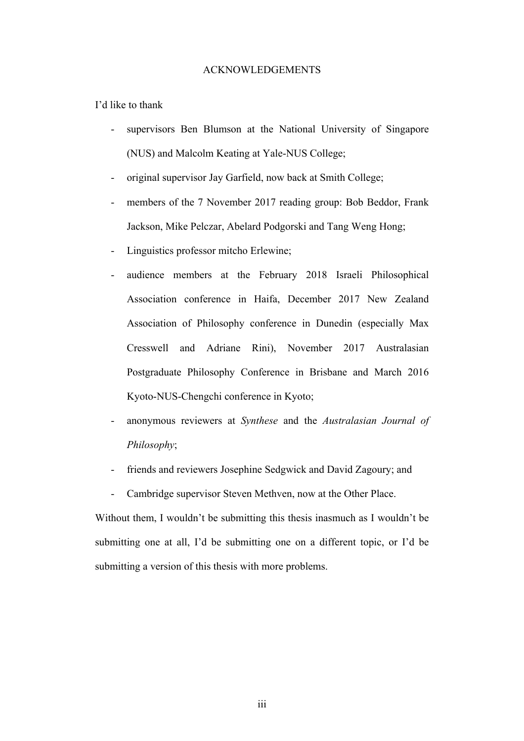#### ACKNOWLEDGEMENTS

I'd like to thank

- supervisors Ben Blumson at the National University of Singapore (NUS) and Malcolm Keating at Yale-NUS College;
- original supervisor Jay Garfield, now back at Smith College;
- members of the 7 November 2017 reading group: Bob Beddor, Frank Jackson, Mike Pelczar, Abelard Podgorski and Tang Weng Hong;
- Linguistics professor mitcho Erlewine;
- audience members at the February 2018 Israeli Philosophical Association conference in Haifa, December 2017 New Zealand Association of Philosophy conference in Dunedin (especially Max Cresswell and Adriane Rini), November 2017 Australasian Postgraduate Philosophy Conference in Brisbane and March 2016 Kyoto-NUS-Chengchi conference in Kyoto;
- anonymous reviewers at *Synthese* and the *Australasian Journal of Philosophy*;
- friends and reviewers Josephine Sedgwick and David Zagoury; and
- Cambridge supervisor Steven Methven, now at the Other Place.

Without them, I wouldn't be submitting this thesis inasmuch as I wouldn't be submitting one at all, I'd be submitting one on a different topic, or I'd be submitting a version of this thesis with more problems.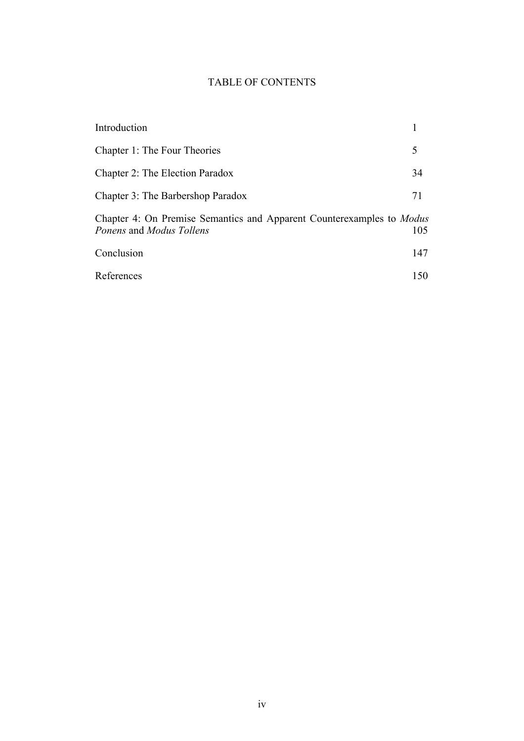## TABLE OF CONTENTS

| Introduction                                                                                             |     |
|----------------------------------------------------------------------------------------------------------|-----|
| Chapter 1: The Four Theories                                                                             | 5   |
| Chapter 2: The Election Paradox                                                                          | 34  |
| Chapter 3: The Barbershop Paradox                                                                        | 71  |
| Chapter 4: On Premise Semantics and Apparent Counterexamples to <i>Modus</i><br>Ponens and Modus Tollens | 105 |
| Conclusion                                                                                               | 147 |
| References                                                                                               | 150 |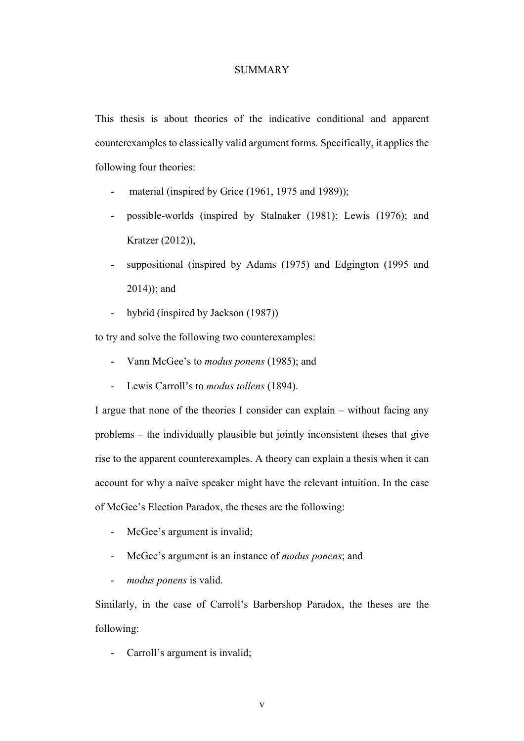#### **SUMMARY**

This thesis is about theories of the indicative conditional and apparent counterexamples to classically valid argument forms. Specifically, it applies the following four theories:

- material (inspired by Grice  $(1961, 1975, and 1989)$ );
- possible-worlds (inspired by Stalnaker (1981); Lewis (1976); and Kratzer (2012)),
- suppositional (inspired by Adams (1975) and Edgington (1995 and 2014)); and
- hybrid (inspired by Jackson (1987))

to try and solve the following two counterexamples:

- Vann McGee's to *modus ponens* (1985); and
- Lewis Carroll's to *modus tollens* (1894).

I argue that none of the theories I consider can explain – without facing any problems – the individually plausible but jointly inconsistent theses that give rise to the apparent counterexamples. A theory can explain a thesis when it can account for why a naïve speaker might have the relevant intuition. In the case of McGee's Election Paradox, the theses are the following:

- McGee's argument is invalid;
- McGee's argument is an instance of *modus ponens*; and
- *modus ponens* is valid.

Similarly, in the case of Carroll's Barbershop Paradox, the theses are the following:

Carroll's argument is invalid;

v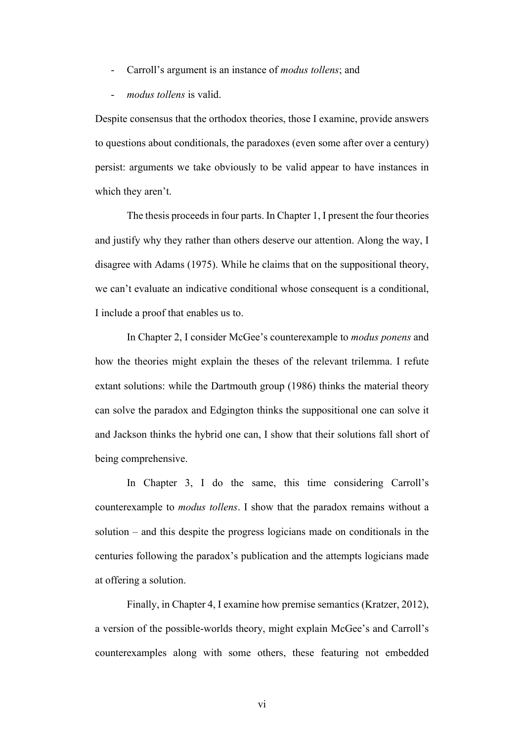- Carroll's argument is an instance of *modus tollens*; and
- *modus tollens* is valid.

Despite consensus that the orthodox theories, those I examine, provide answers to questions about conditionals, the paradoxes (even some after over a century) persist: arguments we take obviously to be valid appear to have instances in which they aren't.

The thesis proceeds in four parts. In Chapter 1, I present the four theories and justify why they rather than others deserve our attention. Along the way, I disagree with Adams (1975). While he claims that on the suppositional theory, we can't evaluate an indicative conditional whose consequent is a conditional, I include a proof that enables us to.

In Chapter 2, I consider McGee's counterexample to *modus ponens* and how the theories might explain the theses of the relevant trilemma. I refute extant solutions: while the Dartmouth group (1986) thinks the material theory can solve the paradox and Edgington thinks the suppositional one can solve it and Jackson thinks the hybrid one can, I show that their solutions fall short of being comprehensive.

In Chapter 3, I do the same, this time considering Carroll's counterexample to *modus tollens*. I show that the paradox remains without a solution – and this despite the progress logicians made on conditionals in the centuries following the paradox's publication and the attempts logicians made at offering a solution.

Finally, in Chapter 4, I examine how premise semantics (Kratzer, 2012), a version of the possible-worlds theory, might explain McGee's and Carroll's counterexamples along with some others, these featuring not embedded

vi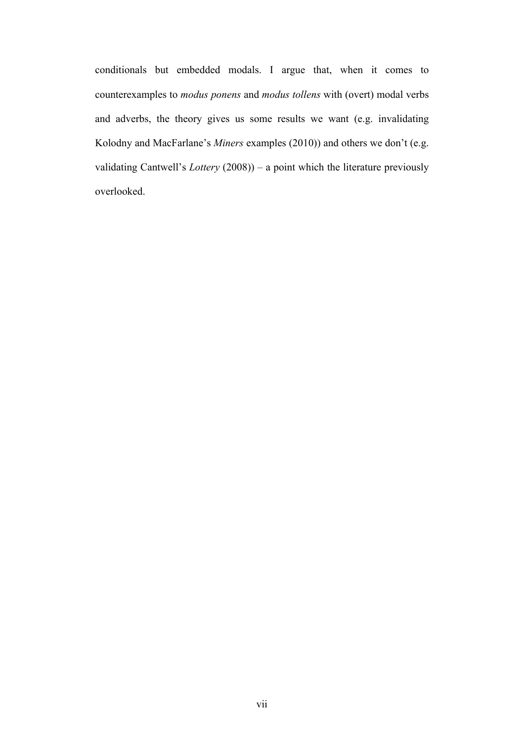conditionals but embedded modals. I argue that, when it comes to counterexamples to *modus ponens* and *modus tollens* with (overt) modal verbs and adverbs, the theory gives us some results we want (e.g. invalidating Kolodny and MacFarlane's *Miners* examples (2010)) and others we don't (e.g. validating Cantwell's *Lottery* (2008)) – a point which the literature previously overlooked.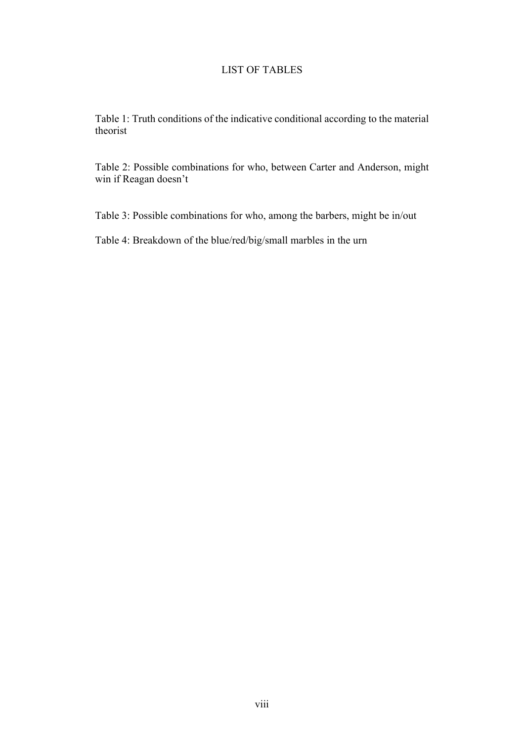#### LIST OF TABLES

Table 1: Truth conditions of the indicative conditional according to the material theorist

Table 2: Possible combinations for who, between Carter and Anderson, might win if Reagan doesn't

Table 3: Possible combinations for who, among the barbers, might be in/out

Table 4: Breakdown of the blue/red/big/small marbles in the urn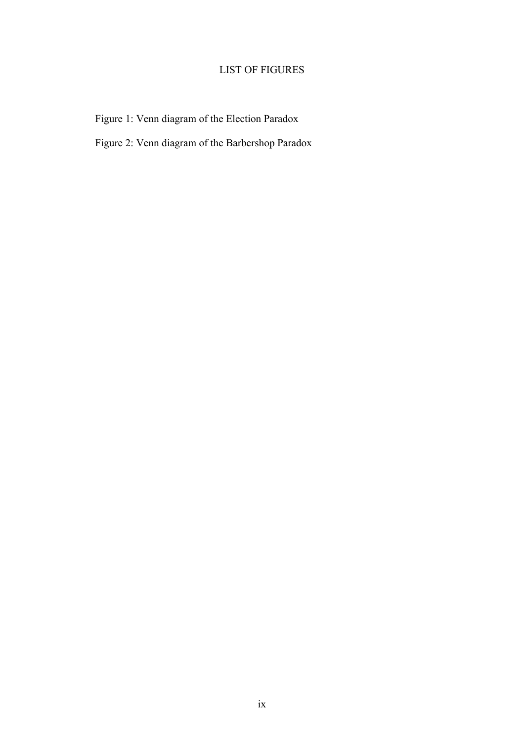## LIST OF FIGURES

Figure 1: Venn diagram of the Election Paradox

Figure 2: Venn diagram of the Barbershop Paradox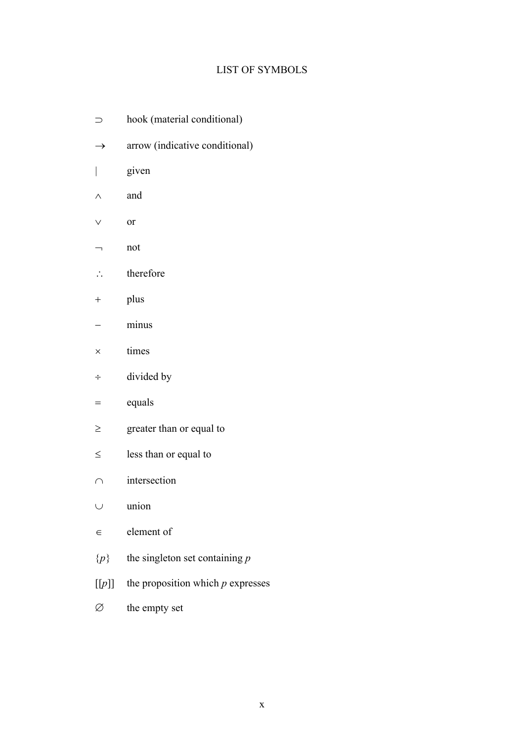## LIST OF SYMBOLS

- $\supset$  hook (material conditional)
- $\rightarrow$  arrow (indicative conditional)
- | given
- $\wedge$  and
- $\vee$  or
- ¬ not
- $\therefore$  therefore
- + plus
- minus
- $\times$  times
- ÷ divided by
- $=$  equals
- $\geq$  greater than or equal to
- $\leq$  less than or equal to
- $\cap$  intersection
- $\cup$  union
- $\epsilon$  element of
- {*p*} the singleton set containing *p*
- [[*p*]] the proposition which *p* expresses
- $\varnothing$  the empty set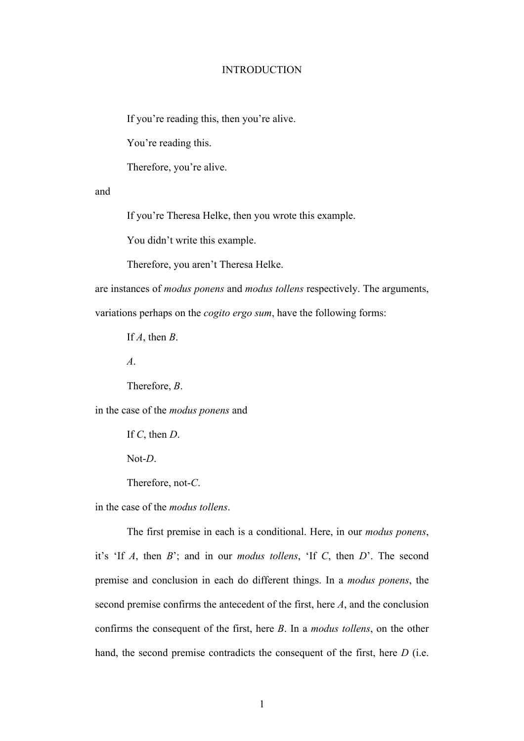#### INTRODUCTION

If you're reading this, then you're alive.

You're reading this.

Therefore, you're alive.

and

If you're Theresa Helke, then you wrote this example.

You didn't write this example.

Therefore, you aren't Theresa Helke.

are instances of *modus ponens* and *modus tollens* respectively. The arguments,

variations perhaps on the *cogito ergo sum*, have the following forms:

If *A*, then *B*.

*A*.

Therefore, *B*.

in the case of the *modus ponens* and

If *C*, then *D*.

Not-*D*.

Therefore, not-*C*.

in the case of the *modus tollens*.

The first premise in each is a conditional. Here, in our *modus ponens*, it's 'If *A*, then *B*'; and in our *modus tollens*, 'If *C*, then *D*'. The second premise and conclusion in each do different things. In a *modus ponens*, the second premise confirms the antecedent of the first, here *A*, and the conclusion confirms the consequent of the first, here *B*. In a *modus tollens*, on the other hand, the second premise contradicts the consequent of the first, here *D* (i.e.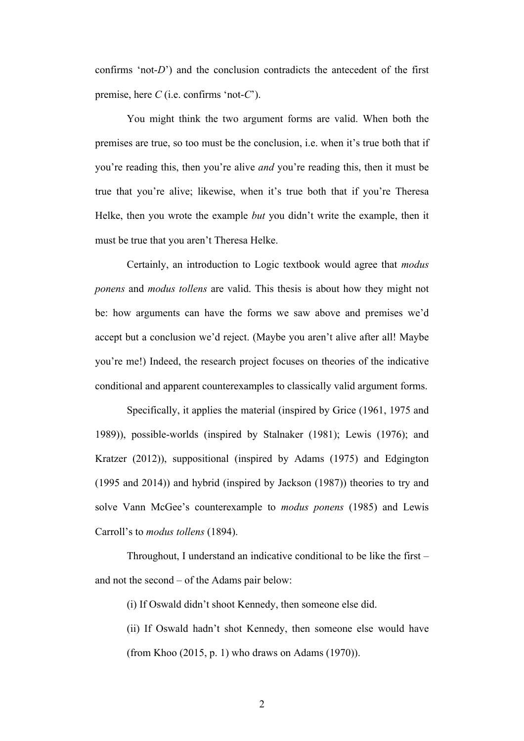confirms 'not-*D*') and the conclusion contradicts the antecedent of the first premise, here *C* (i.e. confirms 'not-*C*').

You might think the two argument forms are valid. When both the premises are true, so too must be the conclusion, i.e. when it's true both that if you're reading this, then you're alive *and* you're reading this, then it must be true that you're alive; likewise, when it's true both that if you're Theresa Helke, then you wrote the example *but* you didn't write the example, then it must be true that you aren't Theresa Helke.

Certainly, an introduction to Logic textbook would agree that *modus ponens* and *modus tollens* are valid. This thesis is about how they might not be: how arguments can have the forms we saw above and premises we'd accept but a conclusion we'd reject. (Maybe you aren't alive after all! Maybe you're me!) Indeed, the research project focuses on theories of the indicative conditional and apparent counterexamples to classically valid argument forms.

Specifically, it applies the material (inspired by Grice (1961, 1975 and 1989)), possible-worlds (inspired by Stalnaker (1981); Lewis (1976); and Kratzer (2012)), suppositional (inspired by Adams (1975) and Edgington (1995 and 2014)) and hybrid (inspired by Jackson (1987)) theories to try and solve Vann McGee's counterexample to *modus ponens* (1985) and Lewis Carroll's to *modus tollens* (1894).

Throughout, I understand an indicative conditional to be like the first – and not the second – of the Adams pair below:

(i) If Oswald didn't shoot Kennedy, then someone else did.

(ii) If Oswald hadn't shot Kennedy, then someone else would have (from Khoo (2015, p. 1) who draws on Adams (1970)).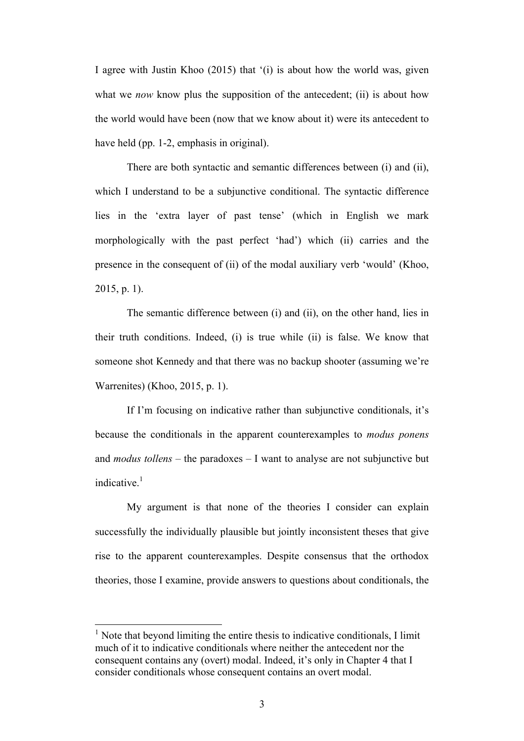I agree with Justin Khoo (2015) that '(i) is about how the world was, given what we *now* know plus the supposition of the antecedent; (ii) is about how the world would have been (now that we know about it) were its antecedent to have held (pp. 1-2, emphasis in original).

There are both syntactic and semantic differences between (i) and (ii), which I understand to be a subjunctive conditional. The syntactic difference lies in the 'extra layer of past tense' (which in English we mark morphologically with the past perfect 'had') which (ii) carries and the presence in the consequent of (ii) of the modal auxiliary verb 'would' (Khoo, 2015, p. 1).

The semantic difference between (i) and (ii), on the other hand, lies in their truth conditions. Indeed, (i) is true while (ii) is false. We know that someone shot Kennedy and that there was no backup shooter (assuming we're Warrenites) (Khoo, 2015, p. 1).

If I'm focusing on indicative rather than subjunctive conditionals, it's because the conditionals in the apparent counterexamples to *modus ponens* and *modus tollens* – the paradoxes – I want to analyse are not subjunctive but indicative $1$ 

My argument is that none of the theories I consider can explain successfully the individually plausible but jointly inconsistent theses that give rise to the apparent counterexamples. Despite consensus that the orthodox theories, those I examine, provide answers to questions about conditionals, the

 $<sup>1</sup>$  Note that beyond limiting the entire thesis to indicative conditionals, I limit</sup> much of it to indicative conditionals where neither the antecedent nor the consequent contains any (overt) modal. Indeed, it's only in Chapter 4 that I consider conditionals whose consequent contains an overt modal.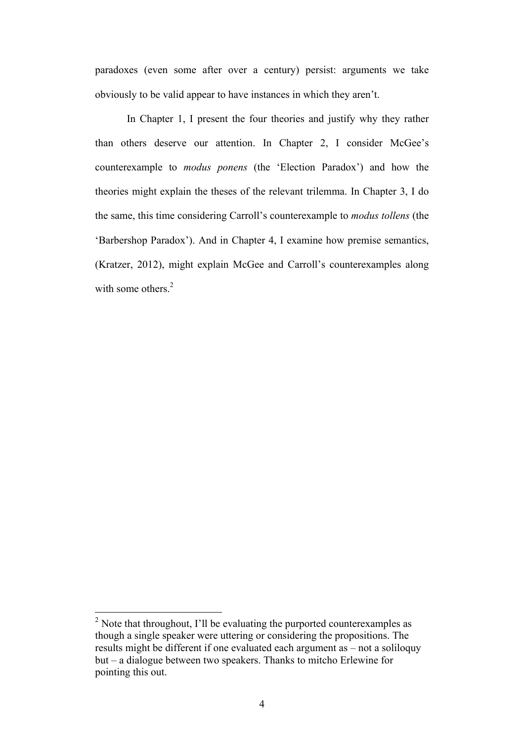paradoxes (even some after over a century) persist: arguments we take obviously to be valid appear to have instances in which they aren't.

In Chapter 1, I present the four theories and justify why they rather than others deserve our attention. In Chapter 2, I consider McGee's counterexample to *modus ponens* (the 'Election Paradox') and how the theories might explain the theses of the relevant trilemma. In Chapter 3, I do the same, this time considering Carroll's counterexample to *modus tollens* (the 'Barbershop Paradox'). And in Chapter 4, I examine how premise semantics, (Kratzer, 2012), might explain McGee and Carroll's counterexamples along with some others.<sup>2</sup>

 $2^2$  Note that throughout, I'll be evaluating the purported counterexamples as though a single speaker were uttering or considering the propositions. The results might be different if one evaluated each argument as – not a soliloquy but – a dialogue between two speakers. Thanks to mitcho Erlewine for pointing this out.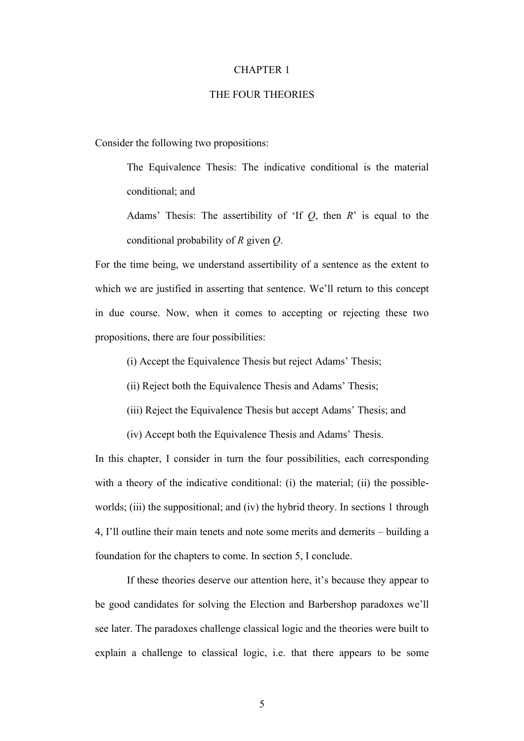#### CHAPTER 1

#### THE FOUR THEORIES

Consider the following two propositions:

The Equivalence Thesis: The indicative conditional is the material conditional; and

Adams' Thesis: The assertibility of 'If *Q*, then *R*' is equal to the conditional probability of *R* given *Q*.

For the time being, we understand assertibility of a sentence as the extent to which we are justified in asserting that sentence. We'll return to this concept in due course. Now, when it comes to accepting or rejecting these two propositions, there are four possibilities:

(i) Accept the Equivalence Thesis but reject Adams' Thesis;

(ii) Reject both the Equivalence Thesis and Adams' Thesis;

(iii) Reject the Equivalence Thesis but accept Adams' Thesis; and

(iv) Accept both the Equivalence Thesis and Adams' Thesis.

In this chapter, I consider in turn the four possibilities, each corresponding with a theory of the indicative conditional: (i) the material; (ii) the possibleworlds; (iii) the suppositional; and (iv) the hybrid theory. In sections 1 through 4, I'll outline their main tenets and note some merits and demerits – building a foundation for the chapters to come. In section 5, I conclude.

If these theories deserve our attention here, it's because they appear to be good candidates for solving the Election and Barbershop paradoxes we'll see later. The paradoxes challenge classical logic and the theories were built to explain a challenge to classical logic, i.e. that there appears to be some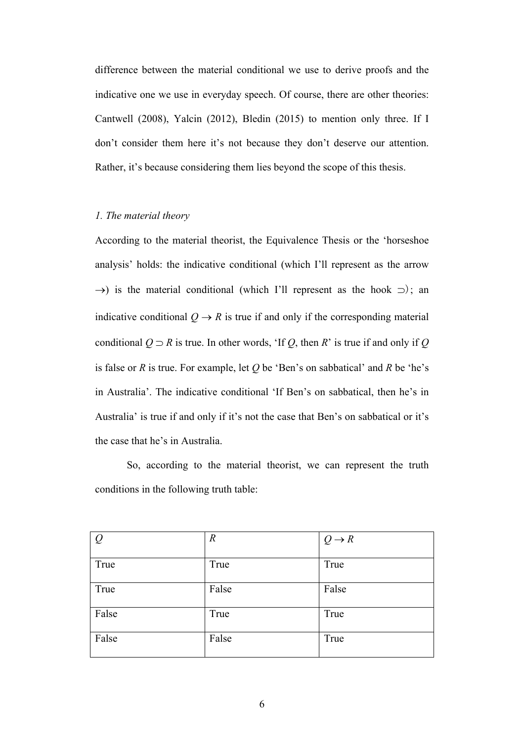difference between the material conditional we use to derive proofs and the indicative one we use in everyday speech. Of course, there are other theories: Cantwell (2008), Yalcin (2012), Bledin (2015) to mention only three. If I don't consider them here it's not because they don't deserve our attention. Rather, it's because considering them lies beyond the scope of this thesis.

#### *1. The material theory*

According to the material theorist, the Equivalence Thesis or the 'horseshoe analysis' holds: the indicative conditional (which I'll represent as the arrow  $\rightarrow$ ) is the material conditional (which I'll represent as the hook  $\supset$ ); an indicative conditional  $Q \rightarrow R$  is true if and only if the corresponding material conditional  $Q \supset R$  is true. In other words, 'If  $Q$ , then  $R$ ' is true if and only if  $Q$ is false or *R* is true. For example, let *Q* be 'Ben's on sabbatical' and *R* be 'he's in Australia'. The indicative conditional 'If Ben's on sabbatical, then he's in Australia' is true if and only if it's not the case that Ben's on sabbatical or it's the case that he's in Australia.

So, according to the material theorist, we can represent the truth conditions in the following truth table:

| $\overline{Q}$ | $\boldsymbol{R}$ | $Q \rightarrow R$ |
|----------------|------------------|-------------------|
| True           | True             | True              |
| True           | False            | False             |
| False          | True             | True              |
| False          | False            | True              |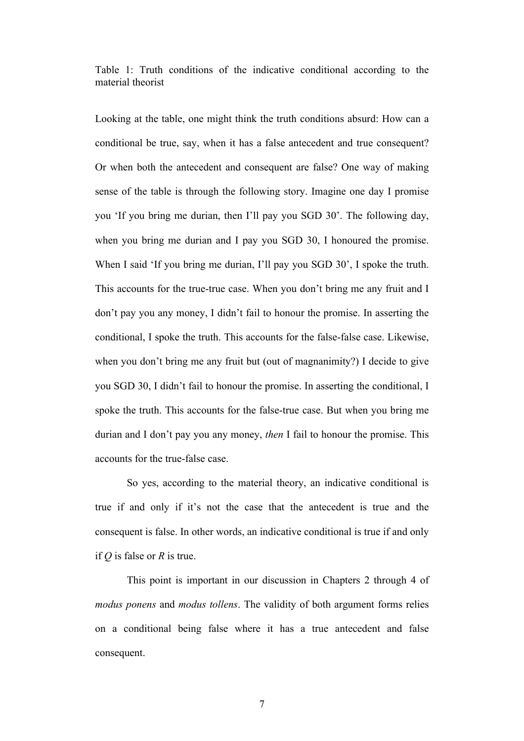Table 1: Truth conditions of the indicative conditional according to the material theorist

Looking at the table, one might think the truth conditions absurd: How can a conditional be true, say, when it has a false antecedent and true consequent? Or when both the antecedent and consequent are false? One way of making sense of the table is through the following story. Imagine one day I promise you 'If you bring me durian, then I'll pay you SGD 30'. The following day, when you bring me durian and I pay you SGD 30, I honoured the promise. When I said 'If you bring me durian, I'll pay you SGD 30', I spoke the truth. This accounts for the true-true case. When you don't bring me any fruit and I don't pay you any money, I didn't fail to honour the promise. In asserting the conditional, I spoke the truth. This accounts for the false-false case. Likewise, when you don't bring me any fruit but (out of magnanimity?) I decide to give you SGD 30, I didn't fail to honour the promise. In asserting the conditional, I spoke the truth. This accounts for the false-true case. But when you bring me durian and I don't pay you any money, *then* I fail to honour the promise. This accounts for the true-false case.

So yes, according to the material theory, an indicative conditional is true if and only if it's not the case that the antecedent is true and the consequent is false. In other words, an indicative conditional is true if and only if *Q* is false or *R* is true.

This point is important in our discussion in Chapters 2 through 4 of *modus ponens* and *modus tollens*. The validity of both argument forms relies on a conditional being false where it has a true antecedent and false consequent.

7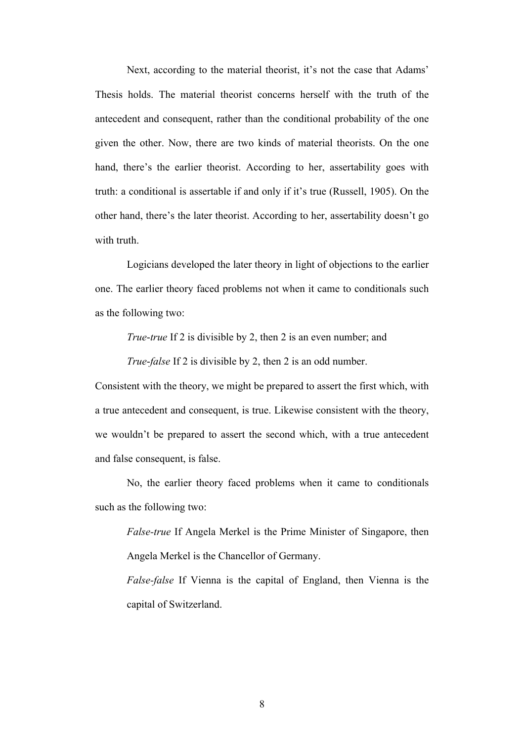Next, according to the material theorist, it's not the case that Adams' Thesis holds. The material theorist concerns herself with the truth of the antecedent and consequent, rather than the conditional probability of the one given the other. Now, there are two kinds of material theorists. On the one hand, there's the earlier theorist. According to her, assertability goes with truth: a conditional is assertable if and only if it's true (Russell, 1905). On the other hand, there's the later theorist. According to her, assertability doesn't go with truth.

Logicians developed the later theory in light of objections to the earlier one. The earlier theory faced problems not when it came to conditionals such as the following two:

*True*-*true* If 2 is divisible by 2, then 2 is an even number; and

*True*-*false* If 2 is divisible by 2, then 2 is an odd number.

Consistent with the theory, we might be prepared to assert the first which, with a true antecedent and consequent, is true. Likewise consistent with the theory, we wouldn't be prepared to assert the second which, with a true antecedent and false consequent, is false.

No, the earlier theory faced problems when it came to conditionals such as the following two:

*False-true* If Angela Merkel is the Prime Minister of Singapore, then Angela Merkel is the Chancellor of Germany.

*False-false* If Vienna is the capital of England, then Vienna is the capital of Switzerland.

8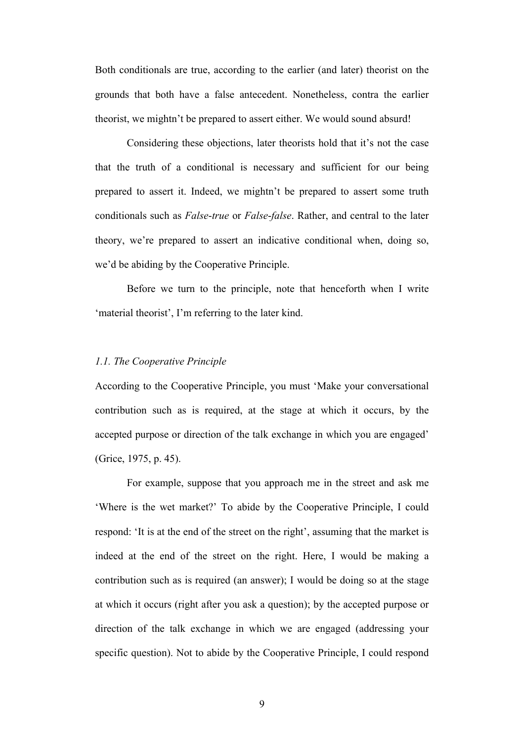Both conditionals are true, according to the earlier (and later) theorist on the grounds that both have a false antecedent. Nonetheless, contra the earlier theorist, we mightn't be prepared to assert either. We would sound absurd!

Considering these objections, later theorists hold that it's not the case that the truth of a conditional is necessary and sufficient for our being prepared to assert it. Indeed, we mightn't be prepared to assert some truth conditionals such as *False*-*true* or *False*-*false*. Rather, and central to the later theory, we're prepared to assert an indicative conditional when, doing so, we'd be abiding by the Cooperative Principle.

Before we turn to the principle, note that henceforth when I write 'material theorist', I'm referring to the later kind.

#### *1.1. The Cooperative Principle*

According to the Cooperative Principle, you must 'Make your conversational contribution such as is required, at the stage at which it occurs, by the accepted purpose or direction of the talk exchange in which you are engaged' (Grice, 1975, p. 45).

For example, suppose that you approach me in the street and ask me 'Where is the wet market?' To abide by the Cooperative Principle, I could respond: 'It is at the end of the street on the right', assuming that the market is indeed at the end of the street on the right. Here, I would be making a contribution such as is required (an answer); I would be doing so at the stage at which it occurs (right after you ask a question); by the accepted purpose or direction of the talk exchange in which we are engaged (addressing your specific question). Not to abide by the Cooperative Principle, I could respond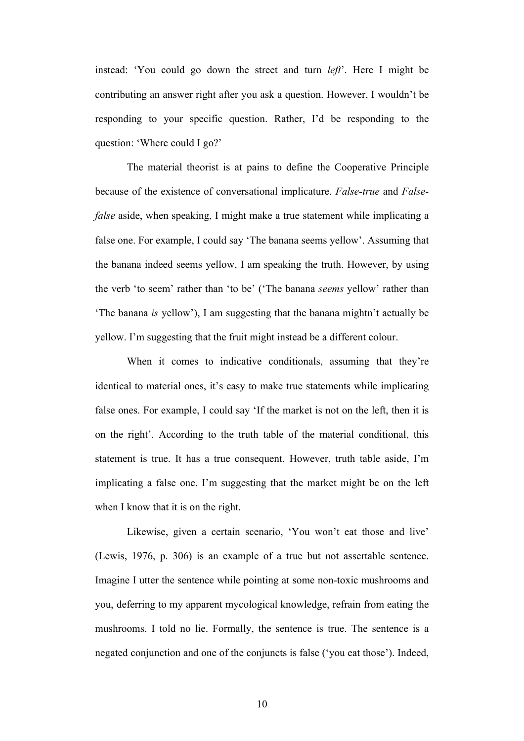instead: 'You could go down the street and turn *left*'. Here I might be contributing an answer right after you ask a question. However, I wouldn't be responding to your specific question. Rather, I'd be responding to the question: 'Where could I go?'

The material theorist is at pains to define the Cooperative Principle because of the existence of conversational implicature. *False-true* and *Falsefalse* aside, when speaking, I might make a true statement while implicating a false one. For example, I could say 'The banana seems yellow'. Assuming that the banana indeed seems yellow, I am speaking the truth. However, by using the verb 'to seem' rather than 'to be' ('The banana *seems* yellow' rather than 'The banana *is* yellow'), I am suggesting that the banana mightn't actually be yellow. I'm suggesting that the fruit might instead be a different colour.

When it comes to indicative conditionals, assuming that they're identical to material ones, it's easy to make true statements while implicating false ones. For example, I could say 'If the market is not on the left, then it is on the right'. According to the truth table of the material conditional, this statement is true. It has a true consequent. However, truth table aside, I'm implicating a false one. I'm suggesting that the market might be on the left when I know that it is on the right.

Likewise, given a certain scenario, 'You won't eat those and live' (Lewis, 1976, p. 306) is an example of a true but not assertable sentence. Imagine I utter the sentence while pointing at some non-toxic mushrooms and you, deferring to my apparent mycological knowledge, refrain from eating the mushrooms. I told no lie. Formally, the sentence is true. The sentence is a negated conjunction and one of the conjuncts is false ('you eat those'). Indeed,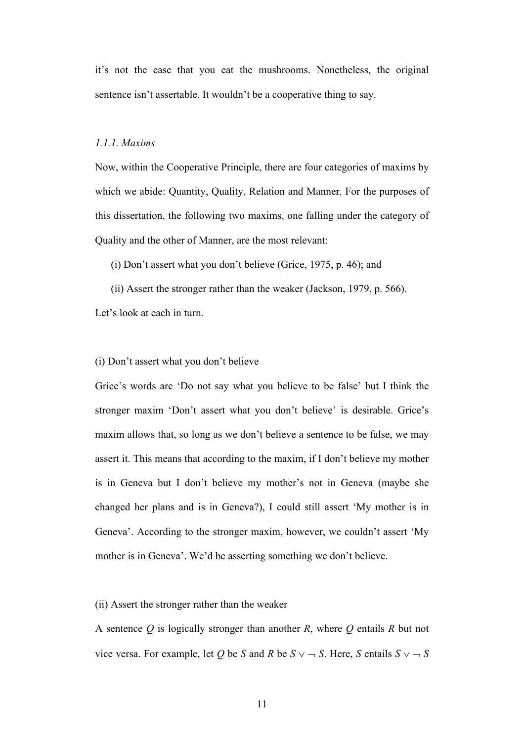it's not the case that you eat the mushrooms. Nonetheless, the original sentence isn't assertable. It wouldn't be a cooperative thing to say.

#### *1.1.1. Maxims*

Now, within the Cooperative Principle, there are four categories of maxims by which we abide: Quantity, Quality, Relation and Manner. For the purposes of this dissertation, the following two maxims, one falling under the category of Quality and the other of Manner, are the most relevant:

(i) Don't assert what you don't believe (Grice, 1975, p. 46); and

(ii) Assert the stronger rather than the weaker (Jackson, 1979, p. 566).

Let's look at each in turn.

#### (i) Don't assert what you don't believe

Grice's words are 'Do not say what you believe to be false' but I think the stronger maxim 'Don't assert what you don't believe' is desirable. Grice's maxim allows that, so long as we don't believe a sentence to be false, we may assert it. This means that according to the maxim, if I don't believe my mother is in Geneva but I don't believe my mother's not in Geneva (maybe she changed her plans and is in Geneva?), I could still assert 'My mother is in Geneva'. According to the stronger maxim, however, we couldn't assert 'My mother is in Geneva'. We'd be asserting something we don't believe.

#### (ii) Assert the stronger rather than the weaker

A sentence *Q* is logically stronger than another *R*, where *Q* entails *R* but not vice versa. For example, let *Q* be *S* and *R* be  $S \vee \neg S$ . Here, *S* entails  $S \vee \neg S$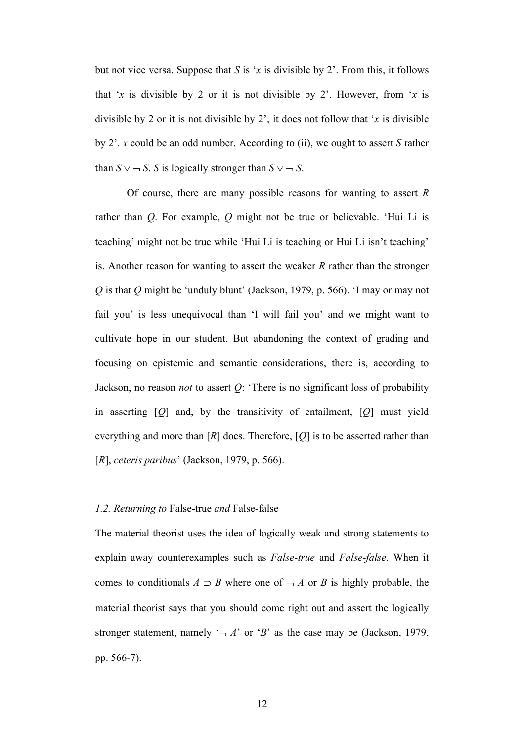but not vice versa. Suppose that *S* is '*x* is divisible by 2'. From this, it follows that '*x* is divisible by 2 or it is not divisible by 2'. However, from '*x* is divisible by 2 or it is not divisible by 2', it does not follow that '*x* is divisible by 2'. *x* could be an odd number. According to (ii), we ought to assert *S* rather than  $S \vee \neg S$ . *S* is logically stronger than  $S \vee \neg S$ .

Of course, there are many possible reasons for wanting to assert *R* rather than *Q*. For example, *Q* might not be true or believable. 'Hui Li is teaching' might not be true while 'Hui Li is teaching or Hui Li isn't teaching' is. Another reason for wanting to assert the weaker *R* rather than the stronger *Q* is that *Q* might be 'unduly blunt' (Jackson, 1979, p. 566). 'I may or may not fail you' is less unequivocal than 'I will fail you' and we might want to cultivate hope in our student. But abandoning the context of grading and focusing on epistemic and semantic considerations, there is, according to Jackson, no reason *not* to assert *Q*: 'There is no significant loss of probability in asserting [*Q*] and, by the transitivity of entailment, [*Q*] must yield everything and more than  $[R]$  does. Therefore,  $[Q]$  is to be asserted rather than [*R*], *ceteris paribus*' (Jackson, 1979, p. 566).

#### *1.2. Returning to* False-true *and* False-false

The material theorist uses the idea of logically weak and strong statements to explain away counterexamples such as *False-true* and *False-false*. When it comes to conditionals  $A \supset B$  where one of  $\neg A$  or *B* is highly probable, the material theorist says that you should come right out and assert the logically stronger statement, namely  $\rightarrow$  *A*' or  $\beta$ ' as the case may be (Jackson, 1979, pp. 566-7).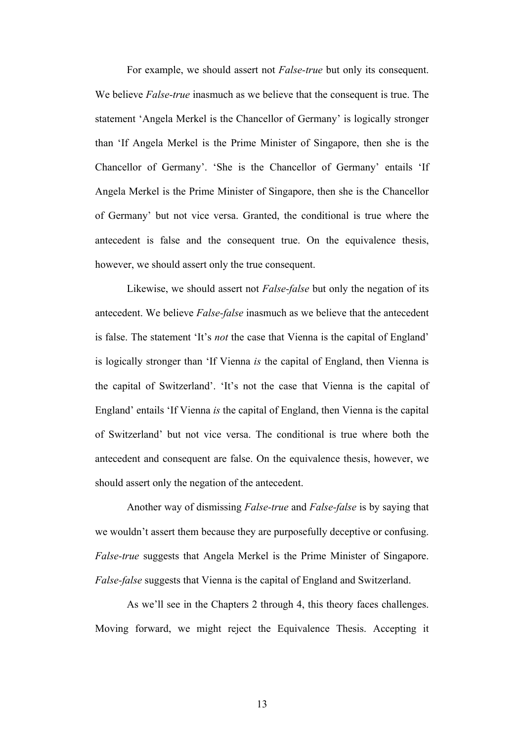For example, we should assert not *False-true* but only its consequent. We believe *False-true* inasmuch as we believe that the consequent is true. The statement 'Angela Merkel is the Chancellor of Germany' is logically stronger than 'If Angela Merkel is the Prime Minister of Singapore, then she is the Chancellor of Germany'. 'She is the Chancellor of Germany' entails 'If Angela Merkel is the Prime Minister of Singapore, then she is the Chancellor of Germany' but not vice versa. Granted, the conditional is true where the antecedent is false and the consequent true. On the equivalence thesis, however, we should assert only the true consequent.

Likewise, we should assert not *False-false* but only the negation of its antecedent. We believe *False-false* inasmuch as we believe that the antecedent is false. The statement 'It's *not* the case that Vienna is the capital of England' is logically stronger than 'If Vienna *is* the capital of England, then Vienna is the capital of Switzerland'. 'It's not the case that Vienna is the capital of England' entails 'If Vienna *is* the capital of England, then Vienna is the capital of Switzerland' but not vice versa. The conditional is true where both the antecedent and consequent are false. On the equivalence thesis, however, we should assert only the negation of the antecedent.

Another way of dismissing *False-true* and *False-false* is by saying that we wouldn't assert them because they are purposefully deceptive or confusing. *False-true* suggests that Angela Merkel is the Prime Minister of Singapore. *False-false* suggests that Vienna is the capital of England and Switzerland.

As we'll see in the Chapters 2 through 4, this theory faces challenges. Moving forward, we might reject the Equivalence Thesis. Accepting it

13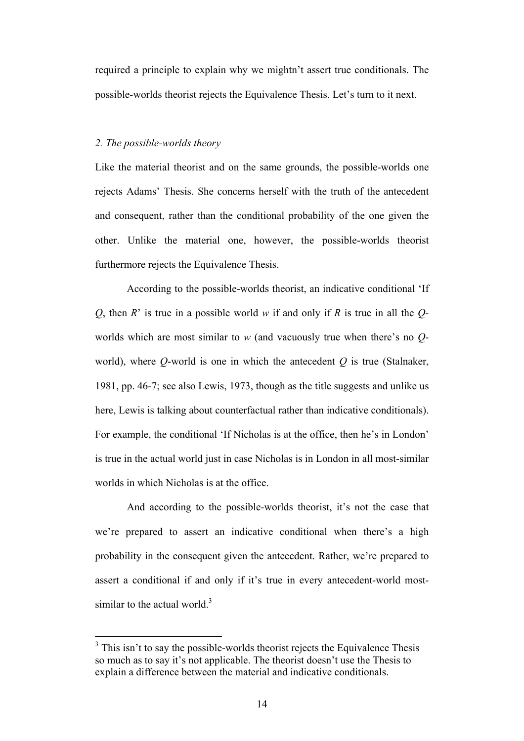required a principle to explain why we mightn't assert true conditionals. The possible-worlds theorist rejects the Equivalence Thesis. Let's turn to it next.

#### *2. The possible-worlds theory*

Like the material theorist and on the same grounds, the possible-worlds one rejects Adams' Thesis. She concerns herself with the truth of the antecedent and consequent, rather than the conditional probability of the one given the other. Unlike the material one, however, the possible-worlds theorist furthermore rejects the Equivalence Thesis.

According to the possible-worlds theorist, an indicative conditional 'If *Q*, then *R*' is true in a possible world *w* if and only if *R* is true in all the *Q*worlds which are most similar to *w* (and vacuously true when there's no *Q*world), where *Q*-world is one in which the antecedent *Q* is true (Stalnaker, 1981, pp. 46-7; see also Lewis, 1973, though as the title suggests and unlike us here, Lewis is talking about counterfactual rather than indicative conditionals). For example, the conditional 'If Nicholas is at the office, then he's in London' is true in the actual world just in case Nicholas is in London in all most-similar worlds in which Nicholas is at the office.

And according to the possible-worlds theorist, it's not the case that we're prepared to assert an indicative conditional when there's a high probability in the consequent given the antecedent. Rather, we're prepared to assert a conditional if and only if it's true in every antecedent-world mostsimilar to the actual world. $3$ 

 $3$  This isn't to say the possible-worlds theorist rejects the Equivalence Thesis so much as to say it's not applicable. The theorist doesn't use the Thesis to explain a difference between the material and indicative conditionals.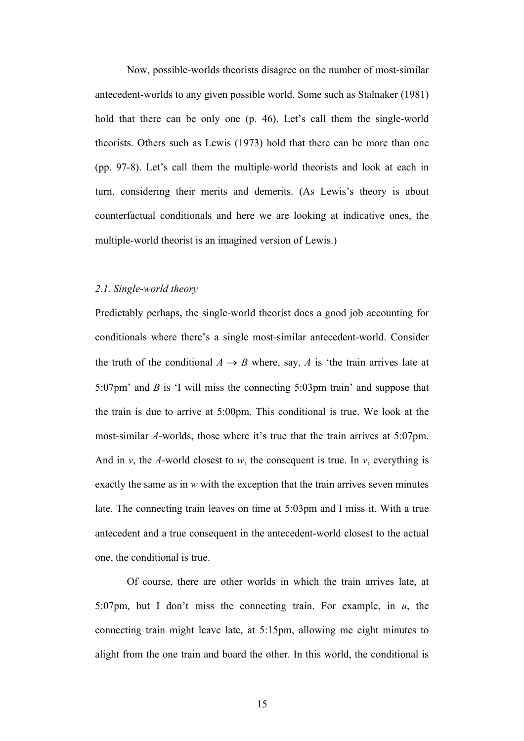Now, possible-worlds theorists disagree on the number of most-similar antecedent-worlds to any given possible world. Some such as Stalnaker (1981) hold that there can be only one (p. 46). Let's call them the single-world theorists. Others such as Lewis (1973) hold that there can be more than one (pp. 97-8). Let's call them the multiple-world theorists and look at each in turn, considering their merits and demerits. (As Lewis's theory is about counterfactual conditionals and here we are looking at indicative ones, the multiple-world theorist is an imagined version of Lewis.)

#### *2.1. Single-world theory*

Predictably perhaps, the single-world theorist does a good job accounting for conditionals where there's a single most-similar antecedent-world. Consider the truth of the conditional  $A \rightarrow B$  where, say, *A* is 'the train arrives late at 5:07pm' and *B* is 'I will miss the connecting 5:03pm train' and suppose that the train is due to arrive at 5:00pm. This conditional is true. We look at the most-similar *A*-worlds, those where it's true that the train arrives at 5:07pm. And in  $v$ , the *A*-world closest to  $w$ , the consequent is true. In  $v$ , everything is exactly the same as in *w* with the exception that the train arrives seven minutes late. The connecting train leaves on time at 5:03pm and I miss it. With a true antecedent and a true consequent in the antecedent-world closest to the actual one, the conditional is true.

Of course, there are other worlds in which the train arrives late, at 5:07pm, but I don't miss the connecting train. For example, in *u*, the connecting train might leave late, at 5:15pm, allowing me eight minutes to alight from the one train and board the other. In this world, the conditional is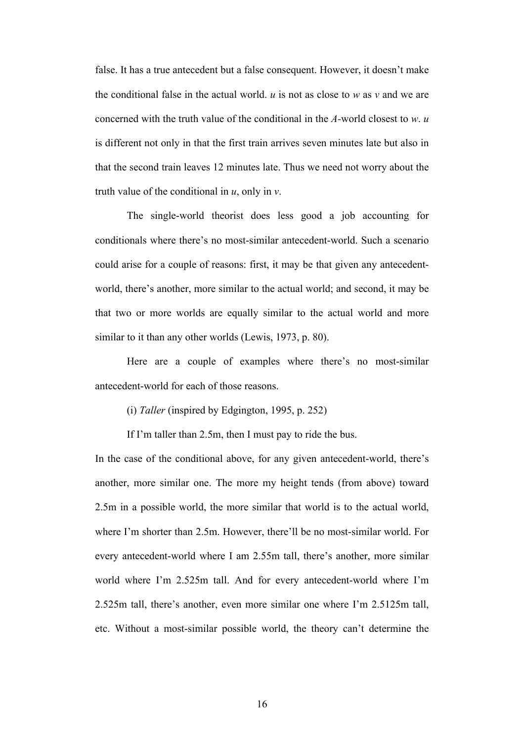false. It has a true antecedent but a false consequent. However, it doesn't make the conditional false in the actual world.  $\mu$  is not as close to  $w$  as  $\nu$  and we are concerned with the truth value of the conditional in the *A-*world closest to *w*. *u* is different not only in that the first train arrives seven minutes late but also in that the second train leaves 12 minutes late. Thus we need not worry about the truth value of the conditional in *u*, only in *v*.

The single-world theorist does less good a job accounting for conditionals where there's no most-similar antecedent-world. Such a scenario could arise for a couple of reasons: first, it may be that given any antecedentworld, there's another, more similar to the actual world; and second, it may be that two or more worlds are equally similar to the actual world and more similar to it than any other worlds (Lewis, 1973, p. 80).

Here are a couple of examples where there's no most-similar antecedent-world for each of those reasons.

(i) *Taller* (inspired by Edgington, 1995, p. 252)

If I'm taller than 2.5m, then I must pay to ride the bus.

In the case of the conditional above, for any given antecedent-world, there's another, more similar one. The more my height tends (from above) toward 2.5m in a possible world, the more similar that world is to the actual world, where I'm shorter than 2.5m. However, there'll be no most-similar world. For every antecedent-world where I am 2.55m tall, there's another, more similar world where I'm 2.525m tall. And for every antecedent-world where I'm 2.525m tall, there's another, even more similar one where I'm 2.5125m tall, etc. Without a most-similar possible world, the theory can't determine the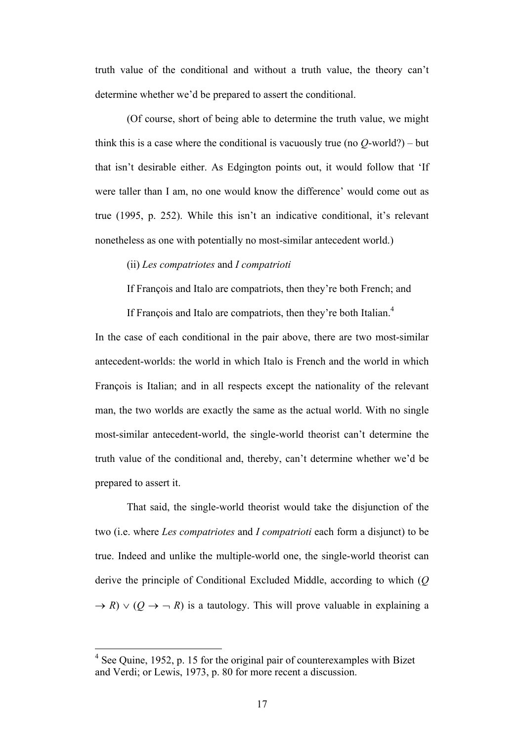truth value of the conditional and without a truth value, the theory can't determine whether we'd be prepared to assert the conditional.

(Of course, short of being able to determine the truth value, we might think this is a case where the conditional is vacuously true (no *Q*-world?) – but that isn't desirable either. As Edgington points out, it would follow that 'If were taller than I am, no one would know the difference' would come out as true (1995, p. 252). While this isn't an indicative conditional, it's relevant nonetheless as one with potentially no most-similar antecedent world.)

(ii) *Les compatriotes* and *I compatrioti*

If François and Italo are compatriots, then they're both French; and

If François and Italo are compatriots, then they're both Italian.<sup>4</sup>

In the case of each conditional in the pair above, there are two most-similar antecedent-worlds: the world in which Italo is French and the world in which François is Italian; and in all respects except the nationality of the relevant man, the two worlds are exactly the same as the actual world. With no single most-similar antecedent-world, the single-world theorist can't determine the truth value of the conditional and, thereby, can't determine whether we'd be prepared to assert it.

That said, the single-world theorist would take the disjunction of the two (i.e. where *Les compatriotes* and *I compatrioti* each form a disjunct) to be true. Indeed and unlike the multiple-world one, the single-world theorist can derive the principle of Conditional Excluded Middle, according to which (*Q*  $\rightarrow$  *R*)  $\vee$  (*Q*  $\rightarrow$   $\rightarrow$  *R*) is a tautology. This will prove valuable in explaining a

 <sup>4</sup> See Quine, 1952, p. 15 for the original pair of counterexamples with Bizet and Verdi; or Lewis, 1973, p. 80 for more recent a discussion.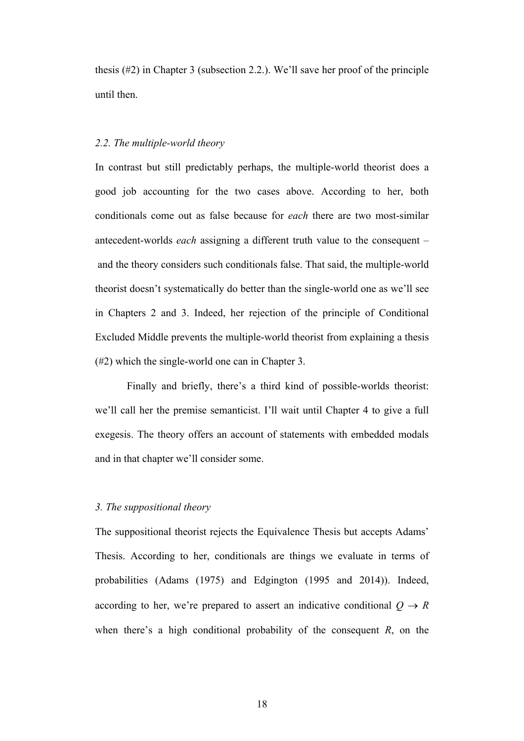thesis (#2) in Chapter 3 (subsection 2.2.). We'll save her proof of the principle until then.

#### *2.2. The multiple-world theory*

In contrast but still predictably perhaps, the multiple-world theorist does a good job accounting for the two cases above. According to her, both conditionals come out as false because for *each* there are two most-similar antecedent-worlds *each* assigning a different truth value to the consequent – and the theory considers such conditionals false. That said, the multiple-world theorist doesn't systematically do better than the single-world one as we'll see in Chapters 2 and 3. Indeed, her rejection of the principle of Conditional Excluded Middle prevents the multiple-world theorist from explaining a thesis (#2) which the single-world one can in Chapter 3.

Finally and briefly, there's a third kind of possible-worlds theorist: we'll call her the premise semanticist. I'll wait until Chapter 4 to give a full exegesis. The theory offers an account of statements with embedded modals and in that chapter we'll consider some.

#### *3. The suppositional theory*

The suppositional theorist rejects the Equivalence Thesis but accepts Adams' Thesis. According to her, conditionals are things we evaluate in terms of probabilities (Adams (1975) and Edgington (1995 and 2014)). Indeed, according to her, we're prepared to assert an indicative conditional  $Q \rightarrow R$ when there's a high conditional probability of the consequent *R*, on the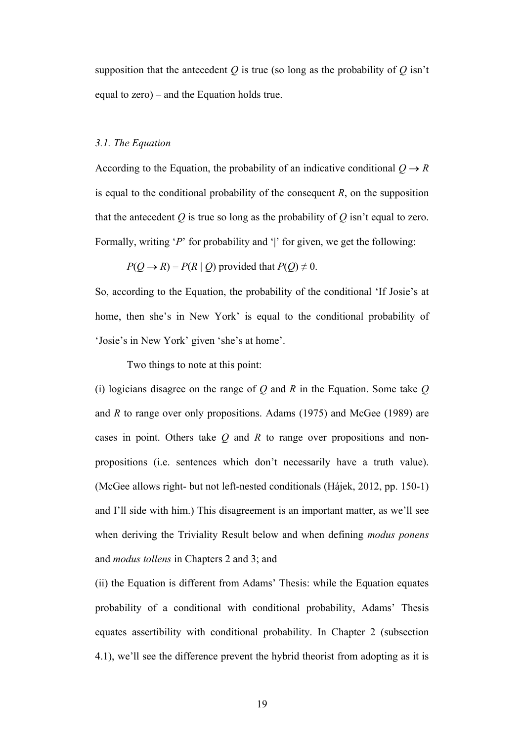supposition that the antecedent  $Q$  is true (so long as the probability of  $Q$  isn't equal to zero) – and the Equation holds true.

#### *3.1. The Equation*

According to the Equation, the probability of an indicative conditional  $Q \rightarrow R$ is equal to the conditional probability of the consequent *R*, on the supposition that the antecedent  $Q$  is true so long as the probability of  $Q$  isn't equal to zero. Formally, writing '*P*' for probability and '|' for given, we get the following:

$$
P(Q \rightarrow R) = P(R | Q)
$$
 provided that  $P(Q) \neq 0$ .

So, according to the Equation, the probability of the conditional 'If Josie's at home, then she's in New York' is equal to the conditional probability of 'Josie's in New York' given 'she's at home'.

Two things to note at this point:

(i) logicians disagree on the range of *Q* and *R* in the Equation. Some take *Q* and *R* to range over only propositions. Adams (1975) and McGee (1989) are cases in point. Others take *Q* and *R* to range over propositions and nonpropositions (i.e. sentences which don't necessarily have a truth value). (McGee allows right- but not left-nested conditionals (Hájek, 2012, pp. 150-1) and I'll side with him.) This disagreement is an important matter, as we'll see when deriving the Triviality Result below and when defining *modus ponens* and *modus tollens* in Chapters 2 and 3; and

(ii) the Equation is different from Adams' Thesis: while the Equation equates probability of a conditional with conditional probability, Adams' Thesis equates assertibility with conditional probability. In Chapter 2 (subsection 4.1), we'll see the difference prevent the hybrid theorist from adopting as it is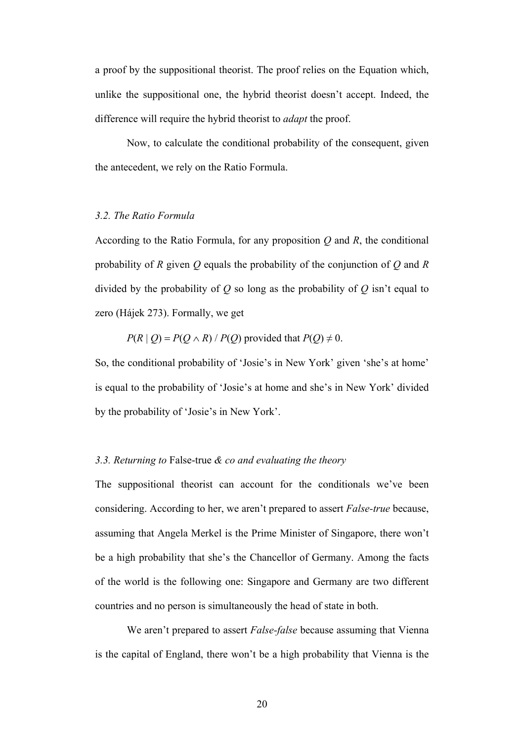a proof by the suppositional theorist. The proof relies on the Equation which, unlike the suppositional one, the hybrid theorist doesn't accept. Indeed, the difference will require the hybrid theorist to *adapt* the proof.

Now, to calculate the conditional probability of the consequent, given the antecedent, we rely on the Ratio Formula.

#### *3.2. The Ratio Formula*

According to the Ratio Formula, for any proposition *Q* and *R*, the conditional probability of *R* given *Q* equals the probability of the conjunction of *Q* and *R* divided by the probability of *Q* so long as the probability of *Q* isn't equal to zero (Hájek 273). Formally, we get

 $P(R | Q) = P(Q \wedge R) / P(Q)$  provided that  $P(Q) \neq 0$ .

So, the conditional probability of 'Josie's in New York' given 'she's at home' is equal to the probability of 'Josie's at home and she's in New York' divided by the probability of 'Josie's in New York'.

#### *3.3. Returning to* False-true *& co and evaluating the theory*

The suppositional theorist can account for the conditionals we've been considering. According to her, we aren't prepared to assert *False-true* because, assuming that Angela Merkel is the Prime Minister of Singapore, there won't be a high probability that she's the Chancellor of Germany. Among the facts of the world is the following one: Singapore and Germany are two different countries and no person is simultaneously the head of state in both.

We aren't prepared to assert *False-false* because assuming that Vienna is the capital of England, there won't be a high probability that Vienna is the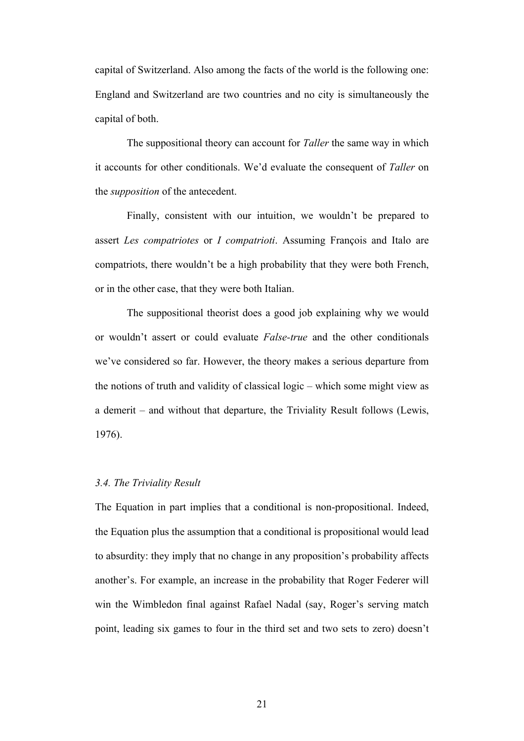capital of Switzerland. Also among the facts of the world is the following one: England and Switzerland are two countries and no city is simultaneously the capital of both.

The suppositional theory can account for *Taller* the same way in which it accounts for other conditionals. We'd evaluate the consequent of *Taller* on the *supposition* of the antecedent.

Finally, consistent with our intuition, we wouldn't be prepared to assert *Les compatriotes* or *I compatrioti*. Assuming François and Italo are compatriots, there wouldn't be a high probability that they were both French, or in the other case, that they were both Italian.

The suppositional theorist does a good job explaining why we would or wouldn't assert or could evaluate *False-true* and the other conditionals we've considered so far. However, the theory makes a serious departure from the notions of truth and validity of classical logic – which some might view as a demerit – and without that departure, the Triviality Result follows (Lewis, 1976).

#### *3.4. The Triviality Result*

The Equation in part implies that a conditional is non-propositional. Indeed, the Equation plus the assumption that a conditional is propositional would lead to absurdity: they imply that no change in any proposition's probability affects another's. For example, an increase in the probability that Roger Federer will win the Wimbledon final against Rafael Nadal (say, Roger's serving match point, leading six games to four in the third set and two sets to zero) doesn't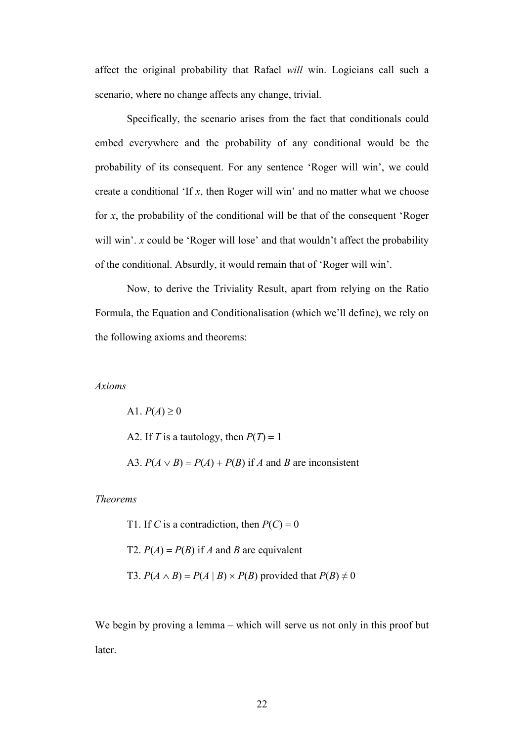affect the original probability that Rafael *will* win. Logicians call such a scenario, where no change affects any change, trivial.

Specifically, the scenario arises from the fact that conditionals could embed everywhere and the probability of any conditional would be the probability of its consequent. For any sentence 'Roger will win', we could create a conditional 'If *x*, then Roger will win' and no matter what we choose for *x*, the probability of the conditional will be that of the consequent 'Roger will win'. *x* could be 'Roger will lose' and that wouldn't affect the probability of the conditional. Absurdly, it would remain that of 'Roger will win'.

Now, to derive the Triviality Result, apart from relying on the Ratio Formula, the Equation and Conditionalisation (which we'll define), we rely on the following axioms and theorems:

#### *Axioms*

 $A1. P(A) \ge 0$ A2. If *T* is a tautology, then  $P(T) = 1$ A3.  $P(A \vee B) = P(A) + P(B)$  if *A* and *B* are inconsistent

#### *Theorems*

T1. If *C* is a contradiction, then  $P(C) = 0$ T2.  $P(A) = P(B)$  if *A* and *B* are equivalent

T3.  $P(A \wedge B) = P(A \mid B) \times P(B)$  provided that  $P(B) \neq 0$ 

We begin by proving a lemma – which will serve us not only in this proof but later.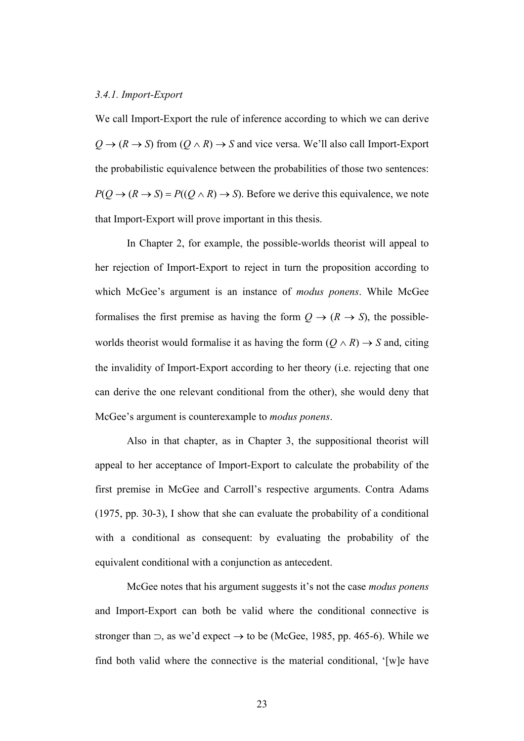#### *3.4.1. Import-Export*

We call Import-Export the rule of inference according to which we can derive  $Q \rightarrow (R \rightarrow S)$  from  $(Q \land R) \rightarrow S$  and vice versa. We'll also call Import-Export the probabilistic equivalence between the probabilities of those two sentences:  $P(Q \to (R \to S) = P((Q \land R) \to S)$ . Before we derive this equivalence, we note that Import-Export will prove important in this thesis.

In Chapter 2, for example, the possible-worlds theorist will appeal to her rejection of Import-Export to reject in turn the proposition according to which McGee's argument is an instance of *modus ponens*. While McGee formalises the first premise as having the form  $Q \rightarrow (R \rightarrow S)$ , the possibleworlds theorist would formalise it as having the form  $(Q \wedge R) \rightarrow S$  and, citing the invalidity of Import-Export according to her theory (i.e. rejecting that one can derive the one relevant conditional from the other), she would deny that McGee's argument is counterexample to *modus ponens*.

Also in that chapter, as in Chapter 3, the suppositional theorist will appeal to her acceptance of Import-Export to calculate the probability of the first premise in McGee and Carroll's respective arguments. Contra Adams (1975, pp. 30-3), I show that she can evaluate the probability of a conditional with a conditional as consequent: by evaluating the probability of the equivalent conditional with a conjunction as antecedent.

McGee notes that his argument suggests it's not the case *modus ponens* and Import-Export can both be valid where the conditional connective is stronger than  $\supset$ , as we'd expect  $\rightarrow$  to be (McGee, 1985, pp. 465-6). While we find both valid where the connective is the material conditional, '[w]e have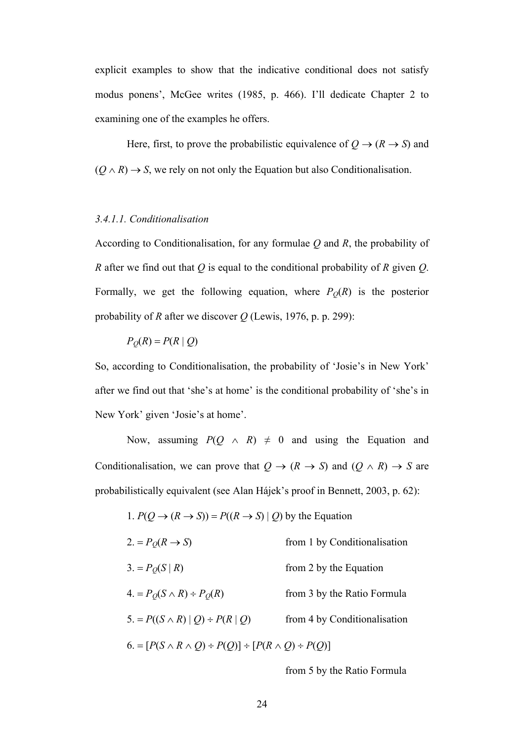explicit examples to show that the indicative conditional does not satisfy modus ponens', McGee writes (1985, p. 466). I'll dedicate Chapter 2 to examining one of the examples he offers.

Here, first, to prove the probabilistic equivalence of  $Q \rightarrow (R \rightarrow S)$  and  $(Q \wedge R) \rightarrow S$ , we rely on not only the Equation but also Conditionalisation.

#### *3.4.1.1. Conditionalisation*

According to Conditionalisation, for any formulae *Q* and *R*, the probability of *R* after we find out that *Q* is equal to the conditional probability of *R* given *Q*. Formally, we get the following equation, where  $P_Q(R)$  is the posterior probability of *R* after we discover *Q* (Lewis, 1976, p. p. 299):

$$
P_Q(R) = P(R | Q)
$$

So, according to Conditionalisation, the probability of 'Josie's in New York' after we find out that 'she's at home' is the conditional probability of 'she's in New York' given 'Josie's at home'.

Now, assuming  $P(Q \land R) \neq 0$  and using the Equation and Conditionalisation, we can prove that  $Q \rightarrow (R \rightarrow S)$  and  $(Q \land R) \rightarrow S$  are probabilistically equivalent (see Alan Hájek's proof in Bennett, 2003, p. 62):

1. 
$$
P(Q \to (R \to S)) = P((R \to S) | Q)
$$
 by the Equation

| $2 = P_O(R \rightarrow S)$                                            | from 1 by Conditionalisation |  |
|-----------------------------------------------------------------------|------------------------------|--|
| $3. = P_O(S   R)$                                                     | from 2 by the Equation       |  |
| $4. = P_O(S \wedge R) \div P_O(R)$                                    | from 3 by the Ratio Formula  |  |
| $5. = P((S \wedge R)   Q) \div P(R   Q)$                              | from 4 by Conditionalisation |  |
| $6. = [P(S \land R \land Q) \div P(Q)] \div [P(R \land Q) \div P(Q)]$ |                              |  |

from 5 by the Ratio Formula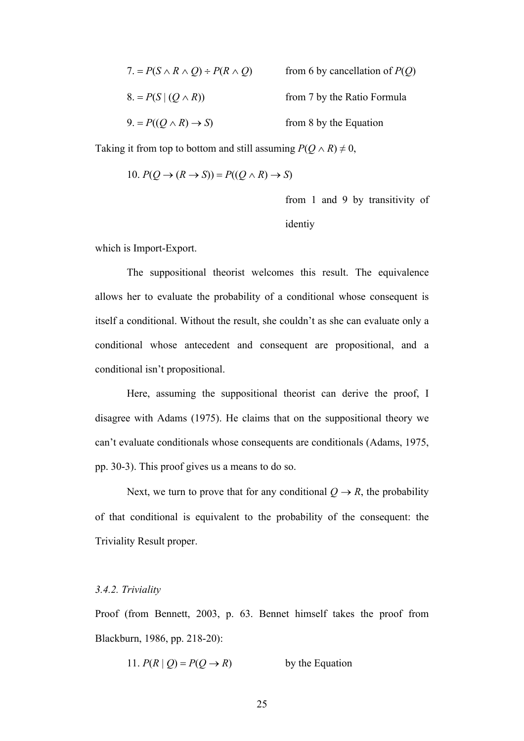| $7. = P(S \wedge R \wedge Q) \div P(R \wedge Q)$ | from 6 by cancellation of $P(Q)$ |
|--------------------------------------------------|----------------------------------|
| $8. = P(S   (Q \wedge R))$                       | from 7 by the Ratio Formula      |
| $9. = P((Q \wedge R) \rightarrow S)$             | from 8 by the Equation           |

Taking it from top to bottom and still assuming  $P(Q \wedge R) \neq 0$ ,

10. 
$$
P(Q \to (R \to S)) = P((Q \land R) \to S)
$$

from 1 and 9 by transitivity of identiy

which is Import-Export.

The suppositional theorist welcomes this result. The equivalence allows her to evaluate the probability of a conditional whose consequent is itself a conditional. Without the result, she couldn't as she can evaluate only a conditional whose antecedent and consequent are propositional, and a conditional isn't propositional.

Here, assuming the suppositional theorist can derive the proof, I disagree with Adams (1975). He claims that on the suppositional theory we can't evaluate conditionals whose consequents are conditionals (Adams, 1975, pp. 30-3). This proof gives us a means to do so.

Next, we turn to prove that for any conditional  $Q \rightarrow R$ , the probability of that conditional is equivalent to the probability of the consequent: the Triviality Result proper.

#### *3.4.2. Triviality*

Proof (from Bennett, 2003, p. 63. Bennet himself takes the proof from Blackburn, 1986, pp. 218-20):

11. 
$$
P(R | Q) = P(Q \rightarrow R)
$$
 by the Equation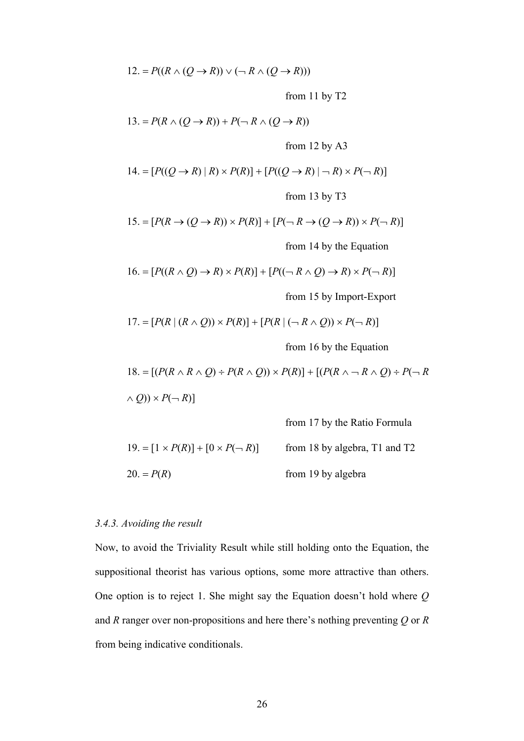$$
12. = P((R \land (Q \to R)) \lor (\neg R \land (Q \to R)))
$$

from 11 by T2

$$
13. = P(R \land (Q \to R)) + P(\neg R \land (Q \to R))
$$

from 12 by A3

14. = 
$$
[P((Q \rightarrow R) | R) \times P(R)] + [P((Q \rightarrow R) | \neg R) \times P(\neg R)]
$$
  
from 13 by T3

15. = 
$$
[P(R \rightarrow (Q \rightarrow R)) \times P(R)] + [P(\neg R \rightarrow (Q \rightarrow R)) \times P(\neg R)]
$$

from 14 by the Equation

$$
16. = [P((R \wedge Q) \rightarrow R) \times P(R)] + [P((\neg R \wedge Q) \rightarrow R) \times P(\neg R)]
$$

from 15 by Import-Export

$$
17. = [P(R | (R \wedge Q)) \times P(R)] + [P(R | (-R \wedge Q)) \times P(\neg R)]
$$

from 16 by the Equation

18. = 
$$
[(P(R \wedge R \wedge Q) \div P(R \wedge Q)) \times P(R)] + [(P(R \wedge \neg R \wedge Q) \div P(\neg R \wedge Q)) \times P(\neg R)]
$$

from 17 by the Ratio Formula  
\n19. = 
$$
[1 \times P(R)] + [0 \times P(\neg R)]
$$
 from 18 by algebra, T1 and T2  
\n20. =  $P(R)$  from 19 by algebra

### *3.4.3. Avoiding the result*

Now, to avoid the Triviality Result while still holding onto the Equation, the suppositional theorist has various options, some more attractive than others. One option is to reject 1. She might say the Equation doesn't hold where *Q* and *R* ranger over non-propositions and here there's nothing preventing *Q* or *R* from being indicative conditionals.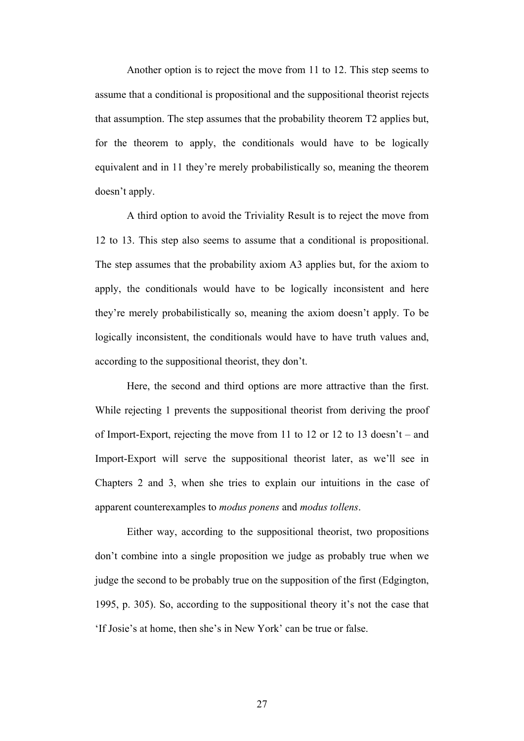Another option is to reject the move from 11 to 12. This step seems to assume that a conditional is propositional and the suppositional theorist rejects that assumption. The step assumes that the probability theorem T2 applies but, for the theorem to apply, the conditionals would have to be logically equivalent and in 11 they're merely probabilistically so, meaning the theorem doesn't apply.

A third option to avoid the Triviality Result is to reject the move from 12 to 13. This step also seems to assume that a conditional is propositional. The step assumes that the probability axiom A3 applies but, for the axiom to apply, the conditionals would have to be logically inconsistent and here they're merely probabilistically so, meaning the axiom doesn't apply. To be logically inconsistent, the conditionals would have to have truth values and, according to the suppositional theorist, they don't.

Here, the second and third options are more attractive than the first. While rejecting 1 prevents the suppositional theorist from deriving the proof of Import-Export, rejecting the move from 11 to 12 or 12 to 13 doesn't – and Import-Export will serve the suppositional theorist later, as we'll see in Chapters 2 and 3, when she tries to explain our intuitions in the case of apparent counterexamples to *modus ponens* and *modus tollens*.

Either way, according to the suppositional theorist, two propositions don't combine into a single proposition we judge as probably true when we judge the second to be probably true on the supposition of the first (Edgington, 1995, p. 305). So, according to the suppositional theory it's not the case that 'If Josie's at home, then she's in New York' can be true or false.

27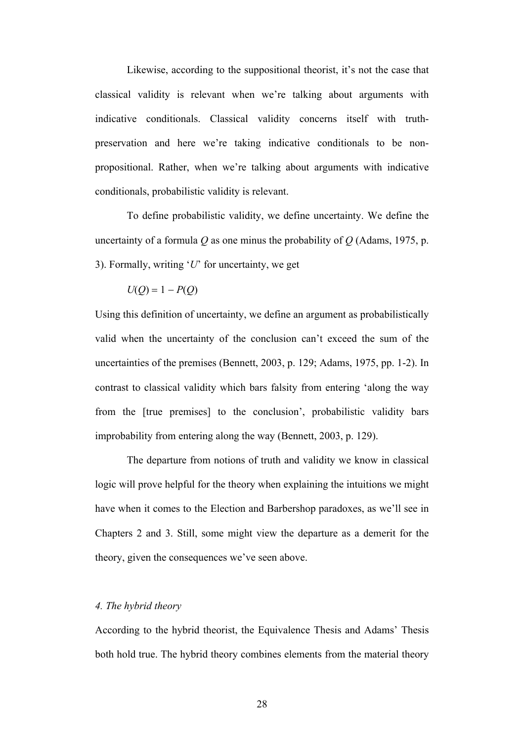Likewise, according to the suppositional theorist, it's not the case that classical validity is relevant when we're talking about arguments with indicative conditionals. Classical validity concerns itself with truthpreservation and here we're taking indicative conditionals to be nonpropositional. Rather, when we're talking about arguments with indicative conditionals, probabilistic validity is relevant.

To define probabilistic validity, we define uncertainty. We define the uncertainty of a formula *Q* as one minus the probability of *Q* (Adams, 1975, p. 3). Formally, writing '*U*' for uncertainty, we get

 $U(Q) = 1 - P(Q)$ 

Using this definition of uncertainty, we define an argument as probabilistically valid when the uncertainty of the conclusion can't exceed the sum of the uncertainties of the premises (Bennett, 2003, p. 129; Adams, 1975, pp. 1-2). In contrast to classical validity which bars falsity from entering 'along the way from the [true premises] to the conclusion', probabilistic validity bars improbability from entering along the way (Bennett, 2003, p. 129).

The departure from notions of truth and validity we know in classical logic will prove helpful for the theory when explaining the intuitions we might have when it comes to the Election and Barbershop paradoxes, as we'll see in Chapters 2 and 3. Still, some might view the departure as a demerit for the theory, given the consequences we've seen above.

# *4. The hybrid theory*

According to the hybrid theorist, the Equivalence Thesis and Adams' Thesis both hold true. The hybrid theory combines elements from the material theory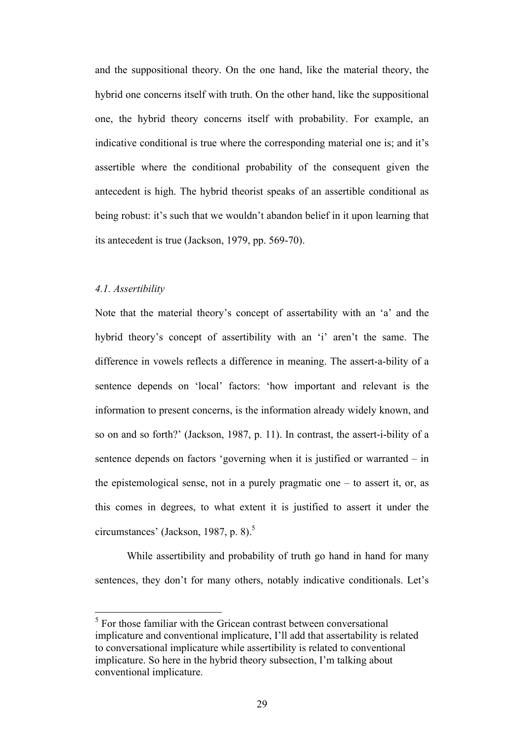and the suppositional theory. On the one hand, like the material theory, the hybrid one concerns itself with truth. On the other hand, like the suppositional one, the hybrid theory concerns itself with probability. For example, an indicative conditional is true where the corresponding material one is; and it's assertible where the conditional probability of the consequent given the antecedent is high. The hybrid theorist speaks of an assertible conditional as being robust: it's such that we wouldn't abandon belief in it upon learning that its antecedent is true (Jackson, 1979, pp. 569-70).

### *4.1. Assertibility*

Note that the material theory's concept of assertability with an 'a' and the hybrid theory's concept of assertibility with an 'i' aren't the same. The difference in vowels reflects a difference in meaning. The assert-a-bility of a sentence depends on 'local' factors: 'how important and relevant is the information to present concerns, is the information already widely known, and so on and so forth?' (Jackson, 1987, p. 11). In contrast, the assert-i-bility of a sentence depends on factors 'governing when it is justified or warranted – in the epistemological sense, not in a purely pragmatic one – to assert it, or, as this comes in degrees, to what extent it is justified to assert it under the circumstances' (Jackson, 1987, p. 8). $5$ 

While assertibility and probability of truth go hand in hand for many sentences, they don't for many others, notably indicative conditionals. Let's

 $<sup>5</sup>$  For those familiar with the Gricean contrast between conversational</sup> implicature and conventional implicature, I'll add that assertability is related to conversational implicature while assertibility is related to conventional implicature. So here in the hybrid theory subsection, I'm talking about conventional implicature.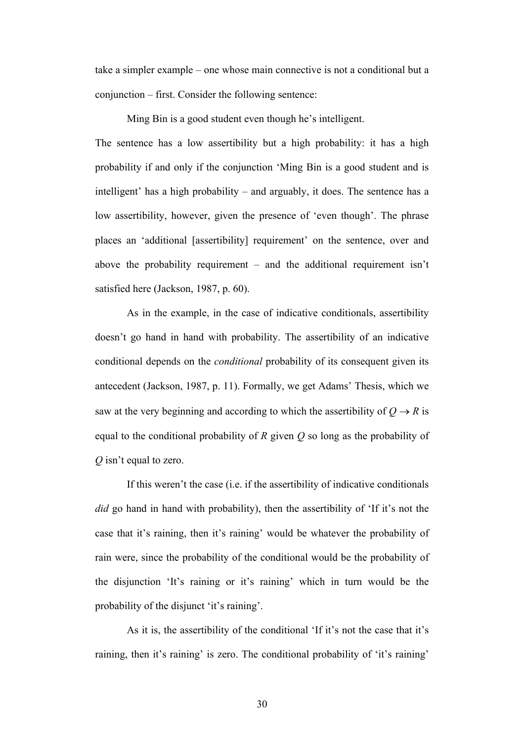take a simpler example – one whose main connective is not a conditional but a conjunction – first. Consider the following sentence:

Ming Bin is a good student even though he's intelligent.

The sentence has a low assertibility but a high probability: it has a high probability if and only if the conjunction 'Ming Bin is a good student and is intelligent' has a high probability – and arguably, it does. The sentence has a low assertibility, however, given the presence of 'even though'. The phrase places an 'additional [assertibility] requirement' on the sentence, over and above the probability requirement – and the additional requirement isn't satisfied here (Jackson, 1987, p. 60).

As in the example, in the case of indicative conditionals, assertibility doesn't go hand in hand with probability. The assertibility of an indicative conditional depends on the *conditional* probability of its consequent given its antecedent (Jackson, 1987, p. 11). Formally, we get Adams' Thesis, which we saw at the very beginning and according to which the assertibility of  $Q \rightarrow R$  is equal to the conditional probability of *R* given *Q* so long as the probability of *Q* isn't equal to zero.

If this weren't the case (i.e. if the assertibility of indicative conditionals *did* go hand in hand with probability), then the assertibility of 'If it's not the case that it's raining, then it's raining' would be whatever the probability of rain were, since the probability of the conditional would be the probability of the disjunction 'It's raining or it's raining' which in turn would be the probability of the disjunct 'it's raining'.

As it is, the assertibility of the conditional 'If it's not the case that it's raining, then it's raining' is zero. The conditional probability of 'it's raining'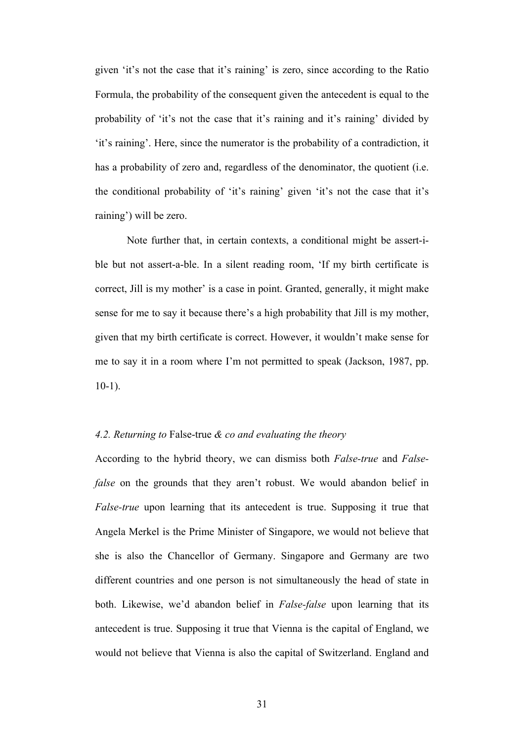given 'it's not the case that it's raining' is zero, since according to the Ratio Formula, the probability of the consequent given the antecedent is equal to the probability of 'it's not the case that it's raining and it's raining' divided by 'it's raining'. Here, since the numerator is the probability of a contradiction, it has a probability of zero and, regardless of the denominator, the quotient (i.e. the conditional probability of 'it's raining' given 'it's not the case that it's raining') will be zero.

Note further that, in certain contexts, a conditional might be assert-ible but not assert-a-ble. In a silent reading room, 'If my birth certificate is correct, Jill is my mother' is a case in point. Granted, generally, it might make sense for me to say it because there's a high probability that Jill is my mother, given that my birth certificate is correct. However, it wouldn't make sense for me to say it in a room where I'm not permitted to speak (Jackson, 1987, pp. 10-1).

# *4.2. Returning to* False-true *& co and evaluating the theory*

According to the hybrid theory, we can dismiss both *False-true* and *Falsefalse* on the grounds that they aren't robust. We would abandon belief in *False-true* upon learning that its antecedent is true. Supposing it true that Angela Merkel is the Prime Minister of Singapore, we would not believe that she is also the Chancellor of Germany. Singapore and Germany are two different countries and one person is not simultaneously the head of state in both. Likewise, we'd abandon belief in *False-false* upon learning that its antecedent is true. Supposing it true that Vienna is the capital of England, we would not believe that Vienna is also the capital of Switzerland. England and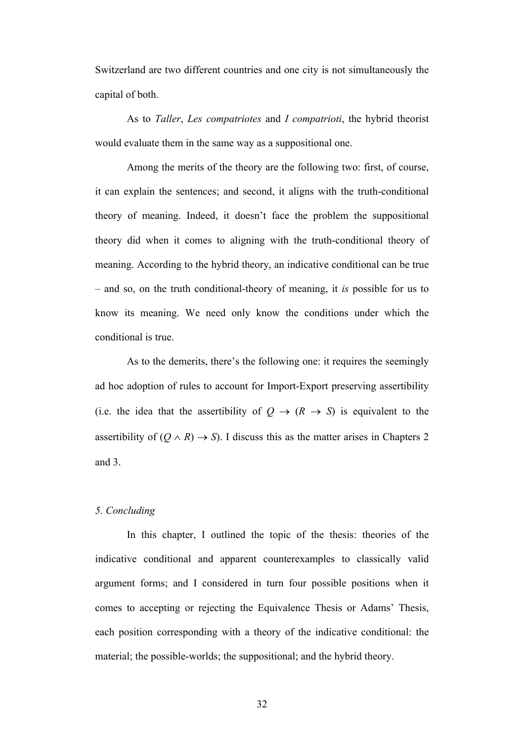Switzerland are two different countries and one city is not simultaneously the capital of both.

As to *Taller*, *Les compatriotes* and *I compatrioti*, the hybrid theorist would evaluate them in the same way as a suppositional one.

Among the merits of the theory are the following two: first, of course, it can explain the sentences; and second, it aligns with the truth-conditional theory of meaning. Indeed, it doesn't face the problem the suppositional theory did when it comes to aligning with the truth-conditional theory of meaning. According to the hybrid theory, an indicative conditional can be true – and so, on the truth conditional-theory of meaning, it *is* possible for us to know its meaning. We need only know the conditions under which the conditional is true.

As to the demerits, there's the following one: it requires the seemingly ad hoc adoption of rules to account for Import-Export preserving assertibility (i.e. the idea that the assertibility of  $Q \rightarrow (R \rightarrow S)$  is equivalent to the assertibility of  $(Q \wedge R) \rightarrow S$ ). I discuss this as the matter arises in Chapters 2 and 3.

# *5. Concluding*

In this chapter, I outlined the topic of the thesis: theories of the indicative conditional and apparent counterexamples to classically valid argument forms; and I considered in turn four possible positions when it comes to accepting or rejecting the Equivalence Thesis or Adams' Thesis, each position corresponding with a theory of the indicative conditional: the material; the possible-worlds; the suppositional; and the hybrid theory.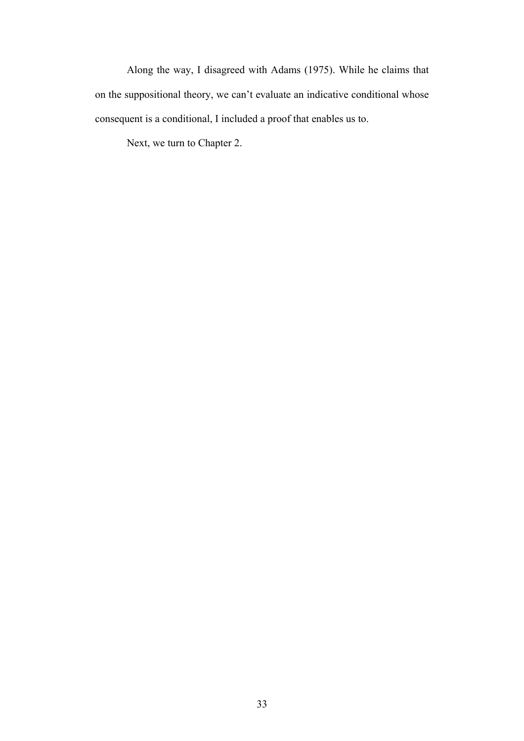Along the way, I disagreed with Adams (1975). While he claims that on the suppositional theory, we can't evaluate an indicative conditional whose consequent is a conditional, I included a proof that enables us to.

Next, we turn to Chapter 2.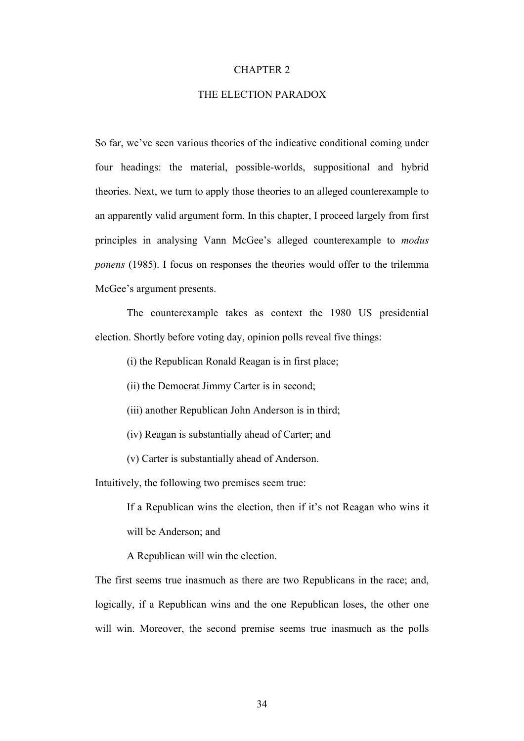#### CHAPTER 2

### THE ELECTION PARADOX

So far, we've seen various theories of the indicative conditional coming under four headings: the material, possible-worlds, suppositional and hybrid theories. Next, we turn to apply those theories to an alleged counterexample to an apparently valid argument form. In this chapter, I proceed largely from first principles in analysing Vann McGee's alleged counterexample to *modus ponens* (1985). I focus on responses the theories would offer to the trilemma McGee's argument presents.

The counterexample takes as context the 1980 US presidential election. Shortly before voting day, opinion polls reveal five things:

(i) the Republican Ronald Reagan is in first place;

(ii) the Democrat Jimmy Carter is in second;

(iii) another Republican John Anderson is in third;

(iv) Reagan is substantially ahead of Carter; and

(v) Carter is substantially ahead of Anderson.

Intuitively, the following two premises seem true:

If a Republican wins the election, then if it's not Reagan who wins it will be Anderson; and

A Republican will win the election.

The first seems true inasmuch as there are two Republicans in the race; and, logically, if a Republican wins and the one Republican loses, the other one will win. Moreover, the second premise seems true inasmuch as the polls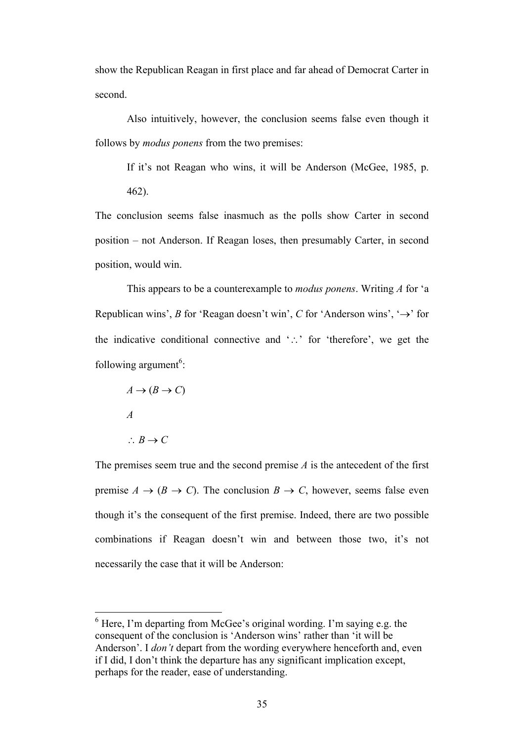show the Republican Reagan in first place and far ahead of Democrat Carter in second.

Also intuitively, however, the conclusion seems false even though it follows by *modus ponens* from the two premises:

If it's not Reagan who wins, it will be Anderson (McGee, 1985, p.

462).

The conclusion seems false inasmuch as the polls show Carter in second position – not Anderson. If Reagan loses, then presumably Carter, in second position, would win.

This appears to be a counterexample to *modus ponens*. Writing *A* for 'a Republican wins', *B* for 'Reagan doesn't win', *C* for 'Anderson wins', ' $\rightarrow$ ' for the indicative conditional connective and  $\therefore$  for 'therefore', we get the following argument<sup>6</sup>:

 $A \rightarrow (B \rightarrow C)$ *A*  $\therefore B \rightarrow C$ 

The premises seem true and the second premise *A* is the antecedent of the first premise  $A \rightarrow (B \rightarrow C)$ . The conclusion  $B \rightarrow C$ , however, seems false even though it's the consequent of the first premise. Indeed, there are two possible combinations if Reagan doesn't win and between those two, it's not necessarily the case that it will be Anderson:

 $6$  Here, I'm departing from McGee's original wording. I'm saying e.g. the consequent of the conclusion is 'Anderson wins' rather than 'it will be Anderson'. I *don't* depart from the wording everywhere henceforth and, even if I did, I don't think the departure has any significant implication except, perhaps for the reader, ease of understanding.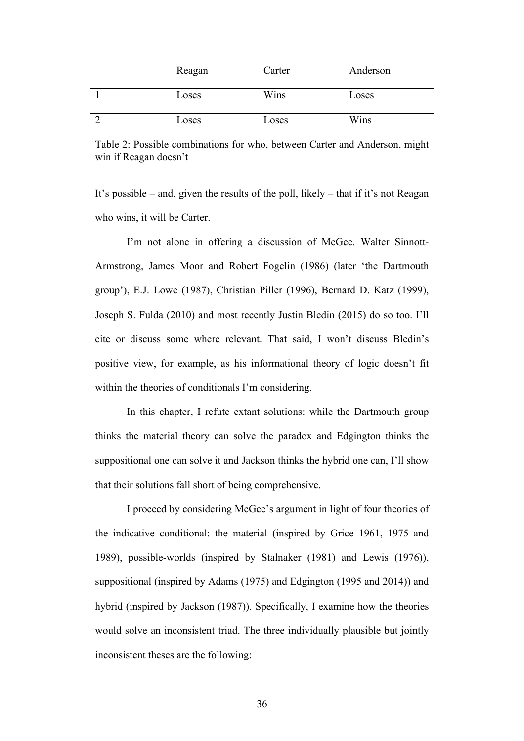| Reagan | Carter | Anderson |
|--------|--------|----------|
| Loses  | Wins   | Loses    |
| Loses  | Loses  | Wins     |

Table 2: Possible combinations for who, between Carter and Anderson, might win if Reagan doesn't

It's possible – and, given the results of the poll, likely – that if it's not Reagan who wins, it will be Carter.

I'm not alone in offering a discussion of McGee. Walter Sinnott-Armstrong, James Moor and Robert Fogelin (1986) (later 'the Dartmouth group'), E.J. Lowe (1987), Christian Piller (1996), Bernard D. Katz (1999), Joseph S. Fulda (2010) and most recently Justin Bledin (2015) do so too. I'll cite or discuss some where relevant. That said, I won't discuss Bledin's positive view, for example, as his informational theory of logic doesn't fit within the theories of conditionals I'm considering.

In this chapter, I refute extant solutions: while the Dartmouth group thinks the material theory can solve the paradox and Edgington thinks the suppositional one can solve it and Jackson thinks the hybrid one can, I'll show that their solutions fall short of being comprehensive.

I proceed by considering McGee's argument in light of four theories of the indicative conditional: the material (inspired by Grice 1961, 1975 and 1989), possible-worlds (inspired by Stalnaker (1981) and Lewis (1976)), suppositional (inspired by Adams (1975) and Edgington (1995 and 2014)) and hybrid (inspired by Jackson (1987)). Specifically, I examine how the theories would solve an inconsistent triad. The three individually plausible but jointly inconsistent theses are the following: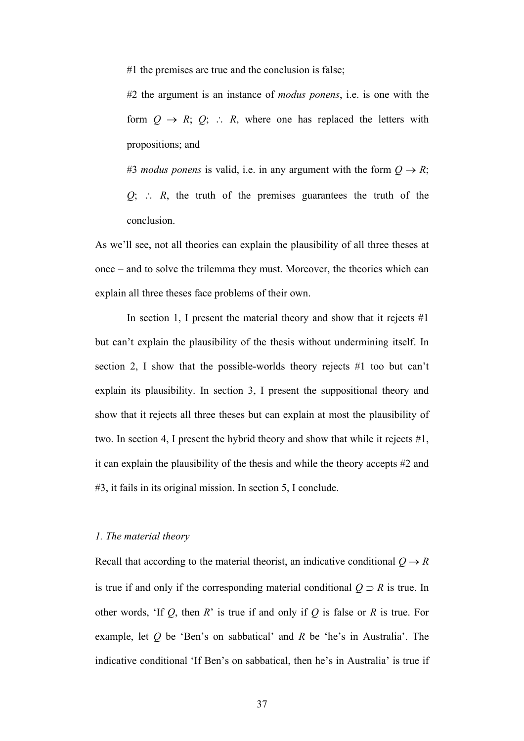#1 the premises are true and the conclusion is false;

#2 the argument is an instance of *modus ponens*, i.e. is one with the form  $Q \rightarrow R$ ;  $Q$ ;  $\therefore R$ , where one has replaced the letters with propositions; and

#3 *modus ponens* is valid, i.e. in any argument with the form  $Q \rightarrow R$ ;  $Q$ ;  $\therefore$   $R$ , the truth of the premises guarantees the truth of the conclusion.

As we'll see, not all theories can explain the plausibility of all three theses at once – and to solve the trilemma they must. Moreover, the theories which can explain all three theses face problems of their own.

In section 1, I present the material theory and show that it rejects  $#1$ but can't explain the plausibility of the thesis without undermining itself. In section 2, I show that the possible-worlds theory rejects #1 too but can't explain its plausibility. In section 3, I present the suppositional theory and show that it rejects all three theses but can explain at most the plausibility of two. In section 4, I present the hybrid theory and show that while it rejects #1, it can explain the plausibility of the thesis and while the theory accepts #2 and #3, it fails in its original mission. In section 5, I conclude.

# *1. The material theory*

Recall that according to the material theorist, an indicative conditional  $Q \rightarrow R$ is true if and only if the corresponding material conditional  $Q \supset R$  is true. In other words, 'If *Q*, then *R*' is true if and only if *Q* is false or *R* is true. For example, let *Q* be 'Ben's on sabbatical' and *R* be 'he's in Australia'. The indicative conditional 'If Ben's on sabbatical, then he's in Australia' is true if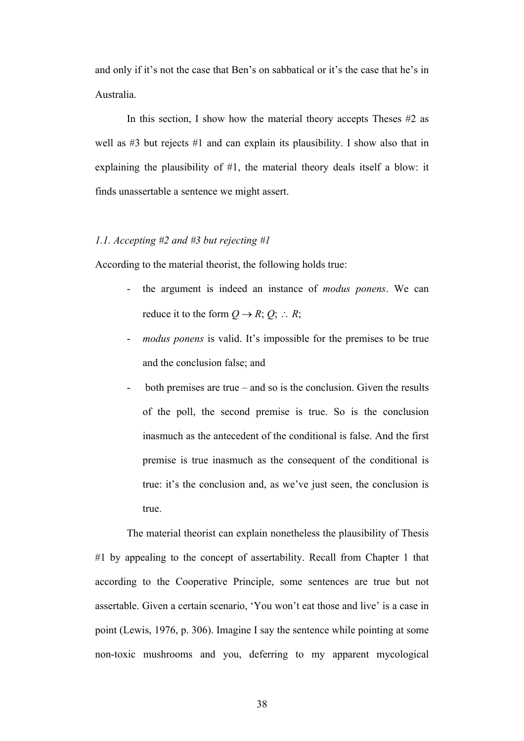and only if it's not the case that Ben's on sabbatical or it's the case that he's in Australia.

In this section, I show how the material theory accepts Theses #2 as well as  $#3$  but rejects  $#1$  and can explain its plausibility. I show also that in explaining the plausibility of #1, the material theory deals itself a blow: it finds unassertable a sentence we might assert.

# *1.1. Accepting #2 and #3 but rejecting #1*

According to the material theorist, the following holds true:

- the argument is indeed an instance of *modus ponens*. We can reduce it to the form  $Q \rightarrow R$ ;  $Q$ ;  $\therefore R$ ;
- *modus ponens* is valid. It's impossible for the premises to be true and the conclusion false; and
- both premises are true and so is the conclusion. Given the results of the poll, the second premise is true. So is the conclusion inasmuch as the antecedent of the conditional is false. And the first premise is true inasmuch as the consequent of the conditional is true: it's the conclusion and, as we've just seen, the conclusion is true.

The material theorist can explain nonetheless the plausibility of Thesis #1 by appealing to the concept of assertability. Recall from Chapter 1 that according to the Cooperative Principle, some sentences are true but not assertable. Given a certain scenario, 'You won't eat those and live' is a case in point (Lewis, 1976, p. 306). Imagine I say the sentence while pointing at some non-toxic mushrooms and you, deferring to my apparent mycological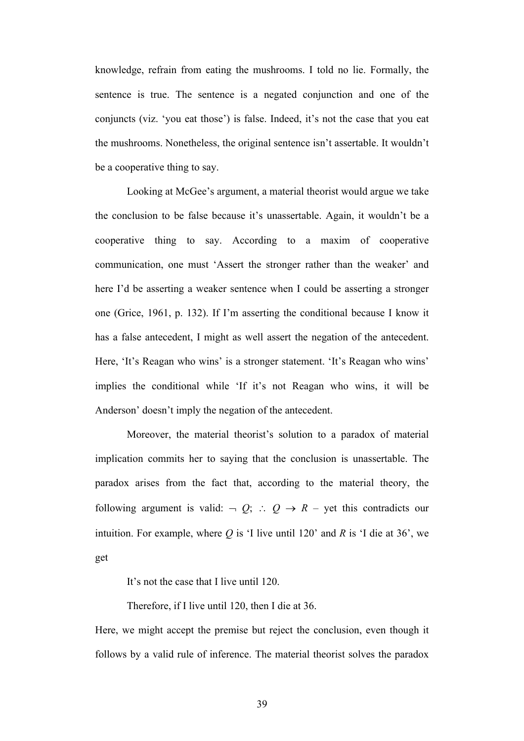knowledge, refrain from eating the mushrooms. I told no lie. Formally, the sentence is true. The sentence is a negated conjunction and one of the conjuncts (viz. 'you eat those') is false. Indeed, it's not the case that you eat the mushrooms. Nonetheless, the original sentence isn't assertable. It wouldn't be a cooperative thing to say.

Looking at McGee's argument, a material theorist would argue we take the conclusion to be false because it's unassertable. Again, it wouldn't be a cooperative thing to say. According to a maxim of cooperative communication, one must 'Assert the stronger rather than the weaker' and here I'd be asserting a weaker sentence when I could be asserting a stronger one (Grice, 1961, p. 132). If I'm asserting the conditional because I know it has a false antecedent, I might as well assert the negation of the antecedent. Here, 'It's Reagan who wins' is a stronger statement. 'It's Reagan who wins' implies the conditional while 'If it's not Reagan who wins, it will be Anderson' doesn't imply the negation of the antecedent.

Moreover, the material theorist's solution to a paradox of material implication commits her to saying that the conclusion is unassertable. The paradox arises from the fact that, according to the material theory, the following argument is valid:  $\neg Q$ ;  $\therefore Q \rightarrow R$  – yet this contradicts our intuition. For example, where  $Q$  is 'I live until 120' and  $R$  is 'I die at 36', we get

It's not the case that I live until 120.

Therefore, if I live until 120, then I die at 36.

Here, we might accept the premise but reject the conclusion, even though it follows by a valid rule of inference. The material theorist solves the paradox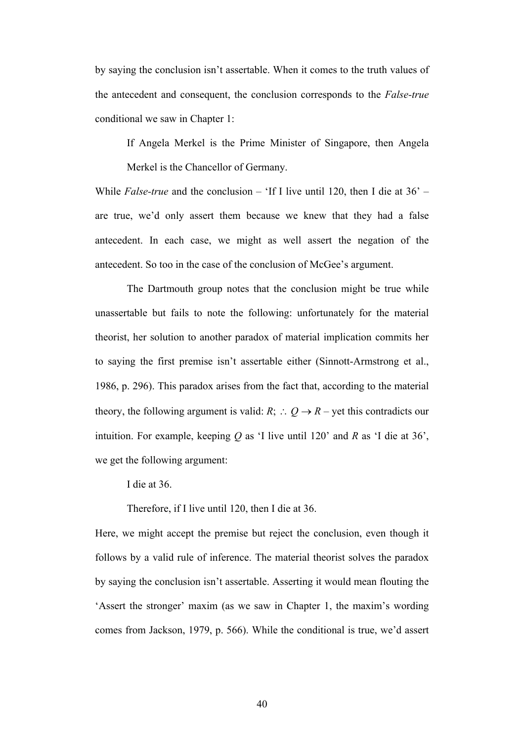by saying the conclusion isn't assertable. When it comes to the truth values of the antecedent and consequent, the conclusion corresponds to the *False-true* conditional we saw in Chapter 1:

If Angela Merkel is the Prime Minister of Singapore, then Angela Merkel is the Chancellor of Germany.

While *False-true* and the conclusion – 'If I live until 120, then I die at 36' – are true, we'd only assert them because we knew that they had a false antecedent. In each case, we might as well assert the negation of the antecedent. So too in the case of the conclusion of McGee's argument.

The Dartmouth group notes that the conclusion might be true while unassertable but fails to note the following: unfortunately for the material theorist, her solution to another paradox of material implication commits her to saying the first premise isn't assertable either (Sinnott-Armstrong et al., 1986, p. 296). This paradox arises from the fact that, according to the material theory, the following argument is valid:  $R$ ;  $\therefore$   $Q \rightarrow R$  – yet this contradicts our intuition. For example, keeping *Q* as 'I live until 120' and *R* as 'I die at 36', we get the following argument:

I die at 36.

Therefore, if I live until 120, then I die at 36.

Here, we might accept the premise but reject the conclusion, even though it follows by a valid rule of inference. The material theorist solves the paradox by saying the conclusion isn't assertable. Asserting it would mean flouting the 'Assert the stronger' maxim (as we saw in Chapter 1, the maxim's wording comes from Jackson, 1979, p. 566). While the conditional is true, we'd assert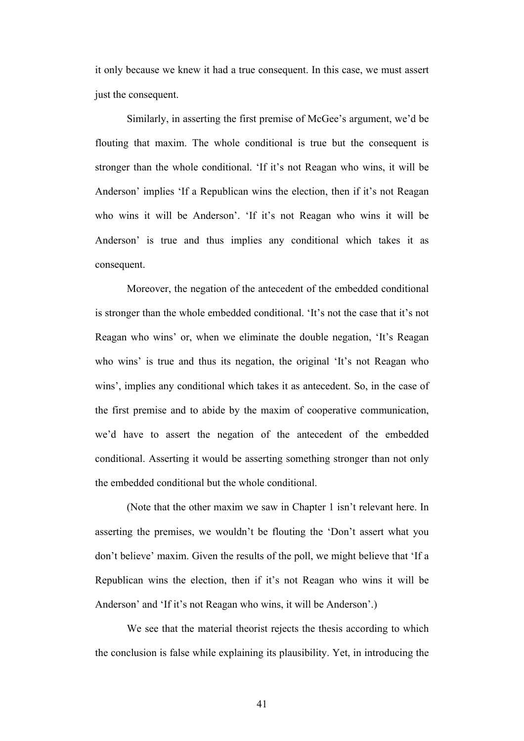it only because we knew it had a true consequent. In this case, we must assert just the consequent.

Similarly, in asserting the first premise of McGee's argument, we'd be flouting that maxim. The whole conditional is true but the consequent is stronger than the whole conditional. 'If it's not Reagan who wins, it will be Anderson' implies 'If a Republican wins the election, then if it's not Reagan who wins it will be Anderson'. 'If it's not Reagan who wins it will be Anderson' is true and thus implies any conditional which takes it as consequent.

Moreover, the negation of the antecedent of the embedded conditional is stronger than the whole embedded conditional. 'It's not the case that it's not Reagan who wins' or, when we eliminate the double negation, 'It's Reagan who wins' is true and thus its negation, the original 'It's not Reagan who wins', implies any conditional which takes it as antecedent. So, in the case of the first premise and to abide by the maxim of cooperative communication, we'd have to assert the negation of the antecedent of the embedded conditional. Asserting it would be asserting something stronger than not only the embedded conditional but the whole conditional.

(Note that the other maxim we saw in Chapter 1 isn't relevant here. In asserting the premises, we wouldn't be flouting the 'Don't assert what you don't believe' maxim. Given the results of the poll, we might believe that 'If a Republican wins the election, then if it's not Reagan who wins it will be Anderson' and 'If it's not Reagan who wins, it will be Anderson'.)

We see that the material theorist rejects the thesis according to which the conclusion is false while explaining its plausibility. Yet, in introducing the

41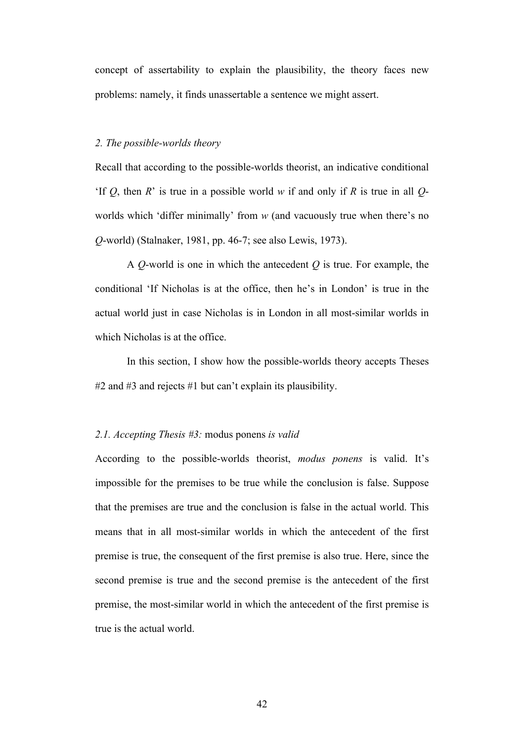concept of assertability to explain the plausibility, the theory faces new problems: namely, it finds unassertable a sentence we might assert.

### *2. The possible-worlds theory*

Recall that according to the possible-worlds theorist, an indicative conditional 'If *Q*, then *R*' is true in a possible world *w* if and only if *R* is true in all *Q*worlds which 'differ minimally' from *w* (and vacuously true when there's no *Q*-world) (Stalnaker, 1981, pp. 46-7; see also Lewis, 1973).

A *Q*-world is one in which the antecedent *Q* is true. For example, the conditional 'If Nicholas is at the office, then he's in London' is true in the actual world just in case Nicholas is in London in all most-similar worlds in which Nicholas is at the office.

In this section, I show how the possible-worlds theory accepts Theses #2 and #3 and rejects #1 but can't explain its plausibility.

### *2.1. Accepting Thesis #3:* modus ponens *is valid*

According to the possible-worlds theorist, *modus ponens* is valid. It's impossible for the premises to be true while the conclusion is false. Suppose that the premises are true and the conclusion is false in the actual world. This means that in all most-similar worlds in which the antecedent of the first premise is true, the consequent of the first premise is also true. Here, since the second premise is true and the second premise is the antecedent of the first premise, the most-similar world in which the antecedent of the first premise is true is the actual world.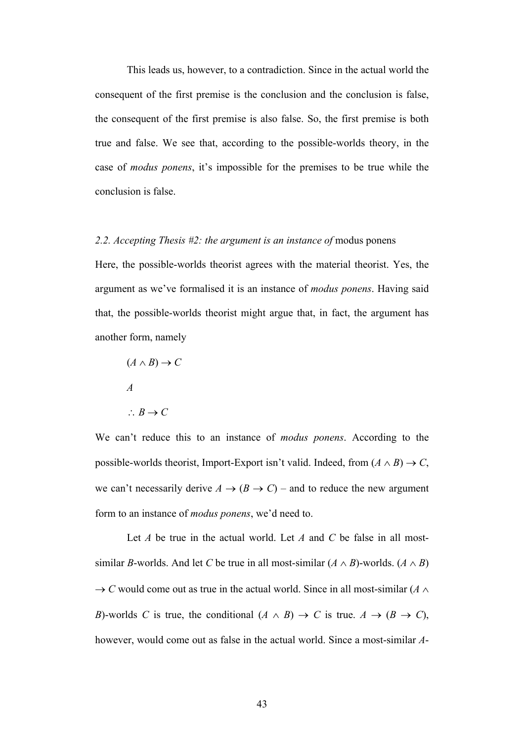This leads us, however, to a contradiction. Since in the actual world the consequent of the first premise is the conclusion and the conclusion is false, the consequent of the first premise is also false. So, the first premise is both true and false. We see that, according to the possible-worlds theory, in the case of *modus ponens*, it's impossible for the premises to be true while the conclusion is false.

### 2.2. Accepting Thesis #2: the argument is an instance of modus ponens

Here, the possible-worlds theorist agrees with the material theorist. Yes, the argument as we've formalised it is an instance of *modus ponens*. Having said that, the possible-worlds theorist might argue that, in fact, the argument has another form, namely

 $(A \wedge B) \rightarrow C$ *A*  $\therefore B \rightarrow C$ 

We can't reduce this to an instance of *modus ponens*. According to the possible-worlds theorist, Import-Export isn't valid. Indeed, from  $(A \wedge B) \rightarrow C$ , we can't necessarily derive  $A \rightarrow (B \rightarrow C)$  – and to reduce the new argument form to an instance of *modus ponens*, we'd need to.

Let *A* be true in the actual world. Let *A* and *C* be false in all mostsimilar *B*-worlds. And let *C* be true in all most-similar  $(A \wedge B)$ -worlds.  $(A \wedge B)$  $\rightarrow$  *C* would come out as true in the actual world. Since in all most-similar (*A*  $\land$ *B*)-worlds *C* is true, the conditional  $(A \land B) \rightarrow C$  is true.  $A \rightarrow (B \rightarrow C)$ , however, would come out as false in the actual world. Since a most-similar *A*-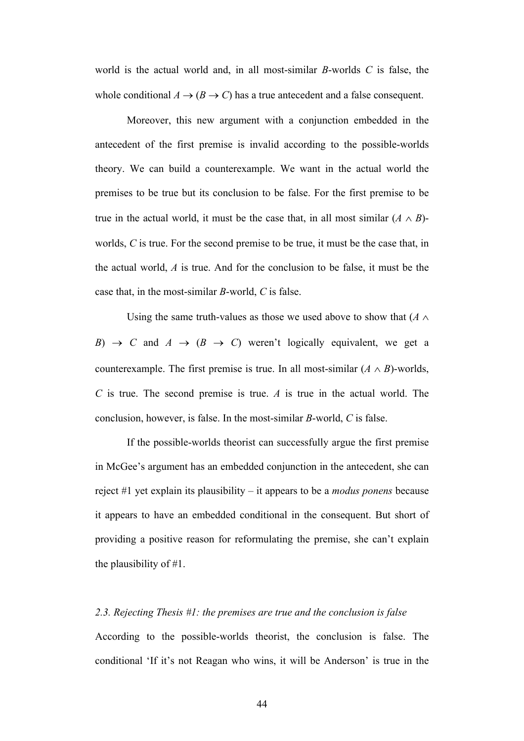world is the actual world and, in all most-similar *B*-worlds *C* is false, the whole conditional  $A \rightarrow (B \rightarrow C)$  has a true antecedent and a false consequent.

Moreover, this new argument with a conjunction embedded in the antecedent of the first premise is invalid according to the possible-worlds theory. We can build a counterexample. We want in the actual world the premises to be true but its conclusion to be false. For the first premise to be true in the actual world, it must be the case that, in all most similar  $(A \wedge B)$ worlds, *C* is true. For the second premise to be true, it must be the case that, in the actual world, *A* is true. And for the conclusion to be false, it must be the case that, in the most-similar *B*-world, *C* is false.

Using the same truth-values as those we used above to show that  $(A \wedge$ *B*)  $\rightarrow$  *C* and *A*  $\rightarrow$  (*B*  $\rightarrow$  *C*) weren't logically equivalent, we get a counterexample. The first premise is true. In all most-similar  $(A \wedge B)$ -worlds, *C* is true. The second premise is true. *A* is true in the actual world. The conclusion, however, is false. In the most-similar *B*-world, *C* is false.

If the possible-worlds theorist can successfully argue the first premise in McGee's argument has an embedded conjunction in the antecedent, she can reject #1 yet explain its plausibility – it appears to be a *modus ponens* because it appears to have an embedded conditional in the consequent. But short of providing a positive reason for reformulating the premise, she can't explain the plausibility of #1.

### *2.3. Rejecting Thesis #1: the premises are true and the conclusion is false*

According to the possible-worlds theorist, the conclusion is false. The conditional 'If it's not Reagan who wins, it will be Anderson' is true in the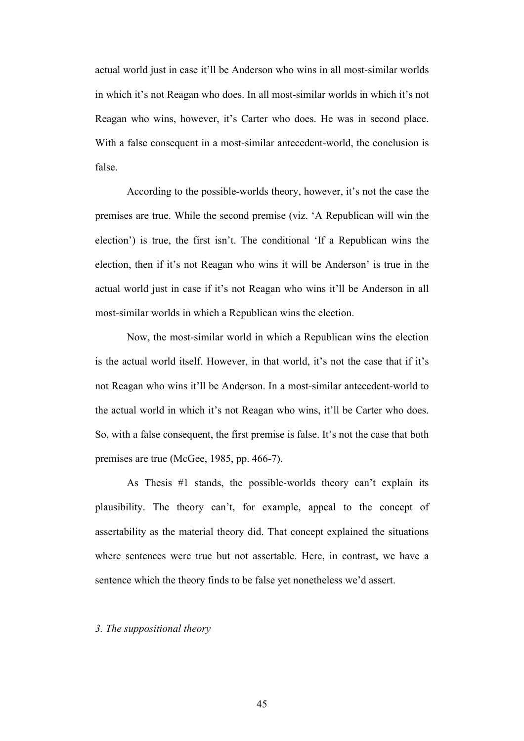actual world just in case it'll be Anderson who wins in all most-similar worlds in which it's not Reagan who does. In all most-similar worlds in which it's not Reagan who wins, however, it's Carter who does. He was in second place. With a false consequent in a most-similar antecedent-world, the conclusion is false.

According to the possible-worlds theory, however, it's not the case the premises are true. While the second premise (viz. 'A Republican will win the election') is true, the first isn't. The conditional 'If a Republican wins the election, then if it's not Reagan who wins it will be Anderson' is true in the actual world just in case if it's not Reagan who wins it'll be Anderson in all most-similar worlds in which a Republican wins the election.

Now, the most-similar world in which a Republican wins the election is the actual world itself. However, in that world, it's not the case that if it's not Reagan who wins it'll be Anderson. In a most-similar antecedent-world to the actual world in which it's not Reagan who wins, it'll be Carter who does. So, with a false consequent, the first premise is false. It's not the case that both premises are true (McGee, 1985, pp. 466-7).

As Thesis #1 stands, the possible-worlds theory can't explain its plausibility. The theory can't, for example, appeal to the concept of assertability as the material theory did. That concept explained the situations where sentences were true but not assertable. Here, in contrast, we have a sentence which the theory finds to be false yet nonetheless we'd assert.

#### *3. The suppositional theory*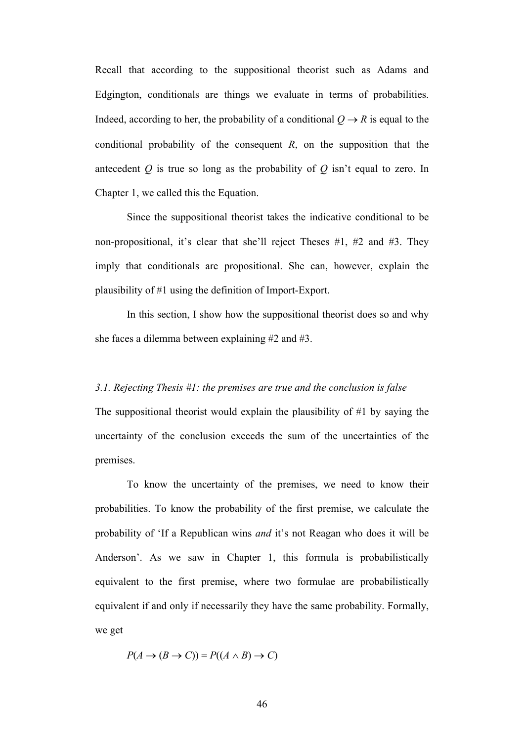Recall that according to the suppositional theorist such as Adams and Edgington, conditionals are things we evaluate in terms of probabilities. Indeed, according to her, the probability of a conditional  $Q \rightarrow R$  is equal to the conditional probability of the consequent *R*, on the supposition that the antecedent *Q* is true so long as the probability of *Q* isn't equal to zero. In Chapter 1, we called this the Equation.

Since the suppositional theorist takes the indicative conditional to be non-propositional, it's clear that she'll reject Theses #1, #2 and #3. They imply that conditionals are propositional. She can, however, explain the plausibility of #1 using the definition of Import-Export.

In this section, I show how the suppositional theorist does so and why she faces a dilemma between explaining #2 and #3.

### *3.1. Rejecting Thesis #1: the premises are true and the conclusion is false*

The suppositional theorist would explain the plausibility of #1 by saying the uncertainty of the conclusion exceeds the sum of the uncertainties of the premises.

To know the uncertainty of the premises, we need to know their probabilities. To know the probability of the first premise, we calculate the probability of 'If a Republican wins *and* it's not Reagan who does it will be Anderson'. As we saw in Chapter 1, this formula is probabilistically equivalent to the first premise, where two formulae are probabilistically equivalent if and only if necessarily they have the same probability. Formally, we get

$$
P(A \to (B \to C)) = P((A \land B) \to C)
$$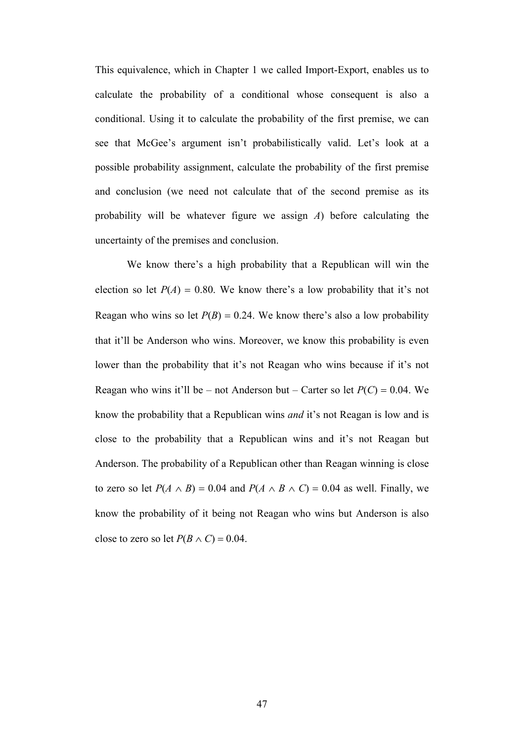This equivalence, which in Chapter 1 we called Import-Export, enables us to calculate the probability of a conditional whose consequent is also a conditional. Using it to calculate the probability of the first premise, we can see that McGee's argument isn't probabilistically valid. Let's look at a possible probability assignment, calculate the probability of the first premise and conclusion (we need not calculate that of the second premise as its probability will be whatever figure we assign *A*) before calculating the uncertainty of the premises and conclusion.

We know there's a high probability that a Republican will win the election so let  $P(A) = 0.80$ . We know there's a low probability that it's not Reagan who wins so let  $P(B) = 0.24$ . We know there's also a low probability that it'll be Anderson who wins. Moreover, we know this probability is even lower than the probability that it's not Reagan who wins because if it's not Reagan who wins it'll be – not Anderson but – Carter so let  $P(C) = 0.04$ . We know the probability that a Republican wins *and* it's not Reagan is low and is close to the probability that a Republican wins and it's not Reagan but Anderson. The probability of a Republican other than Reagan winning is close to zero so let  $P(A \wedge B) = 0.04$  and  $P(A \wedge B \wedge C) = 0.04$  as well. Finally, we know the probability of it being not Reagan who wins but Anderson is also close to zero so let  $P(B \wedge C) = 0.04$ .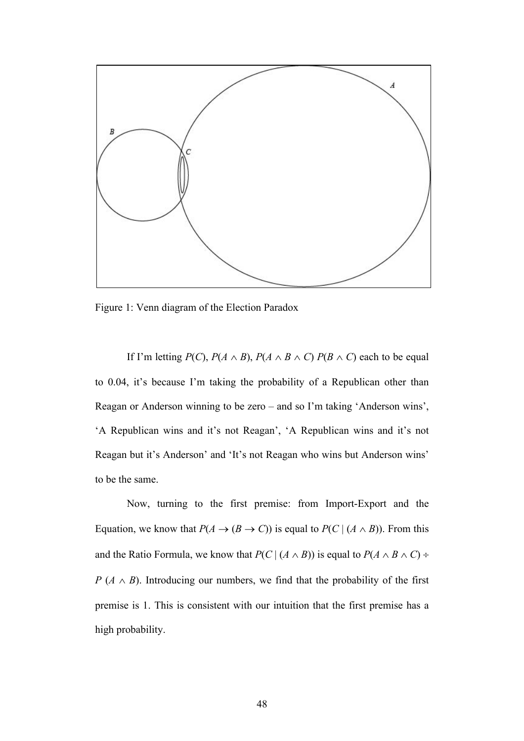

Figure 1: Venn diagram of the Election Paradox

If I'm letting  $P(C)$ ,  $P(A \wedge B)$ ,  $P(A \wedge B \wedge C) P(B \wedge C)$  each to be equal to 0.04, it's because I'm taking the probability of a Republican other than Reagan or Anderson winning to be zero – and so I'm taking 'Anderson wins', 'A Republican wins and it's not Reagan', 'A Republican wins and it's not Reagan but it's Anderson' and 'It's not Reagan who wins but Anderson wins' to be the same.

Now, turning to the first premise: from Import-Export and the Equation, we know that  $P(A \to (B \to C))$  is equal to  $P(C | (A \land B))$ . From this and the Ratio Formula, we know that  $P(C | (A \wedge B))$  is equal to  $P(A \wedge B \wedge C)$  ÷ *P* ( $A \wedge B$ ). Introducing our numbers, we find that the probability of the first premise is 1. This is consistent with our intuition that the first premise has a high probability.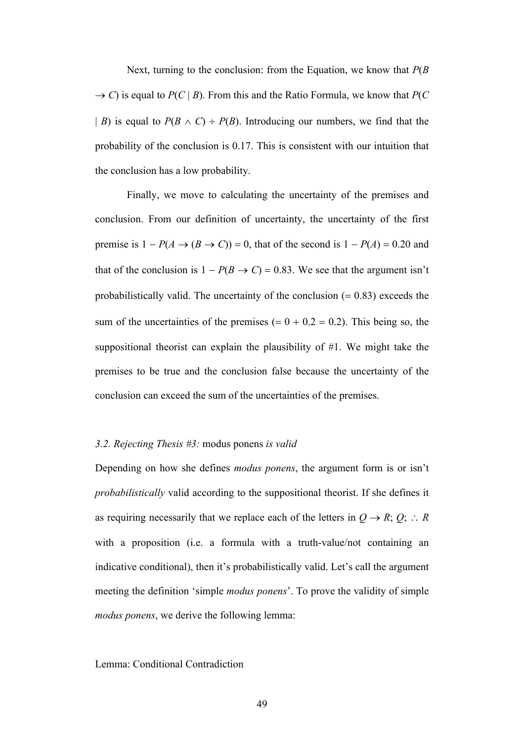Next, turning to the conclusion: from the Equation, we know that *P*(*B*   $\rightarrow$  *C*) is equal to *P*(*C* | *B*). From this and the Ratio Formula, we know that *P*(*C*) | *B*) is equal to  $P(B \wedge C) \div P(B)$ . Introducing our numbers, we find that the probability of the conclusion is 0.17. This is consistent with our intuition that the conclusion has a low probability.

Finally, we move to calculating the uncertainty of the premises and conclusion. From our definition of uncertainty, the uncertainty of the first premise is  $1 - P(A \rightarrow (B \rightarrow C)) = 0$ , that of the second is  $1 - P(A) = 0.20$  and that of the conclusion is  $1 - P(B \rightarrow C) = 0.83$ . We see that the argument isn't probabilistically valid. The uncertainty of the conclusion  $(= 0.83)$  exceeds the sum of the uncertainties of the premises  $(= 0 + 0.2 = 0.2)$ . This being so, the suppositional theorist can explain the plausibility of #1. We might take the premises to be true and the conclusion false because the uncertainty of the conclusion can exceed the sum of the uncertainties of the premises.

#### *3.2. Rejecting Thesis #3:* modus ponens *is valid*

Depending on how she defines *modus ponens*, the argument form is or isn't *probabilistically* valid according to the suppositional theorist. If she defines it as requiring necessarily that we replace each of the letters in  $Q \rightarrow R$ ; *Q*;  $\therefore R$ with a proposition (i.e. a formula with a truth-value/not containing an indicative conditional), then it's probabilistically valid. Let's call the argument meeting the definition 'simple *modus ponens*'. To prove the validity of simple *modus ponens*, we derive the following lemma:

Lemma: Conditional Contradiction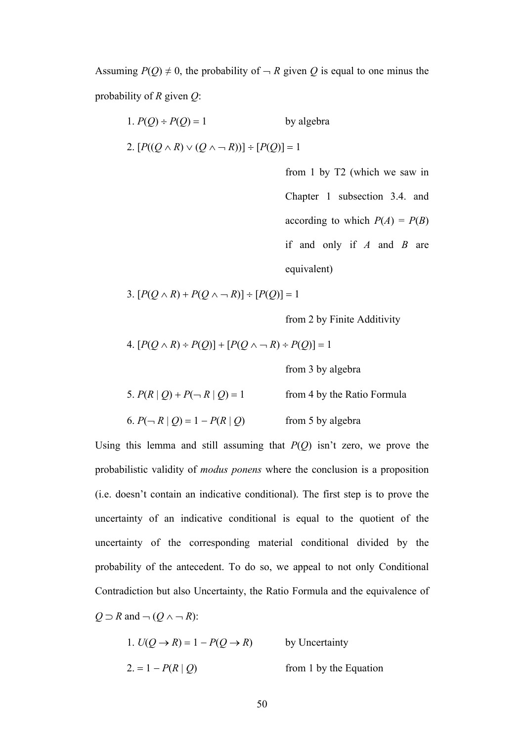Assuming  $P(Q) \neq 0$ , the probability of  $\neg R$  given Q is equal to one minus the probability of *R* given *Q*:

1. 
$$
P(Q) \div P(Q) = 1
$$
 by algebra

2.  $[P((Q \wedge R) \vee (Q \wedge \neg R))] \div [P(Q)] = 1$ 

from 1 by T2 (which we saw in Chapter 1 subsection 3.4. and according to which  $P(A) = P(B)$ if and only if *A* and *B* are equivalent)

3.  $[P(Q \land R) + P(Q \land \neg R)] \div [P(Q)] = 1$ 

from 2 by Finite Additivity

4. 
$$
[P(Q \wedge R) \div P(Q)] + [P(Q \wedge \neg R) \div P(Q)] = 1
$$

from 3 by algebra

| 5. $P(R   Q) + P(\neg R   Q) = 1$ | from 4 by the Ratio Formula |
|-----------------------------------|-----------------------------|
| 6. $P(\neg R   Q) = 1 - P(R   Q)$ | from 5 by algebra           |

Using this lemma and still assuming that *P*(*Q*) isn't zero, we prove the probabilistic validity of *modus ponens* where the conclusion is a proposition (i.e. doesn't contain an indicative conditional). The first step is to prove the uncertainty of an indicative conditional is equal to the quotient of the uncertainty of the corresponding material conditional divided by the probability of the antecedent. To do so, we appeal to not only Conditional Contradiction but also Uncertainty, the Ratio Formula and the equivalence of  $Q \supset R$  and  $\neg (Q \wedge \neg R)$ :

1. 
$$
U(Q \rightarrow R) = 1 - P(Q \rightarrow R)
$$
 by Uncertainty  
2. = 1 -  $P(R | Q)$  from 1 by the Equation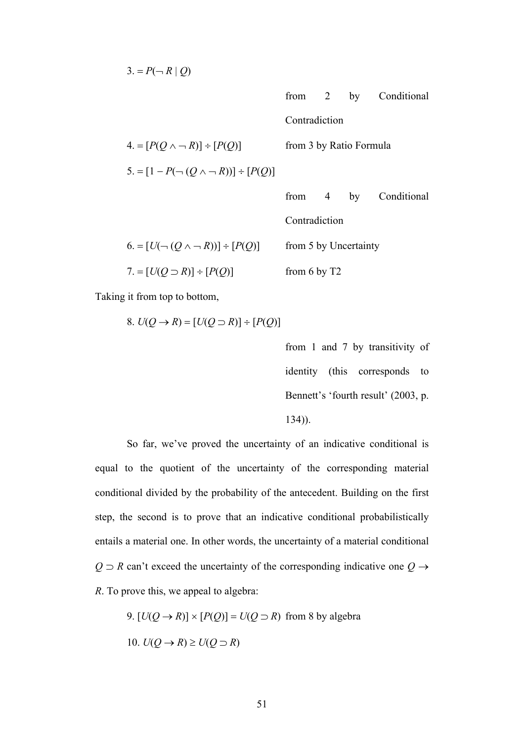3. =  $P(\neg R | Q)$ 

|                                                  |                         |  | from 2 by Conditional |
|--------------------------------------------------|-------------------------|--|-----------------------|
|                                                  | Contradiction           |  |                       |
| $4 = [P(Q \land \neg R)] \div [P(Q)]$            | from 3 by Ratio Formula |  |                       |
| $5 = [1 - P(\neg (Q \land \neg R))] \div [P(Q)]$ |                         |  |                       |
|                                                  | from $4$ by             |  | Conditional           |
|                                                  | Contradiction           |  |                       |
| $6 = [U(\neg (Q \land \neg R))] \div [P(Q)]$     | from 5 by Uncertainty   |  |                       |
| $7 = [U(Q \supset R)] \div [P(Q)]$               | from $6$ by $T2$        |  |                       |

Taking it from top to bottom,

8. 
$$
U(Q \rightarrow R) = [U(Q \supset R)] \div [P(Q)]
$$

from 1 and 7 by transitivity of identity (this corresponds to Bennett's 'fourth result' (2003, p. 134)).

So far, we've proved the uncertainty of an indicative conditional is equal to the quotient of the uncertainty of the corresponding material conditional divided by the probability of the antecedent. Building on the first step, the second is to prove that an indicative conditional probabilistically entails a material one. In other words, the uncertainty of a material conditional  $Q \supset R$  can't exceed the uncertainty of the corresponding indicative one  $Q \rightarrow$ *R*. To prove this, we appeal to algebra:

9.  $[U(Q \rightarrow R)] \times [P(Q)] = U(Q \supset R)$  from 8 by algebra 10.  $U(Q \rightarrow R) \geq U(Q \supset R)$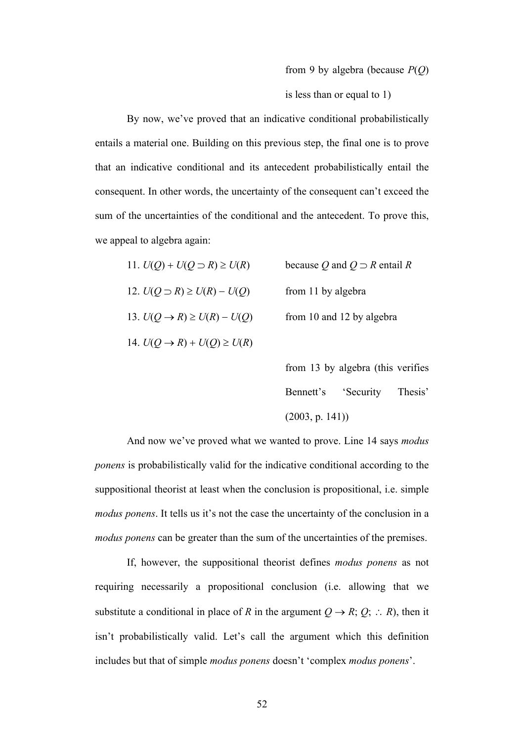### from 9 by algebra (because *P*(*Q*)

is less than or equal to 1)

By now, we've proved that an indicative conditional probabilistically entails a material one. Building on this previous step, the final one is to prove that an indicative conditional and its antecedent probabilistically entail the consequent. In other words, the uncertainty of the consequent can't exceed the sum of the uncertainties of the conditional and the antecedent. To prove this, we appeal to algebra again:

| 11. $U(Q) + U(Q \supset R) \ge U(R)$     | because Q and $Q \supset R$ entail R |
|------------------------------------------|--------------------------------------|
| 12. $U(Q \supset R) \ge U(R) - U(Q)$     | from 11 by algebra                   |
| 13. $U(Q \rightarrow R) \ge U(R) - U(Q)$ | from 10 and 12 by algebra            |
| 14. $U(Q \rightarrow R) + U(Q) \ge U(R)$ |                                      |

from 13 by algebra (this verifies Bennett's 'Security Thesis' (2003, p. 141))

And now we've proved what we wanted to prove. Line 14 says *modus ponens* is probabilistically valid for the indicative conditional according to the suppositional theorist at least when the conclusion is propositional, i.e. simple *modus ponens*. It tells us it's not the case the uncertainty of the conclusion in a *modus ponens* can be greater than the sum of the uncertainties of the premises.

If, however, the suppositional theorist defines *modus ponens* as not requiring necessarily a propositional conclusion (i.e. allowing that we substitute a conditional in place of *R* in the argument  $Q \rightarrow R$ ;  $Q$ ;  $\therefore R$ ), then it isn't probabilistically valid. Let's call the argument which this definition includes but that of simple *modus ponens* doesn't 'complex *modus ponens*'.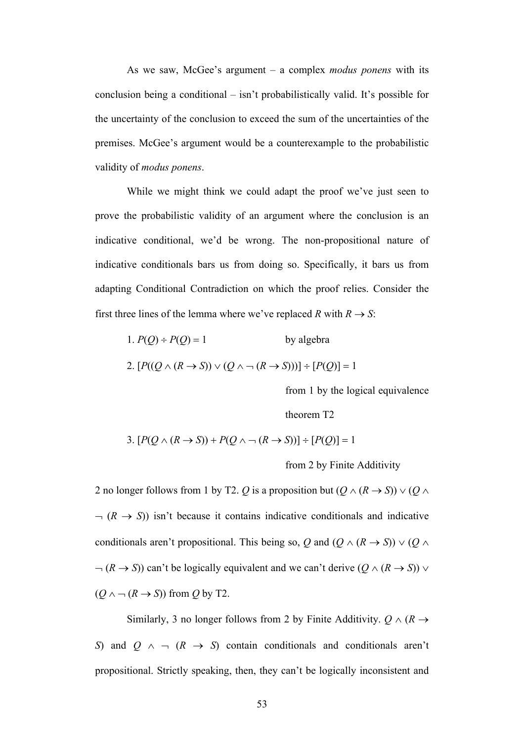As we saw, McGee's argument – a complex *modus ponens* with its conclusion being a conditional – isn't probabilistically valid. It's possible for the uncertainty of the conclusion to exceed the sum of the uncertainties of the premises. McGee's argument would be a counterexample to the probabilistic validity of *modus ponens*.

While we might think we could adapt the proof we've just seen to prove the probabilistic validity of an argument where the conclusion is an indicative conditional, we'd be wrong. The non-propositional nature of indicative conditionals bars us from doing so. Specifically, it bars us from adapting Conditional Contradiction on which the proof relies. Consider the first three lines of the lemma where we've replaced *R* with  $R \rightarrow S$ :

1. 
$$
P(Q) \div P(Q) = 1
$$
 by algebra  
2.  $[P((Q \land (R \rightarrow S)) \lor (Q \land \neg (R \rightarrow S)))] \div [P(Q)] = 1$ 

from 1 by the logical equivalence

theorem T2

3. 
$$
[P(Q \wedge (R \rightarrow S)) + P(Q \wedge \neg (R \rightarrow S))] \div [P(Q)] = 1
$$

from 2 by Finite Additivity

2 no longer follows from 1 by T2. *Q* is a proposition but  $(Q \land (R \rightarrow S)) \lor (Q \land$  $\neg$  ( $R \rightarrow S$ )) isn't because it contains indicative conditionals and indicative conditionals aren't propositional. This being so, *Q* and  $(Q \land (R \rightarrow S)) \lor (Q \land$  $\neg (R \rightarrow S)$ ) can't be logically equivalent and we can't derive  $(Q \land (R \rightarrow S))$  $(Q \land \neg (R \rightarrow S))$  from *Q* by T2.

Similarly, 3 no longer follows from 2 by Finite Additivity.  $Q \wedge (R \rightarrow$ *S*) and  $Q \land \neg (R \rightarrow S)$  contain conditionals and conditionals aren't propositional. Strictly speaking, then, they can't be logically inconsistent and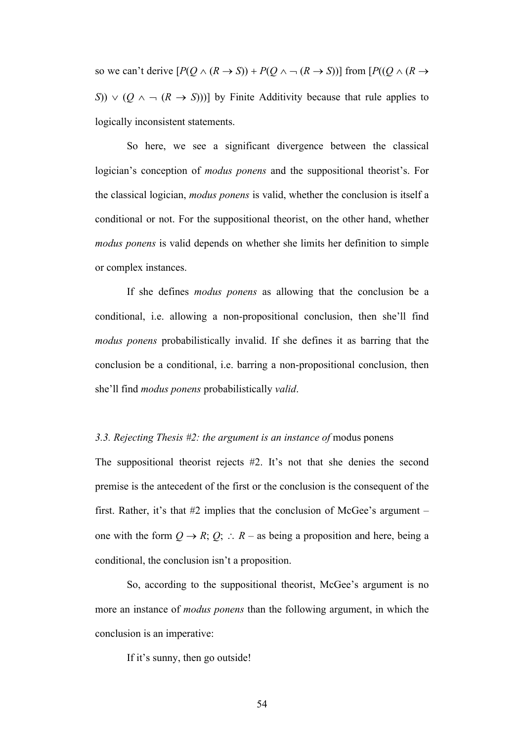so we can't derive  $[P(Q \land (R \rightarrow S)) + P(Q \land \neg (R \rightarrow S))]$  from  $[P((Q \land (R \rightarrow S))]$ *S*))  $\vee$  (*Q*  $\wedge$   $\rightarrow$  (*R*  $\rightarrow$  *S*)))] by Finite Additivity because that rule applies to logically inconsistent statements.

So here, we see a significant divergence between the classical logician's conception of *modus ponens* and the suppositional theorist's. For the classical logician, *modus ponens* is valid, whether the conclusion is itself a conditional or not. For the suppositional theorist, on the other hand, whether *modus ponens* is valid depends on whether she limits her definition to simple or complex instances.

If she defines *modus ponens* as allowing that the conclusion be a conditional, i.e. allowing a non-propositional conclusion, then she'll find *modus ponens* probabilistically invalid. If she defines it as barring that the conclusion be a conditional, i.e. barring a non-propositional conclusion, then she'll find *modus ponens* probabilistically *valid*.

## *3.3. Rejecting Thesis #2: the argument is an instance of* modus ponens

The suppositional theorist rejects #2. It's not that she denies the second premise is the antecedent of the first or the conclusion is the consequent of the first. Rather, it's that #2 implies that the conclusion of McGee's argument – one with the form  $Q \rightarrow R$ ;  $Q$ ;  $\therefore R$  – as being a proposition and here, being a conditional, the conclusion isn't a proposition.

So, according to the suppositional theorist, McGee's argument is no more an instance of *modus ponens* than the following argument, in which the conclusion is an imperative:

If it's sunny, then go outside!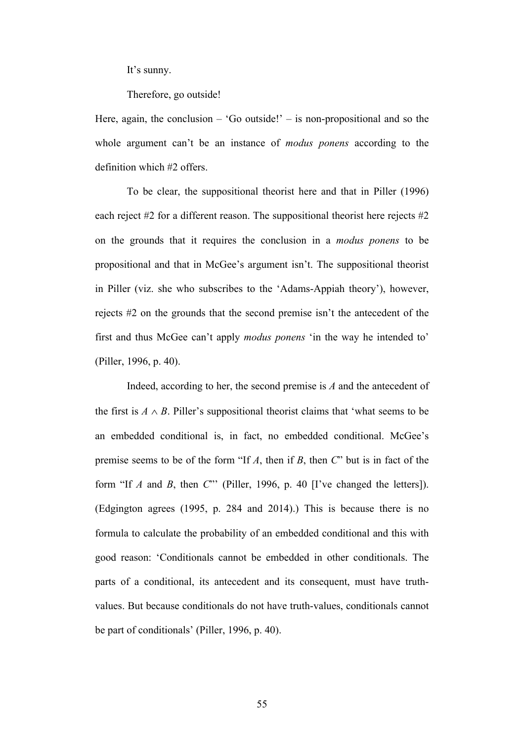It's sunny.

Therefore, go outside!

Here, again, the conclusion – 'Go outside!' – is non-propositional and so the whole argument can't be an instance of *modus ponens* according to the definition which #2 offers.

To be clear, the suppositional theorist here and that in Piller (1996) each reject #2 for a different reason. The suppositional theorist here rejects #2 on the grounds that it requires the conclusion in a *modus ponens* to be propositional and that in McGee's argument isn't. The suppositional theorist in Piller (viz. she who subscribes to the 'Adams-Appiah theory'), however, rejects #2 on the grounds that the second premise isn't the antecedent of the first and thus McGee can't apply *modus ponens* 'in the way he intended to' (Piller, 1996, p. 40).

Indeed, according to her, the second premise is *A* and the antecedent of the first is  $A \wedge B$ . Piller's suppositional theorist claims that 'what seems to be an embedded conditional is, in fact, no embedded conditional. McGee's premise seems to be of the form "If *A*, then if *B*, then *C*" but is in fact of the form "If *A* and *B*, then *C*"' (Piller, 1996, p. 40 [I've changed the letters]). (Edgington agrees (1995, p. 284 and 2014).) This is because there is no formula to calculate the probability of an embedded conditional and this with good reason: 'Conditionals cannot be embedded in other conditionals. The parts of a conditional, its antecedent and its consequent, must have truthvalues. But because conditionals do not have truth-values, conditionals cannot be part of conditionals' (Piller, 1996, p. 40).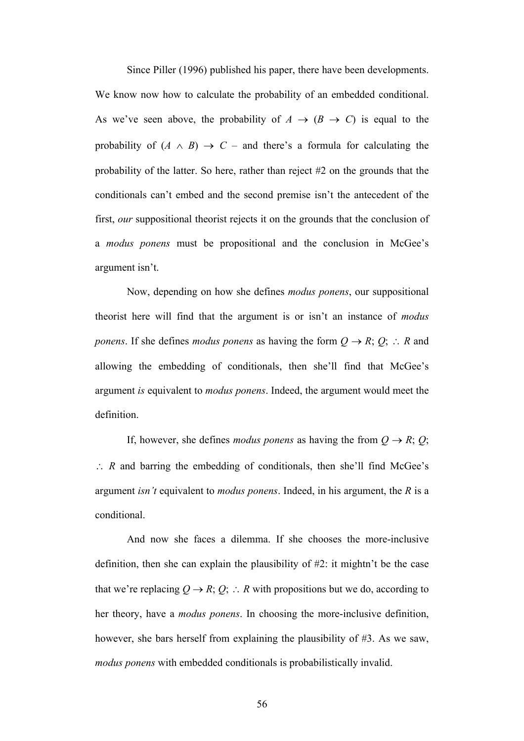Since Piller (1996) published his paper, there have been developments. We know now how to calculate the probability of an embedded conditional. As we've seen above, the probability of  $A \rightarrow (B \rightarrow C)$  is equal to the probability of  $(A \wedge B) \rightarrow C$  – and there's a formula for calculating the probability of the latter. So here, rather than reject #2 on the grounds that the conditionals can't embed and the second premise isn't the antecedent of the first, *our* suppositional theorist rejects it on the grounds that the conclusion of a *modus ponens* must be propositional and the conclusion in McGee's argument isn't.

Now, depending on how she defines *modus ponens*, our suppositional theorist here will find that the argument is or isn't an instance of *modus ponens*. If she defines *modus ponens* as having the form  $Q \rightarrow R$ ;  $Q$ ;  $\therefore$  *R* and allowing the embedding of conditionals, then she'll find that McGee's argument *is* equivalent to *modus ponens*. Indeed, the argument would meet the definition.

If, however, she defines *modus ponens* as having the from  $Q \rightarrow R$ ; *Q*;  $\therefore$  *R* and barring the embedding of conditionals, then she'll find McGee's argument *isn't* equivalent to *modus ponens*. Indeed, in his argument, the *R* is a conditional.

And now she faces a dilemma. If she chooses the more-inclusive definition, then she can explain the plausibility of #2: it mightn't be the case that we're replacing  $Q \to R$ ;  $Q$ ;  $\therefore$  R with propositions but we do, according to her theory, have a *modus ponens*. In choosing the more-inclusive definition, however, she bars herself from explaining the plausibility of #3. As we saw, *modus ponens* with embedded conditionals is probabilistically invalid.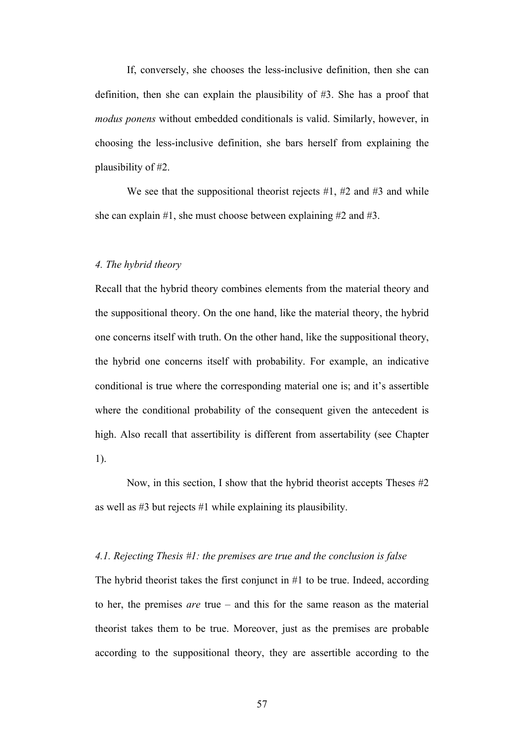If, conversely, she chooses the less-inclusive definition, then she can definition, then she can explain the plausibility of #3. She has a proof that *modus ponens* without embedded conditionals is valid. Similarly, however, in choosing the less-inclusive definition, she bars herself from explaining the plausibility of #2.

We see that the suppositional theorist rejects  $#1, #2$  and  $#3$  and while she can explain #1, she must choose between explaining #2 and #3.

# *4. The hybrid theory*

Recall that the hybrid theory combines elements from the material theory and the suppositional theory. On the one hand, like the material theory, the hybrid one concerns itself with truth. On the other hand, like the suppositional theory, the hybrid one concerns itself with probability. For example, an indicative conditional is true where the corresponding material one is; and it's assertible where the conditional probability of the consequent given the antecedent is high. Also recall that assertibility is different from assertability (see Chapter 1).

Now, in this section, I show that the hybrid theorist accepts Theses #2 as well as #3 but rejects #1 while explaining its plausibility.

### *4.1. Rejecting Thesis #1: the premises are true and the conclusion is false*

The hybrid theorist takes the first conjunct in #1 to be true. Indeed, according to her, the premises *are* true – and this for the same reason as the material theorist takes them to be true. Moreover, just as the premises are probable according to the suppositional theory, they are assertible according to the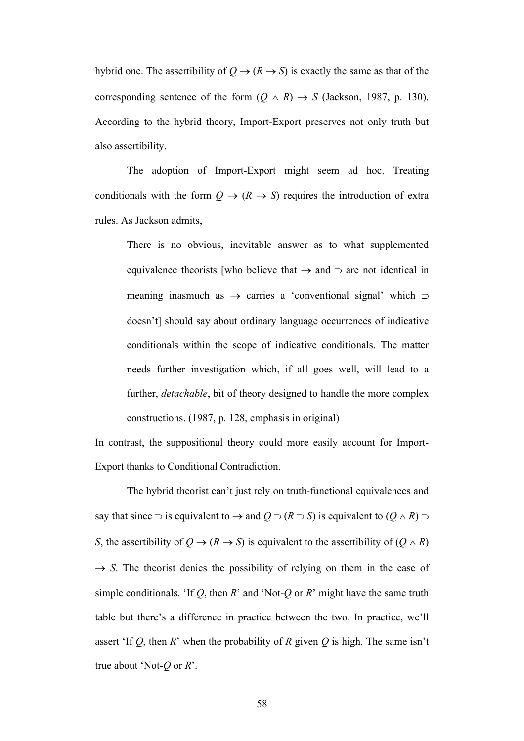hybrid one. The assertibility of  $Q \rightarrow (R \rightarrow S)$  is exactly the same as that of the corresponding sentence of the form  $(Q \land R) \rightarrow S$  (Jackson, 1987, p. 130). According to the hybrid theory, Import-Export preserves not only truth but also assertibility.

The adoption of Import-Export might seem ad hoc. Treating conditionals with the form  $Q \rightarrow (R \rightarrow S)$  requires the introduction of extra rules. As Jackson admits,

There is no obvious, inevitable answer as to what supplemented equivalence theorists [who believe that  $\rightarrow$  and  $\supset$  are not identical in meaning inasmuch as  $\rightarrow$  carries a 'conventional signal' which  $\supset$ doesn't] should say about ordinary language occurrences of indicative conditionals within the scope of indicative conditionals. The matter needs further investigation which, if all goes well, will lead to a further, *detachable*, bit of theory designed to handle the more complex constructions. (1987, p. 128, emphasis in original)

In contrast, the suppositional theory could more easily account for Import-Export thanks to Conditional Contradiction.

The hybrid theorist can't just rely on truth-functional equivalences and say that since  $\supset$  is equivalent to  $\rightarrow$  and  $Q \supset (R \supset S)$  is equivalent to  $(Q \wedge R) \supset$ *S*, the assertibility of  $Q \rightarrow (R \rightarrow S)$  is equivalent to the assertibility of  $(Q \land R)$  $\rightarrow$  *S*. The theorist denies the possibility of relying on them in the case of simple conditionals. 'If *Q*, then *R*' and 'Not-*Q* or *R*' might have the same truth table but there's a difference in practice between the two. In practice, we'll assert 'If *Q*, then *R*' when the probability of *R* given *Q* is high. The same isn't true about 'Not-*Q* or *R*'.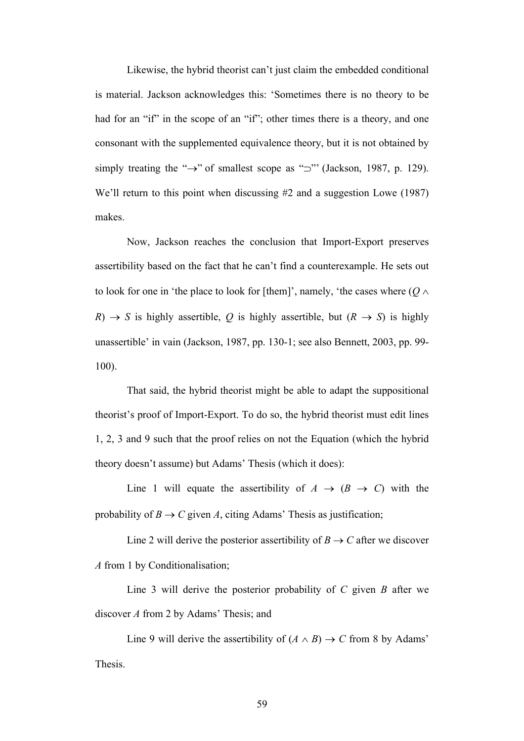Likewise, the hybrid theorist can't just claim the embedded conditional is material. Jackson acknowledges this: 'Sometimes there is no theory to be had for an "if" in the scope of an "if"; other times there is a theory, and one consonant with the supplemented equivalence theory, but it is not obtained by simply treating the " $\rightarrow$ " of smallest scope as " $\supset$ " (Jackson, 1987, p. 129). We'll return to this point when discussing #2 and a suggestion Lowe (1987) makes.

Now, Jackson reaches the conclusion that Import-Export preserves assertibility based on the fact that he can't find a counterexample. He sets out to look for one in 'the place to look for [them]', namely, 'the cases where  $(Q \wedge$  $R$ )  $\rightarrow$  *S* is highly assertible, *Q* is highly assertible, but ( $R \rightarrow S$ ) is highly unassertible' in vain (Jackson, 1987, pp. 130-1; see also Bennett, 2003, pp. 99- 100).

That said, the hybrid theorist might be able to adapt the suppositional theorist's proof of Import-Export. To do so, the hybrid theorist must edit lines 1, 2, 3 and 9 such that the proof relies on not the Equation (which the hybrid theory doesn't assume) but Adams' Thesis (which it does):

Line 1 will equate the assertibility of  $A \rightarrow (B \rightarrow C)$  with the probability of  $B \to C$  given *A*, citing Adams' Thesis as justification;

Line 2 will derive the posterior assertibility of  $B \to C$  after we discover *A* from 1 by Conditionalisation;

Line 3 will derive the posterior probability of *C* given *B* after we discover *A* from 2 by Adams' Thesis; and

Line 9 will derive the assertibility of  $(A \wedge B) \rightarrow C$  from 8 by Adams' Thesis.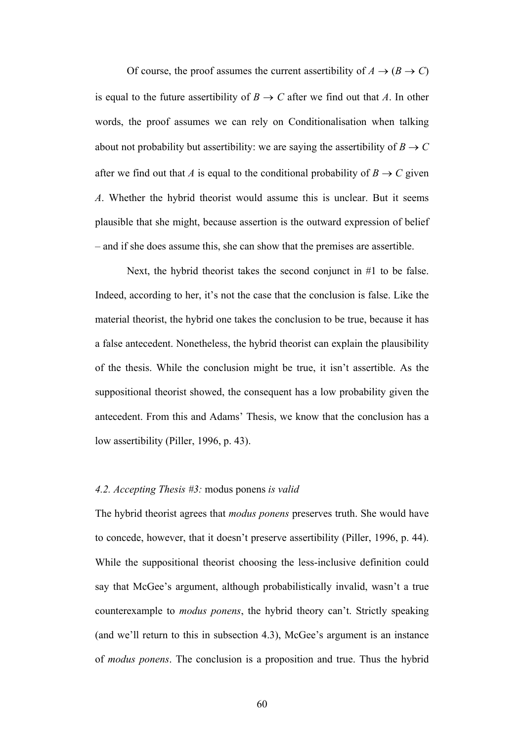Of course, the proof assumes the current assertibility of  $A \rightarrow (B \rightarrow C)$ is equal to the future assertibility of  $B \to C$  after we find out that *A*. In other words, the proof assumes we can rely on Conditionalisation when talking about not probability but assertibility: we are saying the assertibility of  $B \to C$ after we find out that *A* is equal to the conditional probability of  $B \to C$  given *A*. Whether the hybrid theorist would assume this is unclear. But it seems plausible that she might, because assertion is the outward expression of belief – and if she does assume this, she can show that the premises are assertible.

Next, the hybrid theorist takes the second conjunct in #1 to be false. Indeed, according to her, it's not the case that the conclusion is false. Like the material theorist, the hybrid one takes the conclusion to be true, because it has a false antecedent. Nonetheless, the hybrid theorist can explain the plausibility of the thesis. While the conclusion might be true, it isn't assertible. As the suppositional theorist showed, the consequent has a low probability given the antecedent. From this and Adams' Thesis, we know that the conclusion has a low assertibility (Piller, 1996, p. 43).

# *4.2. Accepting Thesis #3:* modus ponens *is valid*

The hybrid theorist agrees that *modus ponens* preserves truth. She would have to concede, however, that it doesn't preserve assertibility (Piller, 1996, p. 44). While the suppositional theorist choosing the less-inclusive definition could say that McGee's argument, although probabilistically invalid, wasn't a true counterexample to *modus ponens*, the hybrid theory can't. Strictly speaking (and we'll return to this in subsection 4.3), McGee's argument is an instance of *modus ponens*. The conclusion is a proposition and true. Thus the hybrid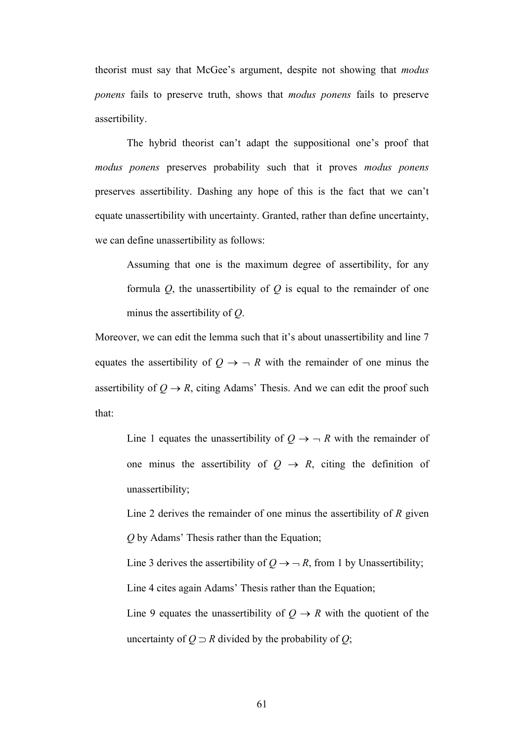theorist must say that McGee's argument, despite not showing that *modus ponens* fails to preserve truth, shows that *modus ponens* fails to preserve assertibility.

The hybrid theorist can't adapt the suppositional one's proof that *modus ponens* preserves probability such that it proves *modus ponens* preserves assertibility. Dashing any hope of this is the fact that we can't equate unassertibility with uncertainty. Granted, rather than define uncertainty, we can define unassertibility as follows:

Assuming that one is the maximum degree of assertibility, for any formula *Q*, the unassertibility of *Q* is equal to the remainder of one minus the assertibility of *Q*.

Moreover, we can edit the lemma such that it's about unassertibility and line 7 equates the assertibility of  $Q \rightarrow -R$  with the remainder of one minus the assertibility of  $Q \rightarrow R$ , citing Adams' Thesis. And we can edit the proof such that:

Line 1 equates the unassertibility of  $Q \rightarrow -R$  with the remainder of one minus the assertibility of  $Q \rightarrow R$ , citing the definition of unassertibility;

Line 2 derives the remainder of one minus the assertibility of *R* given *Q* by Adams' Thesis rather than the Equation;

Line 3 derives the assertibility of  $Q \rightarrow -R$ , from 1 by Unassertibility; Line 4 cites again Adams' Thesis rather than the Equation;

Line 9 equates the unassertibility of  $Q \rightarrow R$  with the quotient of the uncertainty of  $Q \supset R$  divided by the probability of  $Q$ ;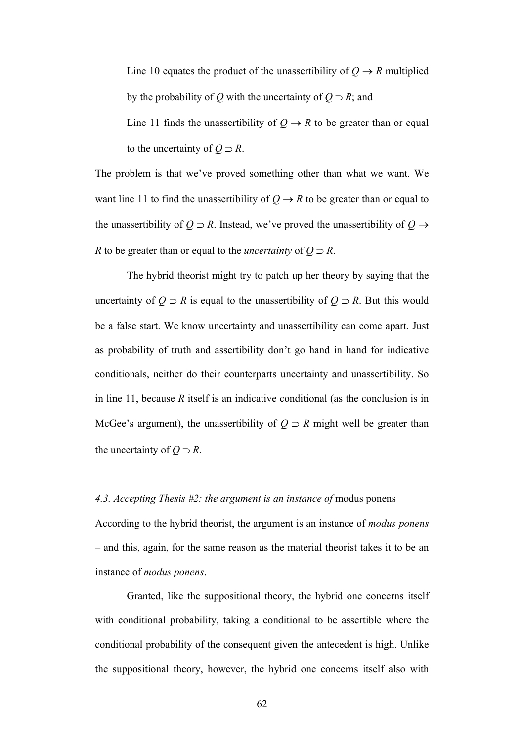Line 10 equates the product of the unassertibility of  $Q \rightarrow R$  multiplied by the probability of *Q* with the uncertainty of  $Q \supset R$ ; and

Line 11 finds the unassertibility of  $Q \rightarrow R$  to be greater than or equal to the uncertainty of  $Q \supset R$ .

The problem is that we've proved something other than what we want. We want line 11 to find the unassertibility of  $Q \rightarrow R$  to be greater than or equal to the unassertibility of  $Q \supset R$ . Instead, we've proved the unassertibility of  $Q \rightarrow$ *R* to be greater than or equal to the *uncertainty* of  $Q \supset R$ .

The hybrid theorist might try to patch up her theory by saying that the uncertainty of  $Q \supset R$  is equal to the unassertibility of  $Q \supset R$ . But this would be a false start. We know uncertainty and unassertibility can come apart. Just as probability of truth and assertibility don't go hand in hand for indicative conditionals, neither do their counterparts uncertainty and unassertibility. So in line 11, because *R* itself is an indicative conditional (as the conclusion is in McGee's argument), the unassertibility of  $Q \supset R$  might well be greater than the uncertainty of  $Q \supset R$ .

### *4.3. Accepting Thesis #2: the argument is an instance of* modus ponens

According to the hybrid theorist, the argument is an instance of *modus ponens* – and this, again, for the same reason as the material theorist takes it to be an instance of *modus ponens*.

Granted, like the suppositional theory, the hybrid one concerns itself with conditional probability, taking a conditional to be assertible where the conditional probability of the consequent given the antecedent is high. Unlike the suppositional theory, however, the hybrid one concerns itself also with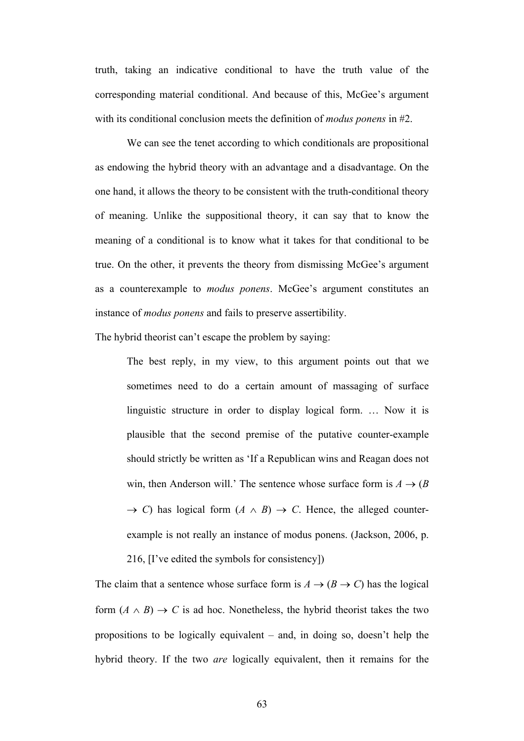truth, taking an indicative conditional to have the truth value of the corresponding material conditional. And because of this, McGee's argument with its conditional conclusion meets the definition of *modus ponens* in #2.

We can see the tenet according to which conditionals are propositional as endowing the hybrid theory with an advantage and a disadvantage. On the one hand, it allows the theory to be consistent with the truth-conditional theory of meaning. Unlike the suppositional theory, it can say that to know the meaning of a conditional is to know what it takes for that conditional to be true. On the other, it prevents the theory from dismissing McGee's argument as a counterexample to *modus ponens*. McGee's argument constitutes an instance of *modus ponens* and fails to preserve assertibility.

The hybrid theorist can't escape the problem by saying:

The best reply, in my view, to this argument points out that we sometimes need to do a certain amount of massaging of surface linguistic structure in order to display logical form. … Now it is plausible that the second premise of the putative counter-example should strictly be written as 'If a Republican wins and Reagan does not win, then Anderson will.' The sentence whose surface form is  $A \rightarrow (B \bullet \mathbb{R})$  $\rightarrow$  *C*) has logical form  $(A \wedge B) \rightarrow C$ . Hence, the alleged counterexample is not really an instance of modus ponens. (Jackson, 2006, p.

216, [I've edited the symbols for consistency])

The claim that a sentence whose surface form is  $A \rightarrow (B \rightarrow C)$  has the logical form  $(A \wedge B) \rightarrow C$  is ad hoc. Nonetheless, the hybrid theorist takes the two propositions to be logically equivalent – and, in doing so, doesn't help the hybrid theory. If the two *are* logically equivalent, then it remains for the

63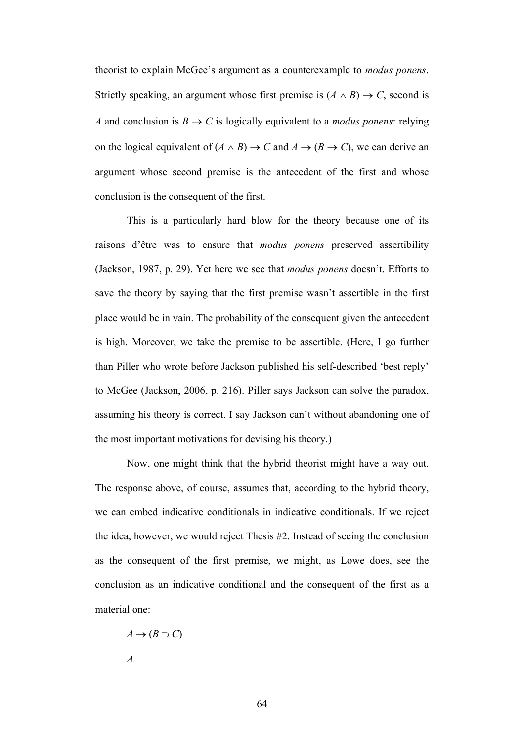theorist to explain McGee's argument as a counterexample to *modus ponens*. Strictly speaking, an argument whose first premise is  $(A \wedge B) \rightarrow C$ , second is *A* and conclusion is  $B \to C$  is logically equivalent to a *modus ponens*: relying on the logical equivalent of  $(A \wedge B) \rightarrow C$  and  $A \rightarrow (B \rightarrow C)$ , we can derive an argument whose second premise is the antecedent of the first and whose conclusion is the consequent of the first.

This is a particularly hard blow for the theory because one of its raisons d'être was to ensure that *modus ponens* preserved assertibility (Jackson, 1987, p. 29). Yet here we see that *modus ponens* doesn't. Efforts to save the theory by saying that the first premise wasn't assertible in the first place would be in vain. The probability of the consequent given the antecedent is high. Moreover, we take the premise to be assertible. (Here, I go further than Piller who wrote before Jackson published his self-described 'best reply' to McGee (Jackson, 2006, p. 216). Piller says Jackson can solve the paradox, assuming his theory is correct. I say Jackson can't without abandoning one of the most important motivations for devising his theory.)

Now, one might think that the hybrid theorist might have a way out. The response above, of course, assumes that, according to the hybrid theory, we can embed indicative conditionals in indicative conditionals. If we reject the idea, however, we would reject Thesis #2. Instead of seeing the conclusion as the consequent of the first premise, we might, as Lowe does, see the conclusion as an indicative conditional and the consequent of the first as a material one:

 $A \rightarrow (B \supset C)$ *A*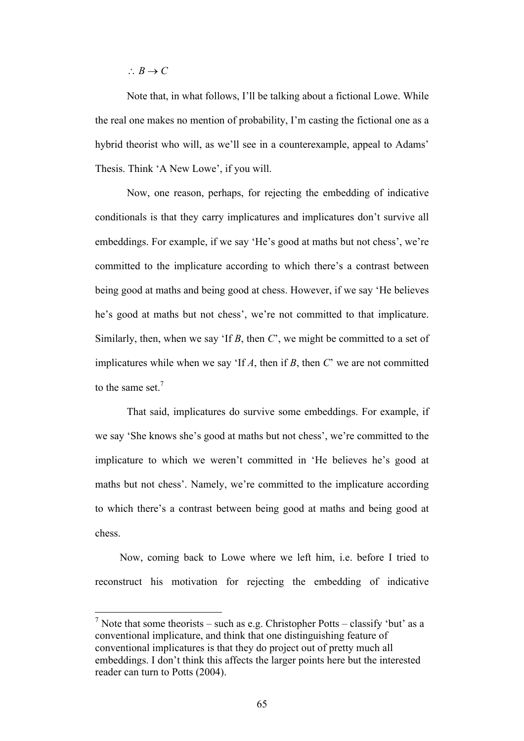$\therefore B \rightarrow C$ 

Note that, in what follows, I'll be talking about a fictional Lowe. While the real one makes no mention of probability, I'm casting the fictional one as a hybrid theorist who will, as we'll see in a counterexample, appeal to Adams' Thesis. Think 'A New Lowe', if you will.

Now, one reason, perhaps, for rejecting the embedding of indicative conditionals is that they carry implicatures and implicatures don't survive all embeddings. For example, if we say 'He's good at maths but not chess', we're committed to the implicature according to which there's a contrast between being good at maths and being good at chess. However, if we say 'He believes he's good at maths but not chess', we're not committed to that implicature. Similarly, then, when we say 'If *B*, then *C*', we might be committed to a set of implicatures while when we say 'If *A*, then if *B*, then *C*' we are not committed to the same set.<sup>7</sup>

That said, implicatures do survive some embeddings. For example, if we say 'She knows she's good at maths but not chess', we're committed to the implicature to which we weren't committed in 'He believes he's good at maths but not chess'. Namely, we're committed to the implicature according to which there's a contrast between being good at maths and being good at chess.

Now, coming back to Lowe where we left him, i.e. before I tried to reconstruct his motivation for rejecting the embedding of indicative

<sup>&</sup>lt;sup>7</sup> Note that some theorists – such as e.g. Christopher Potts – classify 'but' as a conventional implicature, and think that one distinguishing feature of conventional implicatures is that they do project out of pretty much all embeddings. I don't think this affects the larger points here but the interested reader can turn to Potts (2004).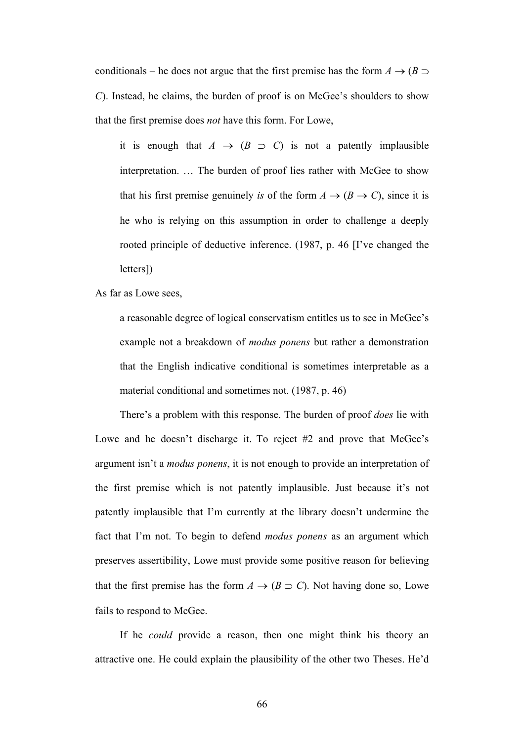conditionals – he does not argue that the first premise has the form  $A \rightarrow (B \supset$ *C*). Instead, he claims, the burden of proof is on McGee's shoulders to show that the first premise does *not* have this form. For Lowe,

it is enough that  $A \rightarrow (B \supset C)$  is not a patently implausible interpretation. … The burden of proof lies rather with McGee to show that his first premise genuinely *is* of the form  $A \rightarrow (B \rightarrow C)$ , since it is he who is relying on this assumption in order to challenge a deeply rooted principle of deductive inference. (1987, p. 46 [I've changed the letters])

As far as Lowe sees,

a reasonable degree of logical conservatism entitles us to see in McGee's example not a breakdown of *modus ponens* but rather a demonstration that the English indicative conditional is sometimes interpretable as a material conditional and sometimes not. (1987, p. 46)

There's a problem with this response. The burden of proof *does* lie with Lowe and he doesn't discharge it. To reject #2 and prove that McGee's argument isn't a *modus ponens*, it is not enough to provide an interpretation of the first premise which is not patently implausible. Just because it's not patently implausible that I'm currently at the library doesn't undermine the fact that I'm not. To begin to defend *modus ponens* as an argument which preserves assertibility, Lowe must provide some positive reason for believing that the first premise has the form  $A \rightarrow (B \supset C)$ . Not having done so, Lowe fails to respond to McGee.

If he *could* provide a reason, then one might think his theory an attractive one. He could explain the plausibility of the other two Theses. He'd

66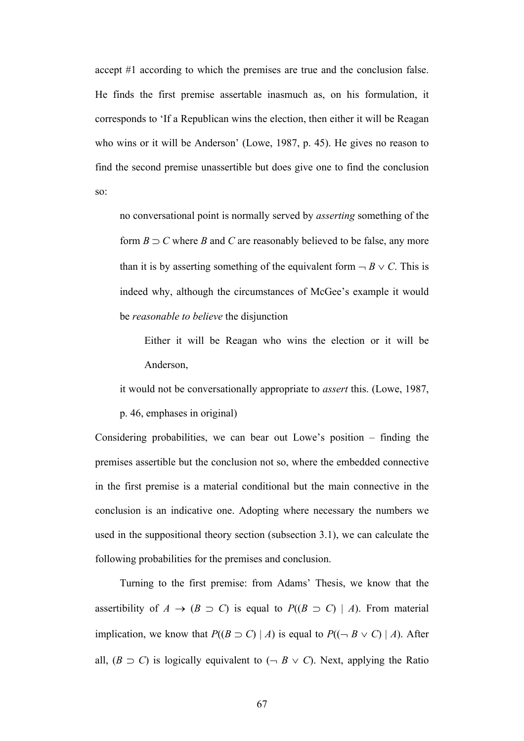accept #1 according to which the premises are true and the conclusion false. He finds the first premise assertable inasmuch as, on his formulation, it corresponds to 'If a Republican wins the election, then either it will be Reagan who wins or it will be Anderson' (Lowe, 1987, p. 45). He gives no reason to find the second premise unassertible but does give one to find the conclusion so:

no conversational point is normally served by *asserting* something of the form  $B \supset C$  where *B* and *C* are reasonably believed to be false, any more than it is by asserting something of the equivalent form  $\neg B \lor C$ . This is indeed why, although the circumstances of McGee's example it would be *reasonable to believe* the disjunction

Either it will be Reagan who wins the election or it will be Anderson,

it would not be conversationally appropriate to *assert* this. (Lowe, 1987,

p. 46, emphases in original)

Considering probabilities, we can bear out Lowe's position – finding the premises assertible but the conclusion not so, where the embedded connective in the first premise is a material conditional but the main connective in the conclusion is an indicative one. Adopting where necessary the numbers we used in the suppositional theory section (subsection 3.1), we can calculate the following probabilities for the premises and conclusion.

Turning to the first premise: from Adams' Thesis, we know that the assertibility of  $A \rightarrow (B \supset C)$  is equal to  $P((B \supset C) | A)$ . From material implication, we know that  $P((B \supset C) | A)$  is equal to  $P((\neg B \vee C) | A)$ . After all,  $(B \supset C)$  is logically equivalent to  $(\neg B \lor C)$ . Next, applying the Ratio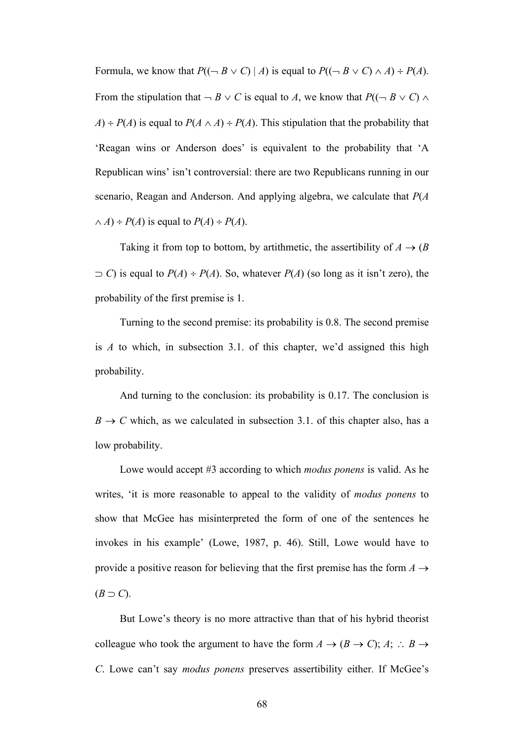Formula, we know that  $P((\neg B \lor C) \mid A)$  is equal to  $P((\neg B \lor C) \land A) \div P(A)$ . From the stipulation that  $\neg B \lor C$  is equal to *A*, we know that  $P((\neg B \lor C) \land$  $A$ ) ÷ *P*(*A*) is equal to *P*(*A*  $\land$  *A*) ÷ *P*(*A*). This stipulation that the probability that 'Reagan wins or Anderson does' is equivalent to the probability that 'A Republican wins' isn't controversial: there are two Republicans running in our scenario, Reagan and Anderson. And applying algebra, we calculate that *P*(*A*  $\wedge$  *A*) ÷ *P*(*A*) is equal to *P*(*A*) ÷ *P*(*A*).

Taking it from top to bottom, by artithmetic, the assertibility of  $A \rightarrow (B \bullet \mathbb{R})$  $\supset C$ ) is equal to  $P(A) \div P(A)$ . So, whatever  $P(A)$  (so long as it isn't zero), the probability of the first premise is 1.

Turning to the second premise: its probability is 0.8. The second premise is *A* to which, in subsection 3.1. of this chapter, we'd assigned this high probability.

And turning to the conclusion: its probability is 0.17. The conclusion is  $B \to C$  which, as we calculated in subsection 3.1. of this chapter also, has a low probability.

Lowe would accept #3 according to which *modus ponens* is valid. As he writes, 'it is more reasonable to appeal to the validity of *modus ponens* to show that McGee has misinterpreted the form of one of the sentences he invokes in his example' (Lowe, 1987, p. 46). Still, Lowe would have to provide a positive reason for believing that the first premise has the form  $A \rightarrow$  $(B \supset C)$ .

But Lowe's theory is no more attractive than that of his hybrid theorist colleague who took the argument to have the form  $A \rightarrow (B \rightarrow C)$ ;  $A$ ;  $\therefore B \rightarrow$ *C*. Lowe can't say *modus ponens* preserves assertibility either. If McGee's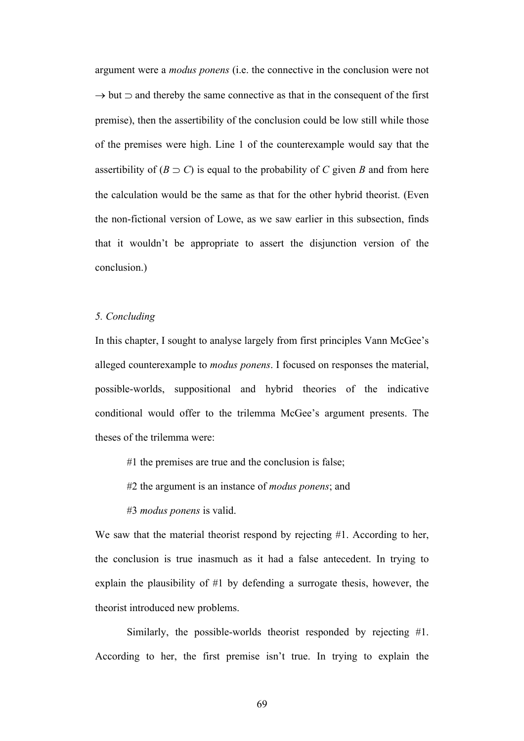argument were a *modus ponens* (i.e. the connective in the conclusion were not  $\rightarrow$  but  $\equiv$  and thereby the same connective as that in the consequent of the first premise), then the assertibility of the conclusion could be low still while those of the premises were high. Line 1 of the counterexample would say that the assertibility of  $(B \supset C)$  is equal to the probability of *C* given *B* and from here the calculation would be the same as that for the other hybrid theorist. (Even the non-fictional version of Lowe, as we saw earlier in this subsection, finds that it wouldn't be appropriate to assert the disjunction version of the conclusion.)

## *5. Concluding*

In this chapter, I sought to analyse largely from first principles Vann McGee's alleged counterexample to *modus ponens*. I focused on responses the material, possible-worlds, suppositional and hybrid theories of the indicative conditional would offer to the trilemma McGee's argument presents. The theses of the trilemma were:

#1 the premises are true and the conclusion is false;

#2 the argument is an instance of *modus ponens*; and

#3 *modus ponens* is valid.

We saw that the material theorist respond by rejecting #1. According to her, the conclusion is true inasmuch as it had a false antecedent. In trying to explain the plausibility of #1 by defending a surrogate thesis, however, the theorist introduced new problems.

Similarly, the possible-worlds theorist responded by rejecting #1. According to her, the first premise isn't true. In trying to explain the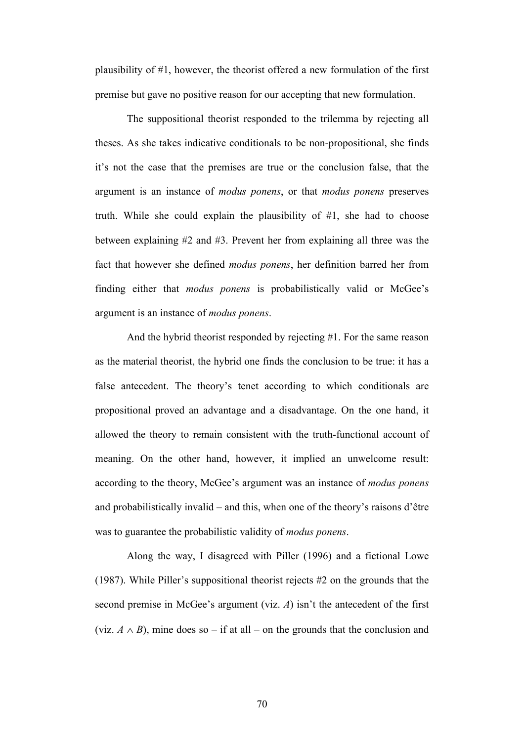plausibility of #1, however, the theorist offered a new formulation of the first premise but gave no positive reason for our accepting that new formulation.

The suppositional theorist responded to the trilemma by rejecting all theses. As she takes indicative conditionals to be non-propositional, she finds it's not the case that the premises are true or the conclusion false, that the argument is an instance of *modus ponens*, or that *modus ponens* preserves truth. While she could explain the plausibility of #1, she had to choose between explaining #2 and #3. Prevent her from explaining all three was the fact that however she defined *modus ponens*, her definition barred her from finding either that *modus ponens* is probabilistically valid or McGee's argument is an instance of *modus ponens*.

And the hybrid theorist responded by rejecting #1. For the same reason as the material theorist, the hybrid one finds the conclusion to be true: it has a false antecedent. The theory's tenet according to which conditionals are propositional proved an advantage and a disadvantage. On the one hand, it allowed the theory to remain consistent with the truth-functional account of meaning. On the other hand, however, it implied an unwelcome result: according to the theory, McGee's argument was an instance of *modus ponens* and probabilistically invalid – and this, when one of the theory's raisons d'être was to guarantee the probabilistic validity of *modus ponens*.

Along the way, I disagreed with Piller (1996) and a fictional Lowe (1987). While Piller's suppositional theorist rejects #2 on the grounds that the second premise in McGee's argument (viz. *A*) isn't the antecedent of the first (viz.  $A \wedge B$ ), mine does so – if at all – on the grounds that the conclusion and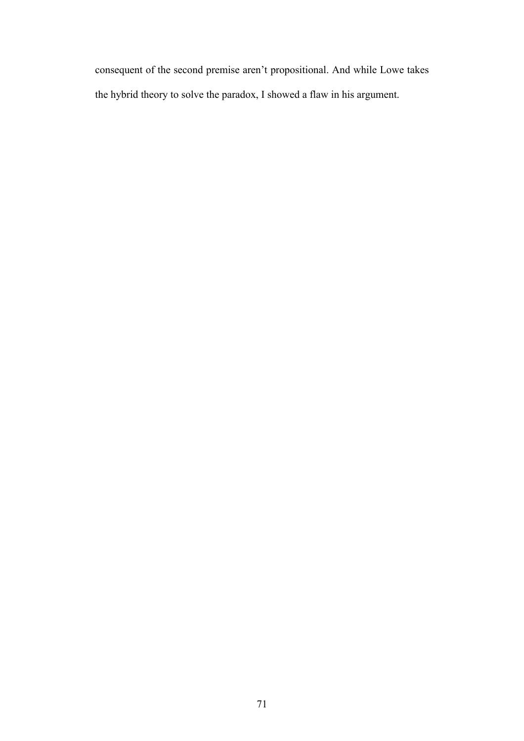consequent of the second premise aren't propositional. And while Lowe takes the hybrid theory to solve the paradox, I showed a flaw in his argument.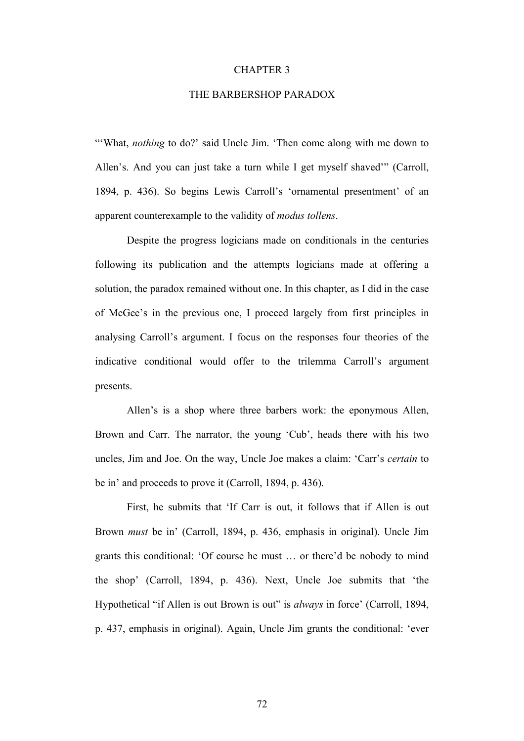#### CHAPTER 3

#### THE BARBERSHOP PARADOX

"'What, *nothing* to do?' said Uncle Jim. 'Then come along with me down to Allen's. And you can just take a turn while I get myself shaved'" (Carroll, 1894, p. 436). So begins Lewis Carroll's 'ornamental presentment' of an apparent counterexample to the validity of *modus tollens*.

Despite the progress logicians made on conditionals in the centuries following its publication and the attempts logicians made at offering a solution, the paradox remained without one. In this chapter, as I did in the case of McGee's in the previous one, I proceed largely from first principles in analysing Carroll's argument. I focus on the responses four theories of the indicative conditional would offer to the trilemma Carroll's argument presents.

Allen's is a shop where three barbers work: the eponymous Allen, Brown and Carr. The narrator, the young 'Cub', heads there with his two uncles, Jim and Joe. On the way, Uncle Joe makes a claim: 'Carr's *certain* to be in' and proceeds to prove it (Carroll, 1894, p. 436).

First, he submits that 'If Carr is out, it follows that if Allen is out Brown *must* be in' (Carroll, 1894, p. 436, emphasis in original). Uncle Jim grants this conditional: 'Of course he must … or there'd be nobody to mind the shop' (Carroll, 1894, p. 436). Next, Uncle Joe submits that 'the Hypothetical "if Allen is out Brown is out" is *always* in force' (Carroll, 1894, p. 437, emphasis in original). Again, Uncle Jim grants the conditional: 'ever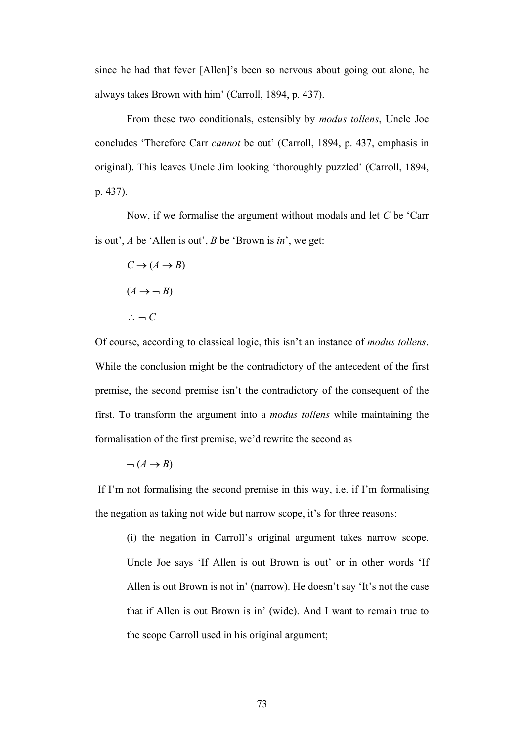since he had that fever [Allen]'s been so nervous about going out alone, he always takes Brown with him' (Carroll, 1894, p. 437).

From these two conditionals, ostensibly by *modus tollens*, Uncle Joe concludes 'Therefore Carr *cannot* be out' (Carroll, 1894, p. 437, emphasis in original). This leaves Uncle Jim looking 'thoroughly puzzled' (Carroll, 1894, p. 437).

Now, if we formalise the argument without modals and let *C* be 'Carr is out', *A* be 'Allen is out', *B* be 'Brown is *in*', we get:

$$
C \to (A \to B)
$$

$$
(A \to \neg B)
$$

$$
\therefore \neg C
$$

Of course, according to classical logic, this isn't an instance of *modus tollens*. While the conclusion might be the contradictory of the antecedent of the first premise, the second premise isn't the contradictory of the consequent of the first. To transform the argument into a *modus tollens* while maintaining the formalisation of the first premise, we'd rewrite the second as

$$
\neg (A \rightarrow B)
$$

If I'm not formalising the second premise in this way, i.e. if I'm formalising the negation as taking not wide but narrow scope, it's for three reasons:

(i) the negation in Carroll's original argument takes narrow scope. Uncle Joe says 'If Allen is out Brown is out' or in other words 'If Allen is out Brown is not in' (narrow). He doesn't say 'It's not the case that if Allen is out Brown is in' (wide). And I want to remain true to the scope Carroll used in his original argument;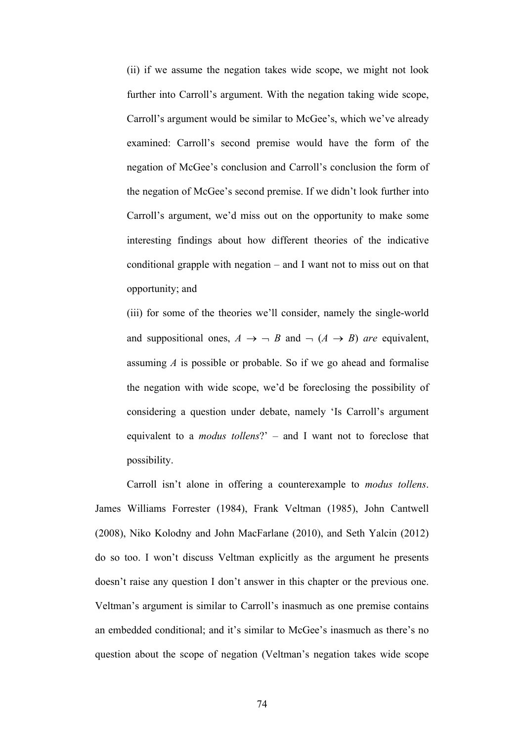(ii) if we assume the negation takes wide scope, we might not look further into Carroll's argument. With the negation taking wide scope, Carroll's argument would be similar to McGee's, which we've already examined: Carroll's second premise would have the form of the negation of McGee's conclusion and Carroll's conclusion the form of the negation of McGee's second premise. If we didn't look further into Carroll's argument, we'd miss out on the opportunity to make some interesting findings about how different theories of the indicative conditional grapple with negation – and I want not to miss out on that opportunity; and

(iii) for some of the theories we'll consider, namely the single-world and suppositional ones,  $A \rightarrow \neg B$  and  $\neg (A \rightarrow B)$  *are* equivalent, assuming *A* is possible or probable. So if we go ahead and formalise the negation with wide scope, we'd be foreclosing the possibility of considering a question under debate, namely 'Is Carroll's argument equivalent to a *modus tollens*?' – and I want not to foreclose that possibility.

Carroll isn't alone in offering a counterexample to *modus tollens*. James Williams Forrester (1984), Frank Veltman (1985), John Cantwell (2008), Niko Kolodny and John MacFarlane (2010), and Seth Yalcin (2012) do so too. I won't discuss Veltman explicitly as the argument he presents doesn't raise any question I don't answer in this chapter or the previous one. Veltman's argument is similar to Carroll's inasmuch as one premise contains an embedded conditional; and it's similar to McGee's inasmuch as there's no question about the scope of negation (Veltman's negation takes wide scope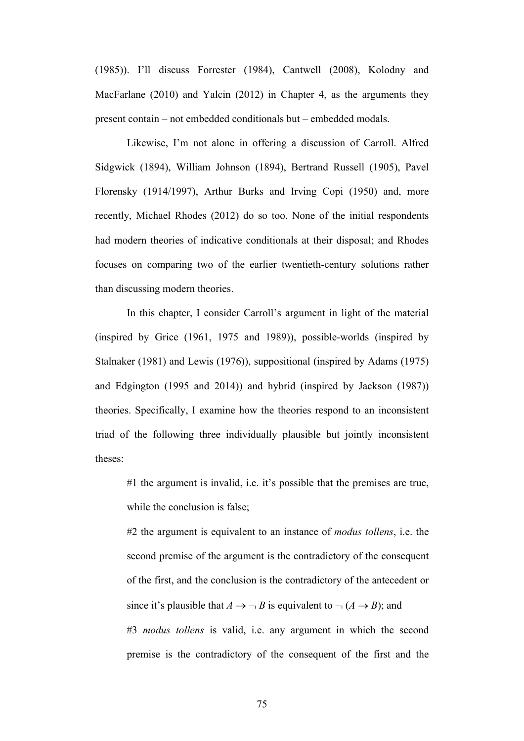(1985)). I'll discuss Forrester (1984), Cantwell (2008), Kolodny and MacFarlane (2010) and Yalcin (2012) in Chapter 4, as the arguments they present contain – not embedded conditionals but – embedded modals.

Likewise, I'm not alone in offering a discussion of Carroll. Alfred Sidgwick (1894), William Johnson (1894), Bertrand Russell (1905), Pavel Florensky (1914/1997), Arthur Burks and Irving Copi (1950) and, more recently, Michael Rhodes (2012) do so too. None of the initial respondents had modern theories of indicative conditionals at their disposal; and Rhodes focuses on comparing two of the earlier twentieth-century solutions rather than discussing modern theories.

In this chapter, I consider Carroll's argument in light of the material (inspired by Grice (1961, 1975 and 1989)), possible-worlds (inspired by Stalnaker (1981) and Lewis (1976)), suppositional (inspired by Adams (1975) and Edgington (1995 and 2014)) and hybrid (inspired by Jackson (1987)) theories. Specifically, I examine how the theories respond to an inconsistent triad of the following three individually plausible but jointly inconsistent theses:

#1 the argument is invalid, i.e. it's possible that the premises are true, while the conclusion is false;

#2 the argument is equivalent to an instance of *modus tollens*, i.e. the second premise of the argument is the contradictory of the consequent of the first, and the conclusion is the contradictory of the antecedent or since it's plausible that  $A \rightarrow \neg B$  is equivalent to  $\neg (A \rightarrow B)$ ; and #3 *modus tollens* is valid, i.e. any argument in which the second premise is the contradictory of the consequent of the first and the

75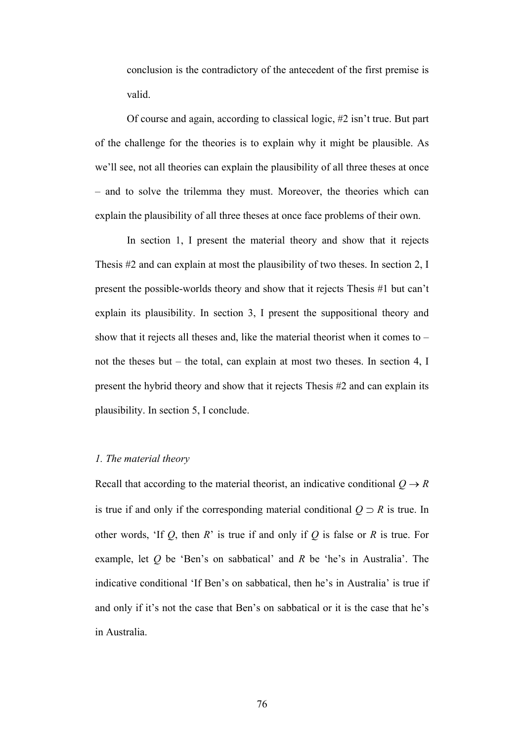conclusion is the contradictory of the antecedent of the first premise is valid.

Of course and again, according to classical logic, #2 isn't true. But part of the challenge for the theories is to explain why it might be plausible. As we'll see, not all theories can explain the plausibility of all three theses at once – and to solve the trilemma they must. Moreover, the theories which can explain the plausibility of all three theses at once face problems of their own.

In section 1, I present the material theory and show that it rejects Thesis #2 and can explain at most the plausibility of two theses. In section 2, I present the possible-worlds theory and show that it rejects Thesis #1 but can't explain its plausibility. In section 3, I present the suppositional theory and show that it rejects all theses and, like the material theorist when it comes to – not the theses but – the total, can explain at most two theses. In section 4, I present the hybrid theory and show that it rejects Thesis #2 and can explain its plausibility. In section 5, I conclude.

# *1. The material theory*

Recall that according to the material theorist, an indicative conditional  $Q \rightarrow R$ is true if and only if the corresponding material conditional  $Q \supset R$  is true. In other words, 'If *Q*, then *R*' is true if and only if *Q* is false or *R* is true. For example, let *Q* be 'Ben's on sabbatical' and *R* be 'he's in Australia'. The indicative conditional 'If Ben's on sabbatical, then he's in Australia' is true if and only if it's not the case that Ben's on sabbatical or it is the case that he's in Australia.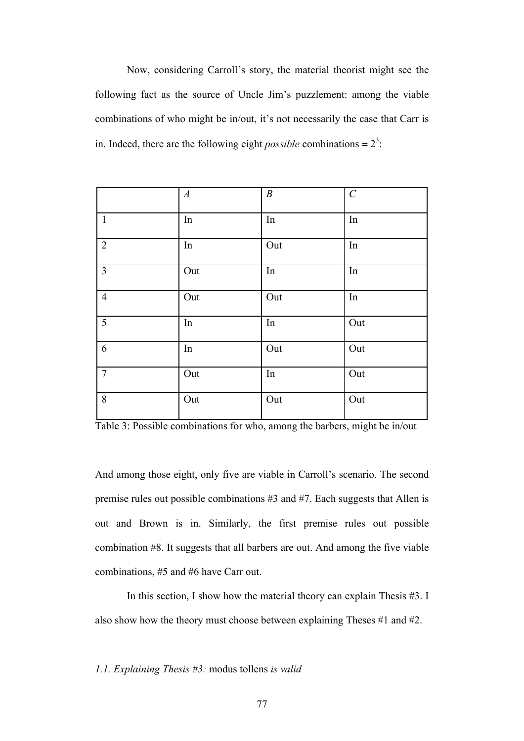Now, considering Carroll's story, the material theorist might see the following fact as the source of Uncle Jim's puzzlement: among the viable combinations of who might be in/out, it's not necessarily the case that Carr is in. Indeed, there are the following eight *possible* combinations =  $2<sup>3</sup>$ .

|                | $\boldsymbol{A}$ | $\boldsymbol{B}$ | $\cal C$ |
|----------------|------------------|------------------|----------|
| $\mathbf{1}$   | In               | In               | In       |
| $\overline{2}$ | $\rm{In}$        | Out              | In       |
| $\overline{3}$ | Out              | In               | In       |
| $\overline{4}$ | Out              | Out              | In       |
| 5              | $\rm{In}$        | In               | Out      |
| 6              | $\rm{In}$        | Out              | Out      |
| $\tau$         | Out              | $\rm{In}$        | Out      |
| 8              | Out              | Out              | Out      |

Table 3: Possible combinations for who, among the barbers, might be in/out

And among those eight, only five are viable in Carroll's scenario. The second premise rules out possible combinations #3 and #7. Each suggests that Allen is out and Brown is in. Similarly, the first premise rules out possible combination #8. It suggests that all barbers are out. And among the five viable combinations, #5 and #6 have Carr out.

In this section, I show how the material theory can explain Thesis #3. I also show how the theory must choose between explaining Theses #1 and #2.

*1.1. Explaining Thesis #3:* modus tollens *is valid*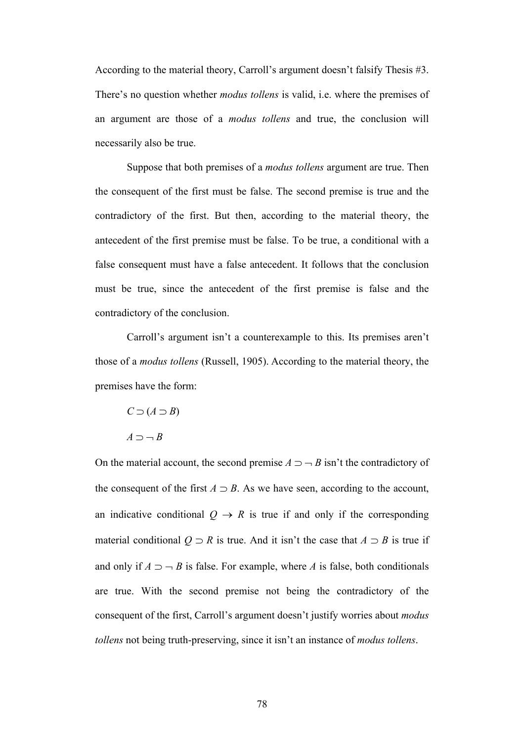According to the material theory, Carroll's argument doesn't falsify Thesis #3. There's no question whether *modus tollens* is valid, i.e. where the premises of an argument are those of a *modus tollens* and true, the conclusion will necessarily also be true.

Suppose that both premises of a *modus tollens* argument are true. Then the consequent of the first must be false. The second premise is true and the contradictory of the first. But then, according to the material theory, the antecedent of the first premise must be false. To be true, a conditional with a false consequent must have a false antecedent. It follows that the conclusion must be true, since the antecedent of the first premise is false and the contradictory of the conclusion.

Carroll's argument isn't a counterexample to this. Its premises aren't those of a *modus tollens* (Russell, 1905). According to the material theory, the premises have the form:

$$
C \supset (A \supset B)
$$

$$
A \supset \neg B
$$

On the material account, the second premise  $A \supset \neg B$  isn't the contradictory of the consequent of the first  $A \supset B$ . As we have seen, according to the account, an indicative conditional  $Q \rightarrow R$  is true if and only if the corresponding material conditional  $Q \supset R$  is true. And it isn't the case that  $A \supset B$  is true if and only if  $A \supset -B$  is false. For example, where *A* is false, both conditionals are true. With the second premise not being the contradictory of the consequent of the first, Carroll's argument doesn't justify worries about *modus tollens* not being truth-preserving, since it isn't an instance of *modus tollens*.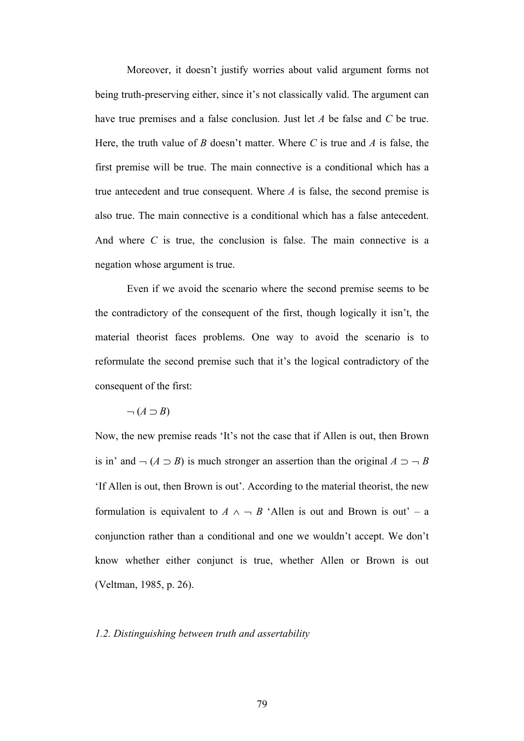Moreover, it doesn't justify worries about valid argument forms not being truth-preserving either, since it's not classically valid. The argument can have true premises and a false conclusion. Just let *A* be false and *C* be true. Here, the truth value of *B* doesn't matter. Where *C* is true and *A* is false, the first premise will be true. The main connective is a conditional which has a true antecedent and true consequent. Where *A* is false, the second premise is also true. The main connective is a conditional which has a false antecedent. And where *C* is true, the conclusion is false. The main connective is a negation whose argument is true.

Even if we avoid the scenario where the second premise seems to be the contradictory of the consequent of the first, though logically it isn't, the material theorist faces problems. One way to avoid the scenario is to reformulate the second premise such that it's the logical contradictory of the consequent of the first:

# $\neg$   $(A \supset B)$

Now, the new premise reads 'It's not the case that if Allen is out, then Brown is in' and  $\neg$  (*A*  $\supset$  *B*) is much stronger an assertion than the original *A*  $\supset$   $\neg$  *B* 'If Allen is out, then Brown is out'. According to the material theorist, the new formulation is equivalent to  $A \wedge \neg B$  'Allen is out and Brown is out' – a conjunction rather than a conditional and one we wouldn't accept. We don't know whether either conjunct is true, whether Allen or Brown is out (Veltman, 1985, p. 26).

#### *1.2. Distinguishing between truth and assertability*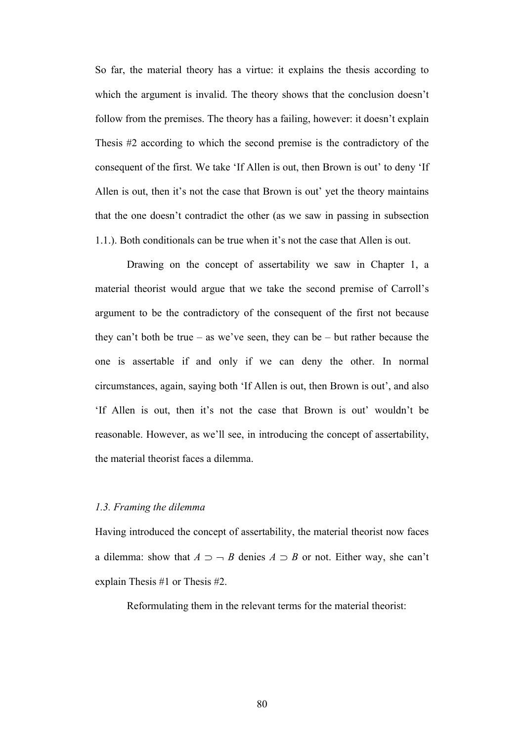So far, the material theory has a virtue: it explains the thesis according to which the argument is invalid. The theory shows that the conclusion doesn't follow from the premises. The theory has a failing, however: it doesn't explain Thesis #2 according to which the second premise is the contradictory of the consequent of the first. We take 'If Allen is out, then Brown is out' to deny 'If Allen is out, then it's not the case that Brown is out' yet the theory maintains that the one doesn't contradict the other (as we saw in passing in subsection 1.1.). Both conditionals can be true when it's not the case that Allen is out.

Drawing on the concept of assertability we saw in Chapter 1, a material theorist would argue that we take the second premise of Carroll's argument to be the contradictory of the consequent of the first not because they can't both be true – as we've seen, they can be – but rather because the one is assertable if and only if we can deny the other. In normal circumstances, again, saying both 'If Allen is out, then Brown is out', and also 'If Allen is out, then it's not the case that Brown is out' wouldn't be reasonable. However, as we'll see, in introducing the concept of assertability, the material theorist faces a dilemma.

## *1.3. Framing the dilemma*

Having introduced the concept of assertability, the material theorist now faces a dilemma: show that  $A \supset \neg B$  denies  $A \supset B$  or not. Either way, she can't explain Thesis #1 or Thesis #2.

Reformulating them in the relevant terms for the material theorist: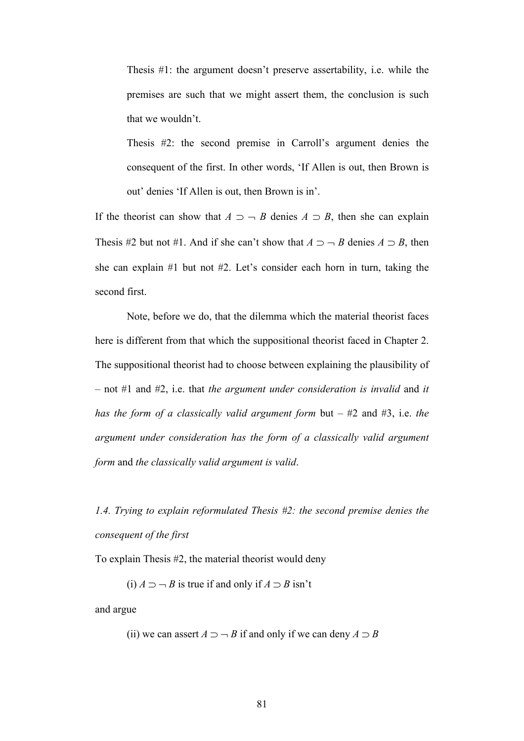Thesis #1: the argument doesn't preserve assertability, i.e. while the premises are such that we might assert them, the conclusion is such that we wouldn't.

Thesis #2: the second premise in Carroll's argument denies the consequent of the first. In other words, 'If Allen is out, then Brown is out' denies 'If Allen is out, then Brown is in'.

If the theorist can show that  $A \supset \neg B$  denies  $A \supset B$ , then she can explain Thesis #2 but not #1. And if she can't show that  $A \supset \neg B$  denies  $A \supset B$ , then she can explain #1 but not #2. Let's consider each horn in turn, taking the second first.

Note, before we do, that the dilemma which the material theorist faces here is different from that which the suppositional theorist faced in Chapter 2. The suppositional theorist had to choose between explaining the plausibility of – not #1 and #2, i.e. that *the argument under consideration is invalid* and *it has the form of a classically valid argument form* but – #2 and #3, i.e. *the argument under consideration has the form of a classically valid argument form* and *the classically valid argument is valid*.

*1.4. Trying to explain reformulated Thesis #2: the second premise denies the consequent of the first*

To explain Thesis #2, the material theorist would deny

(i)  $A \supset B$  is true if and only if  $A \supset B$  isn't

and argue

(ii) we can assert  $A \supset B$  if and only if we can deny  $A \supset B$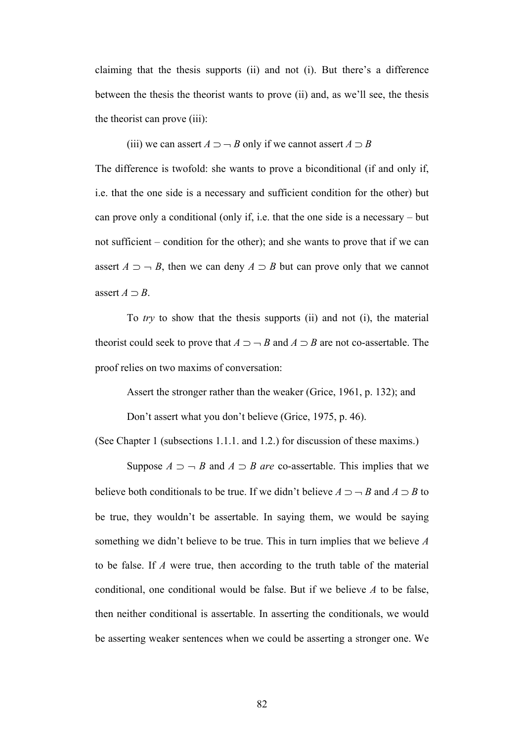claiming that the thesis supports (ii) and not (i). But there's a difference between the thesis the theorist wants to prove (ii) and, as we'll see, the thesis the theorist can prove (iii):

(iii) we can assert  $A \supset B$  only if we cannot assert  $A \supset B$ 

The difference is twofold: she wants to prove a biconditional (if and only if, i.e. that the one side is a necessary and sufficient condition for the other) but can prove only a conditional (only if, i.e. that the one side is a necessary – but not sufficient – condition for the other); and she wants to prove that if we can assert  $A \supset \neg B$ , then we can deny  $A \supset B$  but can prove only that we cannot assert  $A \supset B$ .

To *try* to show that the thesis supports (ii) and not (i), the material theorist could seek to prove that  $A \supset \neg B$  and  $A \supset B$  are not co-assertable. The proof relies on two maxims of conversation:

Assert the stronger rather than the weaker (Grice, 1961, p. 132); and

Don't assert what you don't believe (Grice, 1975, p. 46).

(See Chapter 1 (subsections 1.1.1. and 1.2.) for discussion of these maxims.)

Suppose  $A \supset \neg B$  and  $A \supset B$  *are* co-assertable. This implies that we believe both conditionals to be true. If we didn't believe  $A \supset B$  and  $A \supset B$  to be true, they wouldn't be assertable. In saying them, we would be saying something we didn't believe to be true. This in turn implies that we believe *A* to be false. If *A* were true, then according to the truth table of the material conditional, one conditional would be false. But if we believe *A* to be false, then neither conditional is assertable. In asserting the conditionals, we would be asserting weaker sentences when we could be asserting a stronger one. We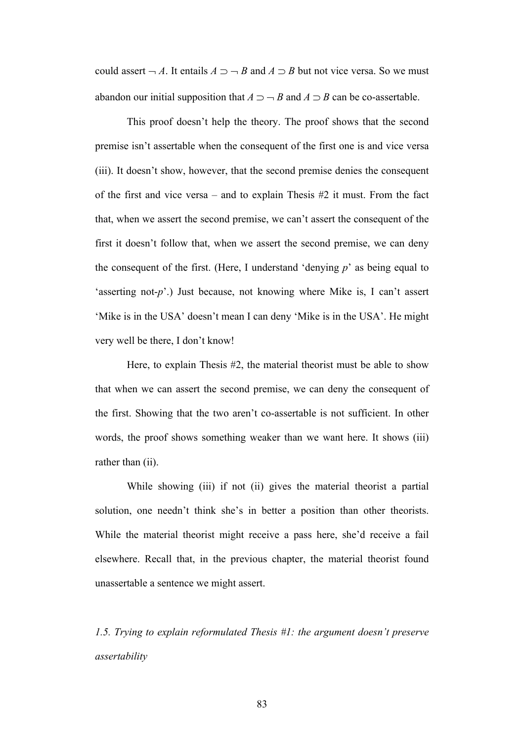could assert  $\neg A$ . It entails  $A \supset \neg B$  and  $A \supset B$  but not vice versa. So we must abandon our initial supposition that  $A \supset B$  and  $A \supset B$  can be co-assertable.

This proof doesn't help the theory. The proof shows that the second premise isn't assertable when the consequent of the first one is and vice versa (iii). It doesn't show, however, that the second premise denies the consequent of the first and vice versa – and to explain Thesis  $\#2$  it must. From the fact that, when we assert the second premise, we can't assert the consequent of the first it doesn't follow that, when we assert the second premise, we can deny the consequent of the first. (Here, I understand 'denying *p*' as being equal to 'asserting not-*p*'.) Just because, not knowing where Mike is, I can't assert 'Mike is in the USA' doesn't mean I can deny 'Mike is in the USA'. He might very well be there, I don't know!

Here, to explain Thesis #2, the material theorist must be able to show that when we can assert the second premise, we can deny the consequent of the first. Showing that the two aren't co-assertable is not sufficient. In other words, the proof shows something weaker than we want here. It shows (iii) rather than (ii).

While showing (iii) if not (ii) gives the material theorist a partial solution, one needn't think she's in better a position than other theorists. While the material theorist might receive a pass here, she'd receive a fail elsewhere. Recall that, in the previous chapter, the material theorist found unassertable a sentence we might assert.

*1.5. Trying to explain reformulated Thesis #1: the argument doesn't preserve assertability*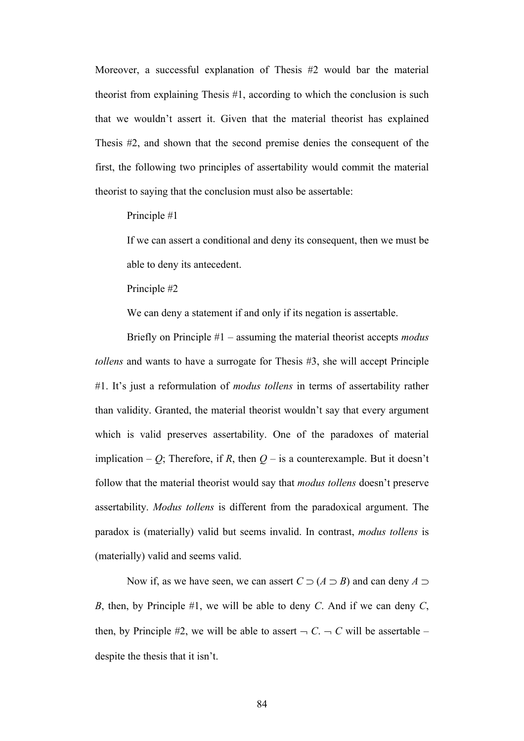Moreover, a successful explanation of Thesis #2 would bar the material theorist from explaining Thesis #1, according to which the conclusion is such that we wouldn't assert it. Given that the material theorist has explained Thesis #2, and shown that the second premise denies the consequent of the first, the following two principles of assertability would commit the material theorist to saying that the conclusion must also be assertable:

Principle #1

If we can assert a conditional and deny its consequent, then we must be able to deny its antecedent.

Principle #2

We can deny a statement if and only if its negation is assertable.

Briefly on Principle #1 – assuming the material theorist accepts *modus tollens* and wants to have a surrogate for Thesis #3, she will accept Principle #1. It's just a reformulation of *modus tollens* in terms of assertability rather than validity. Granted, the material theorist wouldn't say that every argument which is valid preserves assertability. One of the paradoxes of material implication – *Q*; Therefore, if *R*, then  $Q$  – is a counterexample. But it doesn't follow that the material theorist would say that *modus tollens* doesn't preserve assertability. *Modus tollens* is different from the paradoxical argument. The paradox is (materially) valid but seems invalid. In contrast, *modus tollens* is (materially) valid and seems valid.

Now if, as we have seen, we can assert  $C \supset (A \supset B)$  and can deny  $A \supset$ *B*, then, by Principle #1, we will be able to deny *C*. And if we can deny *C*, then, by Principle #2, we will be able to assert  $\neg C$ .  $\neg C$  will be assertable – despite the thesis that it isn't.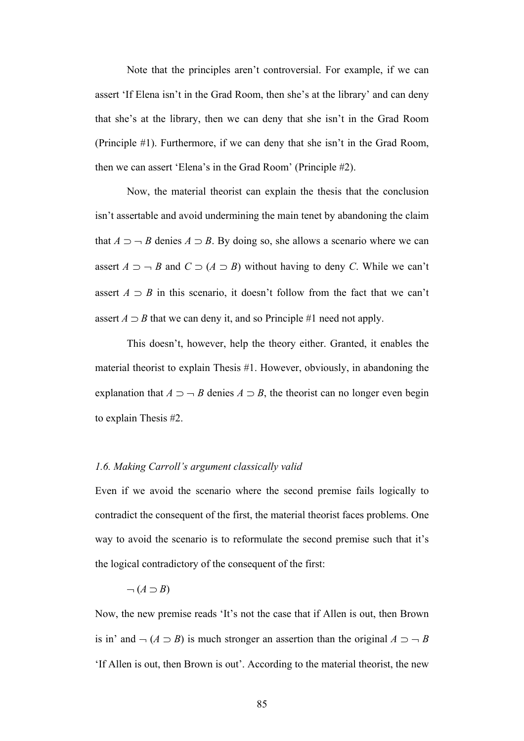Note that the principles aren't controversial. For example, if we can assert 'If Elena isn't in the Grad Room, then she's at the library' and can deny that she's at the library, then we can deny that she isn't in the Grad Room (Principle #1). Furthermore, if we can deny that she isn't in the Grad Room, then we can assert 'Elena's in the Grad Room' (Principle #2).

Now, the material theorist can explain the thesis that the conclusion isn't assertable and avoid undermining the main tenet by abandoning the claim that  $A \supset \neg B$  denies  $A \supset B$ . By doing so, she allows a scenario where we can assert  $A \supset \neg B$  and  $C \supset (A \supset B)$  without having to deny *C*. While we can't assert  $A \supset B$  in this scenario, it doesn't follow from the fact that we can't assert  $A \supset B$  that we can deny it, and so Principle #1 need not apply.

This doesn't, however, help the theory either. Granted, it enables the material theorist to explain Thesis #1. However, obviously, in abandoning the explanation that  $A \supset \neg B$  denies  $A \supset B$ , the theorist can no longer even begin to explain Thesis #2.

## *1.6. Making Carroll's argument classically valid*

Even if we avoid the scenario where the second premise fails logically to contradict the consequent of the first, the material theorist faces problems. One way to avoid the scenario is to reformulate the second premise such that it's the logical contradictory of the consequent of the first:

$$
\neg(A \supset B)
$$

Now, the new premise reads 'It's not the case that if Allen is out, then Brown is in' and  $\neg$  (*A*  $\supset$  *B*) is much stronger an assertion than the original *A*  $\supset$   $\neg$  *B* 'If Allen is out, then Brown is out'. According to the material theorist, the new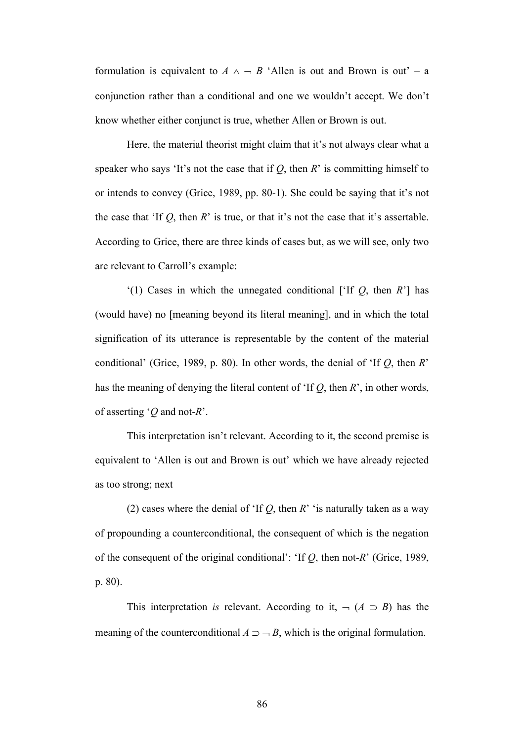formulation is equivalent to  $A \wedge \neg B$  'Allen is out and Brown is out' – a conjunction rather than a conditional and one we wouldn't accept. We don't know whether either conjunct is true, whether Allen or Brown is out.

Here, the material theorist might claim that it's not always clear what a speaker who says 'It's not the case that if  $Q$ , then  $R$ ' is committing himself to or intends to convey (Grice, 1989, pp. 80-1). She could be saying that it's not the case that 'If  $Q$ , then  $R$ ' is true, or that it's not the case that it's assertable. According to Grice, there are three kinds of cases but, as we will see, only two are relevant to Carroll's example:

'(1) Cases in which the unnegated conditional ['If *Q*, then *R*'] has (would have) no [meaning beyond its literal meaning], and in which the total signification of its utterance is representable by the content of the material conditional' (Grice, 1989, p. 80). In other words, the denial of 'If *Q*, then *R*' has the meaning of denying the literal content of 'If *Q*, then *R*', in other words, of asserting '*Q* and not-*R*'.

This interpretation isn't relevant. According to it, the second premise is equivalent to 'Allen is out and Brown is out' which we have already rejected as too strong; next

(2) cases where the denial of 'If *Q*, then *R*' 'is naturally taken as a way of propounding a counterconditional, the consequent of which is the negation of the consequent of the original conditional': 'If *Q*, then not-*R*' (Grice, 1989, p. 80).

This interpretation *is* relevant. According to it,  $\neg$  ( $A \supset B$ ) has the meaning of the counterconditional  $A \supset -B$ , which is the original formulation.

86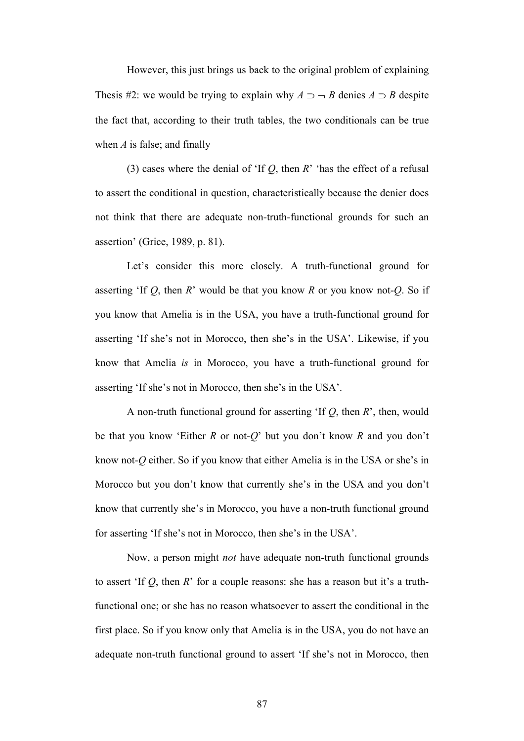However, this just brings us back to the original problem of explaining Thesis #2: we would be trying to explain why  $A \supset \neg B$  denies  $A \supset B$  despite the fact that, according to their truth tables, the two conditionals can be true when *A* is false; and finally

(3) cases where the denial of 'If *Q*, then *R*' 'has the effect of a refusal to assert the conditional in question, characteristically because the denier does not think that there are adequate non-truth-functional grounds for such an assertion' (Grice, 1989, p. 81).

Let's consider this more closely. A truth-functional ground for asserting 'If *Q*, then *R*' would be that you know *R* or you know not-*Q*. So if you know that Amelia is in the USA, you have a truth-functional ground for asserting 'If she's not in Morocco, then she's in the USA'. Likewise, if you know that Amelia *is* in Morocco, you have a truth-functional ground for asserting 'If she's not in Morocco, then she's in the USA'.

A non-truth functional ground for asserting 'If *Q*, then *R*', then, would be that you know 'Either *R* or not-*Q*' but you don't know *R* and you don't know not-*Q* either. So if you know that either Amelia is in the USA or she's in Morocco but you don't know that currently she's in the USA and you don't know that currently she's in Morocco, you have a non-truth functional ground for asserting 'If she's not in Morocco, then she's in the USA'.

Now, a person might *not* have adequate non-truth functional grounds to assert 'If *Q*, then *R*' for a couple reasons: she has a reason but it's a truthfunctional one; or she has no reason whatsoever to assert the conditional in the first place. So if you know only that Amelia is in the USA, you do not have an adequate non-truth functional ground to assert 'If she's not in Morocco, then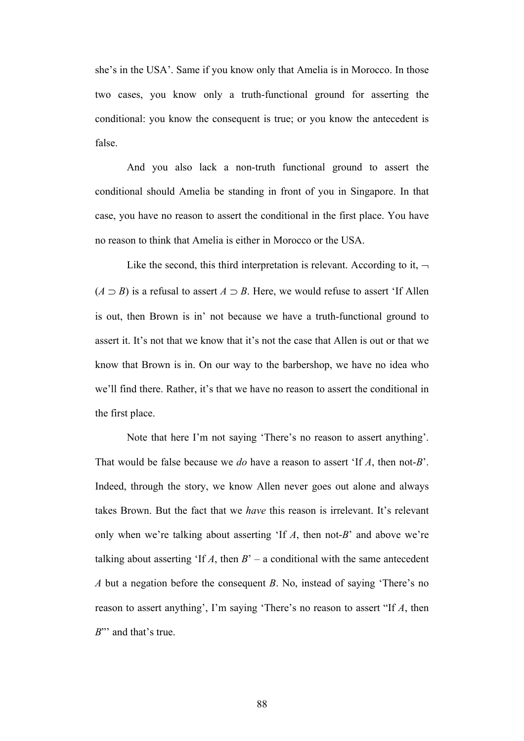she's in the USA'. Same if you know only that Amelia is in Morocco. In those two cases, you know only a truth-functional ground for asserting the conditional: you know the consequent is true; or you know the antecedent is false.

And you also lack a non-truth functional ground to assert the conditional should Amelia be standing in front of you in Singapore. In that case, you have no reason to assert the conditional in the first place. You have no reason to think that Amelia is either in Morocco or the USA.

Like the second, this third interpretation is relevant. According to it,  $\neg$  $(A \supset B)$  is a refusal to assert  $A \supset B$ . Here, we would refuse to assert 'If Allen is out, then Brown is in' not because we have a truth-functional ground to assert it. It's not that we know that it's not the case that Allen is out or that we know that Brown is in. On our way to the barbershop, we have no idea who we'll find there. Rather, it's that we have no reason to assert the conditional in the first place.

Note that here I'm not saying 'There's no reason to assert anything'. That would be false because we *do* have a reason to assert 'If *A*, then not-*B*'. Indeed, through the story, we know Allen never goes out alone and always takes Brown. But the fact that we *have* this reason is irrelevant. It's relevant only when we're talking about asserting 'If *A*, then not-*B*' and above we're talking about asserting 'If  $A$ , then  $B'$  – a conditional with the same antecedent *A* but a negation before the consequent *B*. No, instead of saying 'There's no reason to assert anything', I'm saying 'There's no reason to assert "If *A*, then *B*"' and that's true.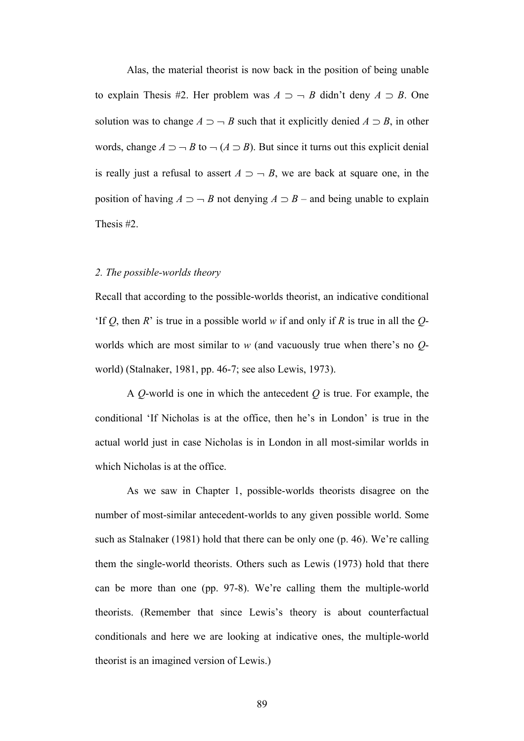Alas, the material theorist is now back in the position of being unable to explain Thesis #2. Her problem was  $A \supset -B$  didn't deny  $A \supset B$ . One solution was to change  $A \supset \neg B$  such that it explicitly denied  $A \supset B$ , in other words, change  $A \supset \neg B$  to  $\neg (A \supset B)$ . But since it turns out this explicit denial is really just a refusal to assert  $A \supset -B$ , we are back at square one, in the position of having  $A \supset B$  not denying  $A \supset B$  – and being unable to explain Thesis #2.

#### *2. The possible-worlds theory*

Recall that according to the possible-worlds theorist, an indicative conditional 'If *Q*, then *R*' is true in a possible world *w* if and only if *R* is true in all the *Q*worlds which are most similar to *w* (and vacuously true when there's no *Q*world) (Stalnaker, 1981, pp. 46-7; see also Lewis, 1973).

A *Q*-world is one in which the antecedent *Q* is true. For example, the conditional 'If Nicholas is at the office, then he's in London' is true in the actual world just in case Nicholas is in London in all most-similar worlds in which Nicholas is at the office.

As we saw in Chapter 1, possible-worlds theorists disagree on the number of most-similar antecedent-worlds to any given possible world. Some such as Stalnaker (1981) hold that there can be only one (p. 46). We're calling them the single-world theorists. Others such as Lewis (1973) hold that there can be more than one (pp. 97-8). We're calling them the multiple-world theorists. (Remember that since Lewis's theory is about counterfactual conditionals and here we are looking at indicative ones, the multiple-world theorist is an imagined version of Lewis.)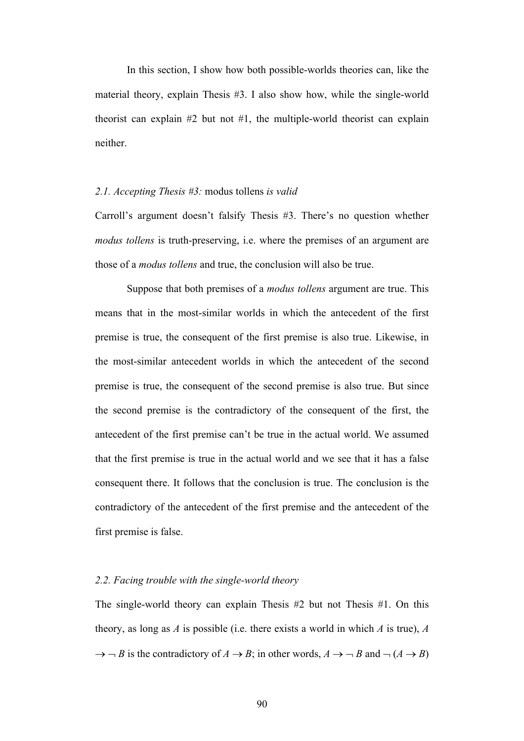In this section, I show how both possible-worlds theories can, like the material theory, explain Thesis #3. I also show how, while the single-world theorist can explain  $#2$  but not  $#1$ , the multiple-world theorist can explain neither.

### *2.1. Accepting Thesis #3:* modus tollens *is valid*

Carroll's argument doesn't falsify Thesis #3. There's no question whether *modus tollens* is truth-preserving, i.e. where the premises of an argument are those of a *modus tollens* and true, the conclusion will also be true.

Suppose that both premises of a *modus tollens* argument are true. This means that in the most-similar worlds in which the antecedent of the first premise is true, the consequent of the first premise is also true. Likewise, in the most-similar antecedent worlds in which the antecedent of the second premise is true, the consequent of the second premise is also true. But since the second premise is the contradictory of the consequent of the first, the antecedent of the first premise can't be true in the actual world. We assumed that the first premise is true in the actual world and we see that it has a false consequent there. It follows that the conclusion is true. The conclusion is the contradictory of the antecedent of the first premise and the antecedent of the first premise is false.

## *2.2. Facing trouble with the single-world theory*

The single-world theory can explain Thesis #2 but not Thesis #1. On this theory, as long as *A* is possible (i.e. there exists a world in which *A* is true), *A*  $\rightarrow$   $\neg$  *B* is the contradictory of *A*  $\rightarrow$  *B*; in other words, *A*  $\rightarrow$   $\neg$  *B* and  $\neg$  (*A*  $\rightarrow$  *B*)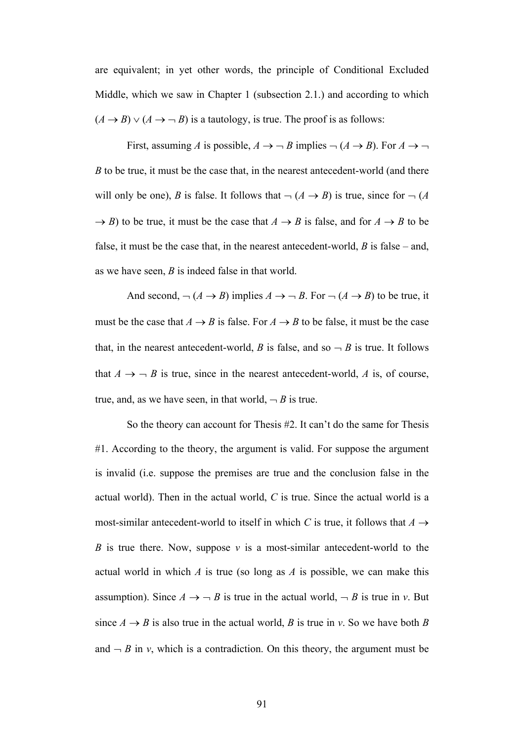are equivalent; in yet other words, the principle of Conditional Excluded Middle, which we saw in Chapter 1 (subsection 2.1.) and according to which  $(A \rightarrow B) \vee (A \rightarrow \neg B)$  is a tautology, is true. The proof is as follows:

First, assuming *A* is possible,  $A \rightarrow \neg B$  implies  $\neg (A \rightarrow B)$ . For  $A \rightarrow \neg$ *B* to be true, it must be the case that, in the nearest antecedent-world (and there will only be one), *B* is false. It follows that  $\neg$  (*A*  $\neg$  *B*) is true, since for  $\neg$  (*A*  $\rightarrow$  *B*) to be true, it must be the case that  $A \rightarrow B$  is false, and for  $A \rightarrow B$  to be false, it must be the case that, in the nearest antecedent-world, *B* is false – and, as we have seen, *B* is indeed false in that world.

And second,  $\neg (A \rightarrow B)$  implies  $A \rightarrow \neg B$ . For  $\neg (A \rightarrow B)$  to be true, it must be the case that  $A \rightarrow B$  is false. For  $A \rightarrow B$  to be false, it must be the case that, in the nearest antecedent-world, *B* is false, and so  $\neg B$  is true. It follows that  $A \rightarrow \neg B$  is true, since in the nearest antecedent-world, A is, of course, true, and, as we have seen, in that world,  $\neg B$  is true.

So the theory can account for Thesis #2. It can't do the same for Thesis #1. According to the theory, the argument is valid. For suppose the argument is invalid (i.e. suppose the premises are true and the conclusion false in the actual world). Then in the actual world, *C* is true. Since the actual world is a most-similar antecedent-world to itself in which *C* is true, it follows that  $A \rightarrow$ *B* is true there. Now, suppose *v* is a most-similar antecedent-world to the actual world in which *A* is true (so long as *A* is possible, we can make this assumption). Since  $A \rightarrow \neg B$  is true in the actual world,  $\neg B$  is true in *v*. But since  $A \rightarrow B$  is also true in the actual world, *B* is true in *v*. So we have both *B* and  $\neg B$  in *v*, which is a contradiction. On this theory, the argument must be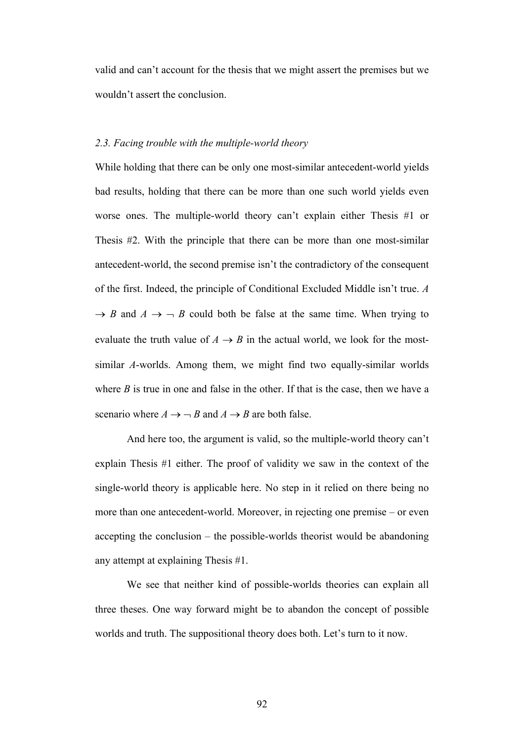valid and can't account for the thesis that we might assert the premises but we wouldn't assert the conclusion.

### *2.3. Facing trouble with the multiple-world theory*

While holding that there can be only one most-similar antecedent-world yields bad results, holding that there can be more than one such world yields even worse ones. The multiple-world theory can't explain either Thesis #1 or Thesis #2. With the principle that there can be more than one most-similar antecedent-world, the second premise isn't the contradictory of the consequent of the first. Indeed, the principle of Conditional Excluded Middle isn't true. *A*  $\rightarrow$  *B* and *A*  $\rightarrow$   $\rightarrow$  *B* could both be false at the same time. When trying to evaluate the truth value of  $A \rightarrow B$  in the actual world, we look for the mostsimilar *A*-worlds. Among them, we might find two equally-similar worlds where  $B$  is true in one and false in the other. If that is the case, then we have a scenario where  $A \rightarrow \neg B$  and  $A \rightarrow B$  are both false.

And here too, the argument is valid, so the multiple-world theory can't explain Thesis #1 either. The proof of validity we saw in the context of the single-world theory is applicable here. No step in it relied on there being no more than one antecedent-world. Moreover, in rejecting one premise – or even accepting the conclusion – the possible-worlds theorist would be abandoning any attempt at explaining Thesis #1.

We see that neither kind of possible-worlds theories can explain all three theses. One way forward might be to abandon the concept of possible worlds and truth. The suppositional theory does both. Let's turn to it now.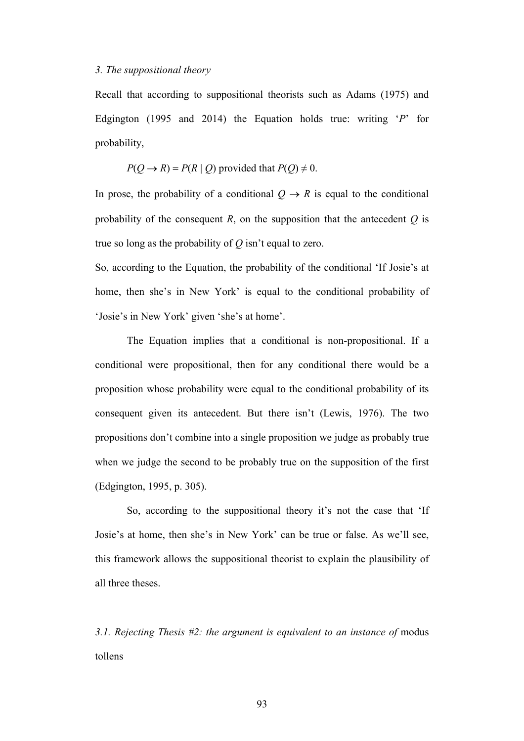## *3. The suppositional theory*

Recall that according to suppositional theorists such as Adams (1975) and Edgington (1995 and 2014) the Equation holds true: writing '*P*' for probability,

$$
P(Q \rightarrow R) = P(R | Q)
$$
 provided that  $P(Q) \neq 0$ .

In prose, the probability of a conditional  $Q \rightarrow R$  is equal to the conditional probability of the consequent *R*, on the supposition that the antecedent *Q* is true so long as the probability of *Q* isn't equal to zero.

So, according to the Equation, the probability of the conditional 'If Josie's at home, then she's in New York' is equal to the conditional probability of 'Josie's in New York' given 'she's at home'.

The Equation implies that a conditional is non-propositional. If a conditional were propositional, then for any conditional there would be a proposition whose probability were equal to the conditional probability of its consequent given its antecedent. But there isn't (Lewis, 1976). The two propositions don't combine into a single proposition we judge as probably true when we judge the second to be probably true on the supposition of the first (Edgington, 1995, p. 305).

So, according to the suppositional theory it's not the case that 'If Josie's at home, then she's in New York' can be true or false. As we'll see, this framework allows the suppositional theorist to explain the plausibility of all three theses.

*3.1. Rejecting Thesis #2: the argument is equivalent to an instance of* modus tollens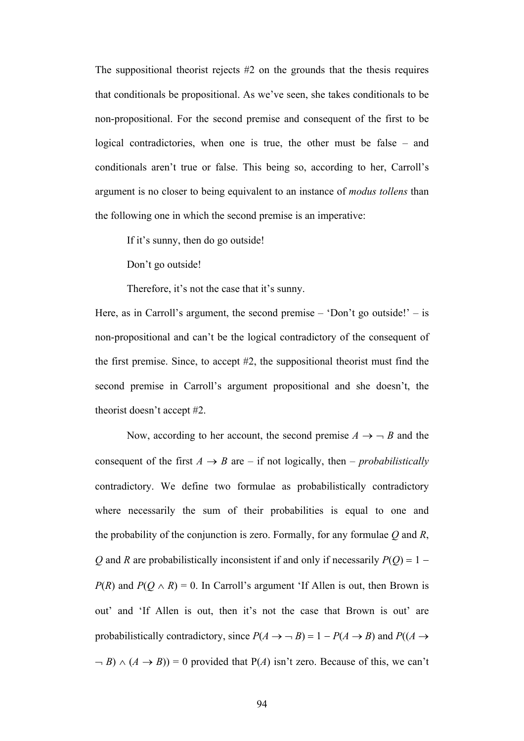The suppositional theorist rejects #2 on the grounds that the thesis requires that conditionals be propositional. As we've seen, she takes conditionals to be non-propositional. For the second premise and consequent of the first to be logical contradictories, when one is true, the other must be false – and conditionals aren't true or false. This being so, according to her, Carroll's argument is no closer to being equivalent to an instance of *modus tollens* than the following one in which the second premise is an imperative:

If it's sunny, then do go outside!

Don't go outside!

Therefore, it's not the case that it's sunny.

Here, as in Carroll's argument, the second premise  $-$  'Don't go outside!'  $-$  is non-propositional and can't be the logical contradictory of the consequent of the first premise. Since, to accept #2, the suppositional theorist must find the second premise in Carroll's argument propositional and she doesn't, the theorist doesn't accept #2.

Now, according to her account, the second premise  $A \rightarrow \neg B$  and the consequent of the first  $A \rightarrow B$  are – if not logically, then – *probabilistically* contradictory. We define two formulae as probabilistically contradictory where necessarily the sum of their probabilities is equal to one and the probability of the conjunction is zero. Formally, for any formulae *Q* and *R*, *Q* and *R* are probabilistically inconsistent if and only if necessarily  $P(Q) = 1 -$ *P*(*R*) and *P*( $Q \wedge R$ ) = 0. In Carroll's argument 'If Allen is out, then Brown is out' and 'If Allen is out, then it's not the case that Brown is out' are probabilistically contradictory, since  $P(A \rightarrow \neg B) = 1 - P(A \rightarrow B)$  and  $P((A \rightarrow \neg B) \rightarrow \neg B)$  $-B) \wedge (A \rightarrow B) = 0$  provided that P(A) isn't zero. Because of this, we can't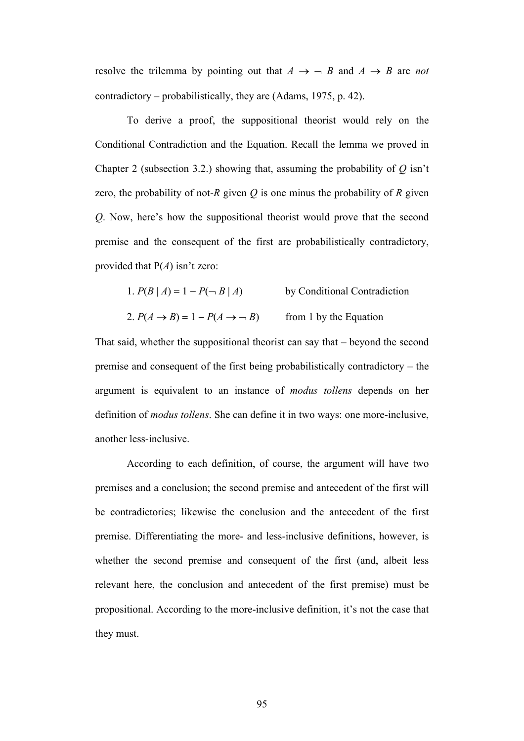resolve the trilemma by pointing out that  $A \rightarrow \neg B$  and  $A \rightarrow B$  are *not* contradictory – probabilistically, they are (Adams, 1975, p. 42).

To derive a proof, the suppositional theorist would rely on the Conditional Contradiction and the Equation. Recall the lemma we proved in Chapter 2 (subsection 3.2.) showing that, assuming the probability of *Q* isn't zero, the probability of not-*R* given  $Q$  is one minus the probability of  $R$  given *Q*. Now, here's how the suppositional theorist would prove that the second premise and the consequent of the first are probabilistically contradictory, provided that P(*A*) isn't zero:

- 1.  $P(B | A) = 1 P(\neg B | A)$  by Conditional Contradiction
- 2.  $P(A \rightarrow B) = 1 P(A \rightarrow B)$  from 1 by the Equation

That said, whether the suppositional theorist can say that – beyond the second premise and consequent of the first being probabilistically contradictory – the argument is equivalent to an instance of *modus tollens* depends on her definition of *modus tollens*. She can define it in two ways: one more-inclusive, another less-inclusive.

According to each definition, of course, the argument will have two premises and a conclusion; the second premise and antecedent of the first will be contradictories; likewise the conclusion and the antecedent of the first premise. Differentiating the more- and less-inclusive definitions, however, is whether the second premise and consequent of the first (and, albeit less relevant here, the conclusion and antecedent of the first premise) must be propositional. According to the more-inclusive definition, it's not the case that they must.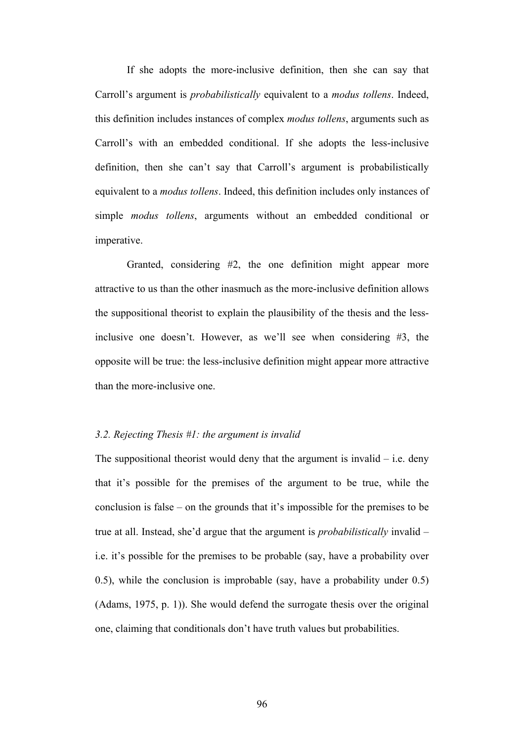If she adopts the more-inclusive definition, then she can say that Carroll's argument is *probabilistically* equivalent to a *modus tollens*. Indeed, this definition includes instances of complex *modus tollens*, arguments such as Carroll's with an embedded conditional. If she adopts the less-inclusive definition, then she can't say that Carroll's argument is probabilistically equivalent to a *modus tollens*. Indeed, this definition includes only instances of simple *modus tollens*, arguments without an embedded conditional or imperative.

Granted, considering #2, the one definition might appear more attractive to us than the other inasmuch as the more-inclusive definition allows the suppositional theorist to explain the plausibility of the thesis and the lessinclusive one doesn't. However, as we'll see when considering #3, the opposite will be true: the less-inclusive definition might appear more attractive than the more-inclusive one.

#### *3.2. Rejecting Thesis #1: the argument is invalid*

The suppositional theorist would deny that the argument is invalid  $-$  i.e. deny that it's possible for the premises of the argument to be true, while the conclusion is false – on the grounds that it's impossible for the premises to be true at all. Instead, she'd argue that the argument is *probabilistically* invalid – i.e. it's possible for the premises to be probable (say, have a probability over 0.5), while the conclusion is improbable (say, have a probability under 0.5) (Adams, 1975, p. 1)). She would defend the surrogate thesis over the original one, claiming that conditionals don't have truth values but probabilities.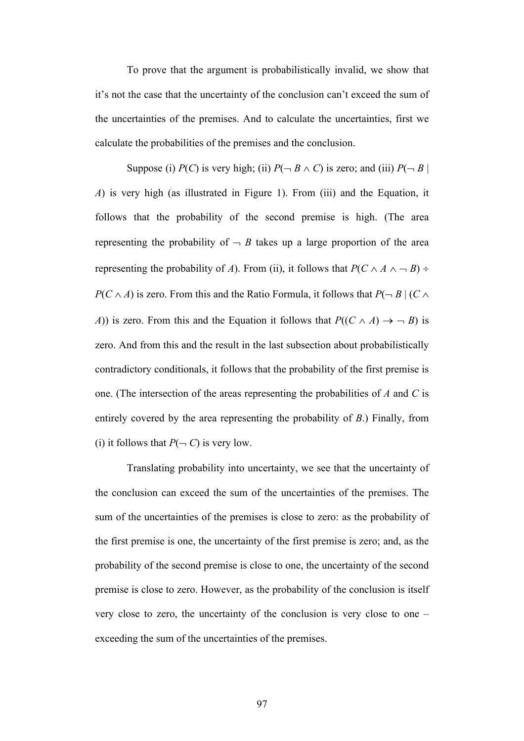To prove that the argument is probabilistically invalid, we show that it's not the case that the uncertainty of the conclusion can't exceed the sum of the uncertainties of the premises. And to calculate the uncertainties, first we calculate the probabilities of the premises and the conclusion.

Suppose (i) *P*(*C*) is very high; (ii)  $P(\neg B \land C)$  is zero; and (iii)  $P(\neg B \mid C)$ *A*) is very high (as illustrated in Figure 1). From (iii) and the Equation, it follows that the probability of the second premise is high. (The area representing the probability of  $\overline{\phantom{a}}$  *B* takes up a large proportion of the area representing the probability of *A*). From (ii), it follows that  $P(C \wedge A \wedge \neg B)$  ÷  $P(C \wedge A)$  is zero. From this and the Ratio Formula, it follows that  $P(\neg B \mid (C \wedge B))$ *A*)) is zero. From this and the Equation it follows that  $P((C \wedge A) \rightarrow B)$  is zero. And from this and the result in the last subsection about probabilistically contradictory conditionals, it follows that the probability of the first premise is one. (The intersection of the areas representing the probabilities of *A* and *C* is entirely covered by the area representing the probability of *B*.) Finally, from (i) it follows that  $P(\neg C)$  is very low.

Translating probability into uncertainty, we see that the uncertainty of the conclusion can exceed the sum of the uncertainties of the premises. The sum of the uncertainties of the premises is close to zero: as the probability of the first premise is one, the uncertainty of the first premise is zero; and, as the probability of the second premise is close to one, the uncertainty of the second premise is close to zero. However, as the probability of the conclusion is itself very close to zero, the uncertainty of the conclusion is very close to one – exceeding the sum of the uncertainties of the premises.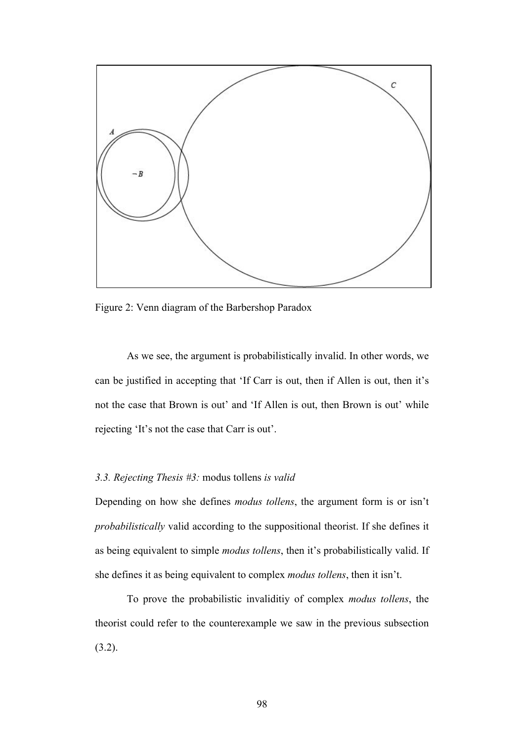

Figure 2: Venn diagram of the Barbershop Paradox

As we see, the argument is probabilistically invalid. In other words, we can be justified in accepting that 'If Carr is out, then if Allen is out, then it's not the case that Brown is out' and 'If Allen is out, then Brown is out' while rejecting 'It's not the case that Carr is out'.

# *3.3. Rejecting Thesis #3:* modus tollens *is valid*

Depending on how she defines *modus tollens*, the argument form is or isn't *probabilistically* valid according to the suppositional theorist. If she defines it as being equivalent to simple *modus tollens*, then it's probabilistically valid. If she defines it as being equivalent to complex *modus tollens*, then it isn't.

To prove the probabilistic invaliditiy of complex *modus tollens*, the theorist could refer to the counterexample we saw in the previous subsection (3.2).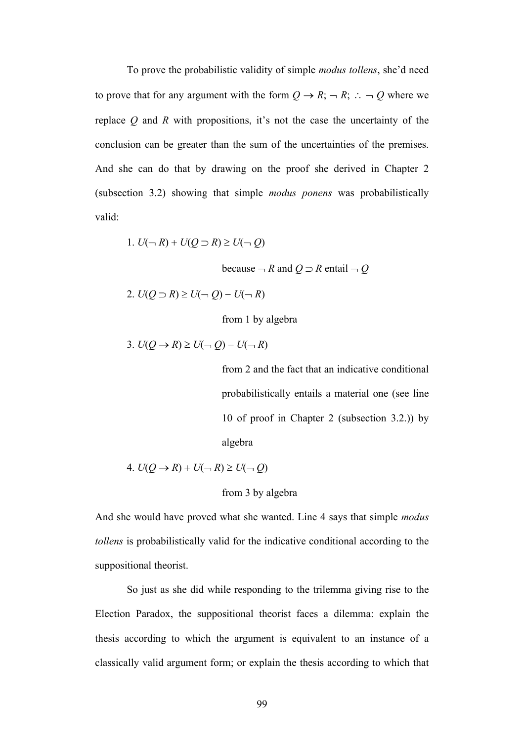To prove the probabilistic validity of simple *modus tollens*, she'd need to prove that for any argument with the form  $Q \rightarrow R$ ;  $\neg R$ ;  $\therefore \neg Q$  where we replace *Q* and *R* with propositions, it's not the case the uncertainty of the conclusion can be greater than the sum of the uncertainties of the premises. And she can do that by drawing on the proof she derived in Chapter 2 (subsection 3.2) showing that simple *modus ponens* was probabilistically valid:

$$
1. U(\neg R) + U(Q \supset R) \ge U(\neg Q)
$$

because  $-R$  and  $Q \supset R$  entail  $-Q$ 

2.  $U(Q \supset R) \ge U(-Q) - U(-R)$ 

from 1 by algebra

$$
3. U(Q \to R) \geq U(\neg Q) - U(\neg R)
$$

from 2 and the fact that an indicative conditional probabilistically entails a material one (see line 10 of proof in Chapter 2 (subsection 3.2.)) by algebra

4. 
$$
U(Q \rightarrow R) + U(\neg R) \ge U(\neg Q)
$$

### from 3 by algebra

And she would have proved what she wanted. Line 4 says that simple *modus tollens* is probabilistically valid for the indicative conditional according to the suppositional theorist.

So just as she did while responding to the trilemma giving rise to the Election Paradox, the suppositional theorist faces a dilemma: explain the thesis according to which the argument is equivalent to an instance of a classically valid argument form; or explain the thesis according to which that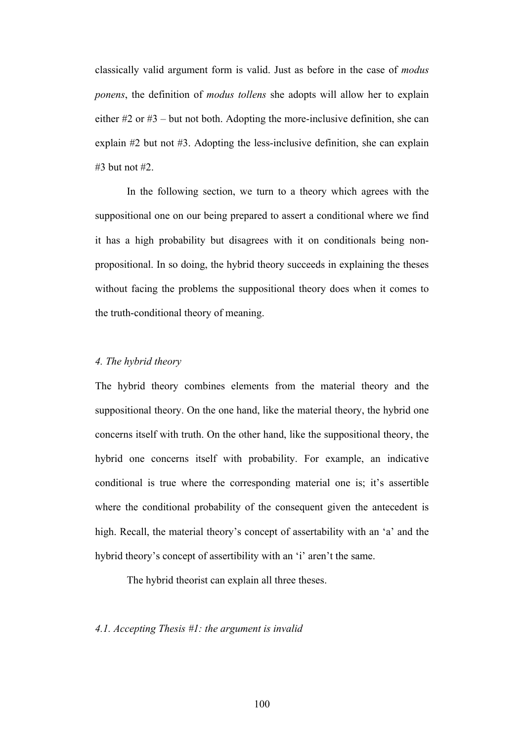classically valid argument form is valid. Just as before in the case of *modus ponens*, the definition of *modus tollens* she adopts will allow her to explain either #2 or #3 – but not both. Adopting the more-inclusive definition, she can explain #2 but not #3. Adopting the less-inclusive definition, she can explain #3 but not #2.

In the following section, we turn to a theory which agrees with the suppositional one on our being prepared to assert a conditional where we find it has a high probability but disagrees with it on conditionals being nonpropositional. In so doing, the hybrid theory succeeds in explaining the theses without facing the problems the suppositional theory does when it comes to the truth-conditional theory of meaning.

# *4. The hybrid theory*

The hybrid theory combines elements from the material theory and the suppositional theory. On the one hand, like the material theory, the hybrid one concerns itself with truth. On the other hand, like the suppositional theory, the hybrid one concerns itself with probability. For example, an indicative conditional is true where the corresponding material one is; it's assertible where the conditional probability of the consequent given the antecedent is high. Recall, the material theory's concept of assertability with an 'a' and the hybrid theory's concept of assertibility with an 'i' aren't the same.

The hybrid theorist can explain all three theses.

# *4.1. Accepting Thesis #1: the argument is invalid*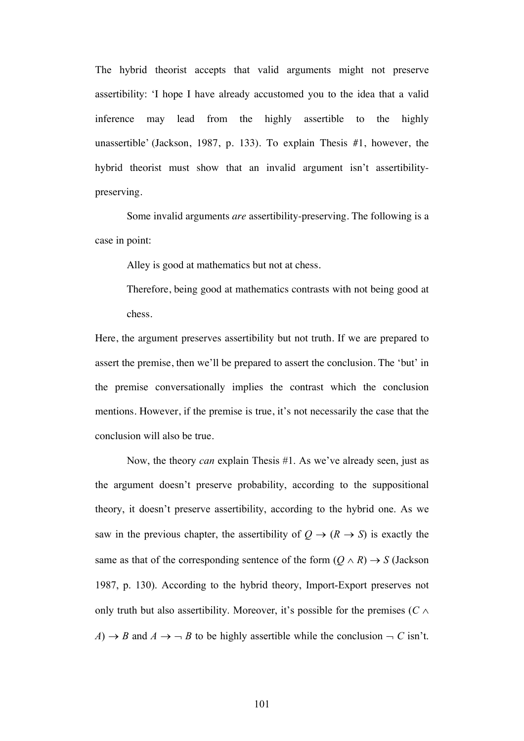The hybrid theorist accepts that valid arguments might not preserve assertibility: 'I hope I have already accustomed you to the idea that a valid inference may lead from the highly assertible to the highly unassertible' (Jackson, 1987, p. 133). To explain Thesis #1, however, the hybrid theorist must show that an invalid argument isn't assertibilitypreserving.

Some invalid arguments *are* assertibility-preserving. The following is a case in point:

Alley is good at mathematics but not at chess.

Therefore, being good at mathematics contrasts with not being good at chess.

Here, the argument preserves assertibility but not truth. If we are prepared to assert the premise, then we'll be prepared to assert the conclusion. The 'but' in the premise conversationally implies the contrast which the conclusion mentions. However, if the premise is true, it's not necessarily the case that the conclusion will also be true.

Now, the theory *can* explain Thesis #1. As we've already seen, just as the argument doesn't preserve probability, according to the suppositional theory, it doesn't preserve assertibility, according to the hybrid one. As we saw in the previous chapter, the assertibility of  $Q \rightarrow (R \rightarrow S)$  is exactly the same as that of the corresponding sentence of the form  $(Q \wedge R) \rightarrow S$  (Jackson 1987, p. 130). According to the hybrid theory, Import-Export preserves not only truth but also assertibility. Moreover, it's possible for the premises ( $C \wedge$  $A) \rightarrow B$  and  $A \rightarrow \neg B$  to be highly assertible while the conclusion  $\neg C$  isn't.

101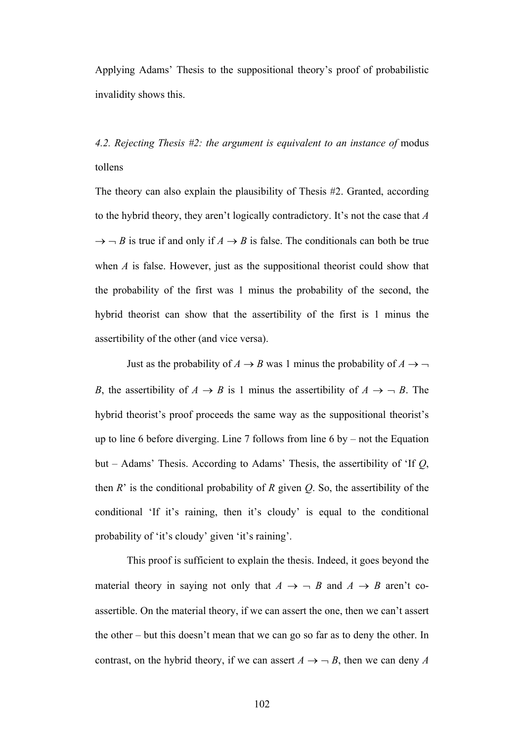Applying Adams' Thesis to the suppositional theory's proof of probabilistic invalidity shows this.

*4.2. Rejecting Thesis #2: the argument is equivalent to an instance of* modus tollens

The theory can also explain the plausibility of Thesis #2. Granted, according to the hybrid theory, they aren't logically contradictory. It's not the case that *A*  $\rightarrow$   $\neg$  *B* is true if and only if *A*  $\rightarrow$  *B* is false. The conditionals can both be true when *A* is false. However, just as the suppositional theorist could show that the probability of the first was 1 minus the probability of the second, the hybrid theorist can show that the assertibility of the first is 1 minus the assertibility of the other (and vice versa).

Just as the probability of  $A \rightarrow B$  was 1 minus the probability of  $A \rightarrow \neg$ *B*, the assertibility of  $A \rightarrow B$  is 1 minus the assertibility of  $A \rightarrow -B$ . The hybrid theorist's proof proceeds the same way as the suppositional theorist's up to line 6 before diverging. Line 7 follows from line 6 by – not the Equation but – Adams' Thesis. According to Adams' Thesis, the assertibility of 'If *Q*, then *R*' is the conditional probability of *R* given *Q*. So, the assertibility of the conditional 'If it's raining, then it's cloudy' is equal to the conditional probability of 'it's cloudy' given 'it's raining'.

This proof is sufficient to explain the thesis. Indeed, it goes beyond the material theory in saying not only that  $A \rightarrow \neg B$  and  $A \rightarrow B$  aren't coassertible. On the material theory, if we can assert the one, then we can't assert the other – but this doesn't mean that we can go so far as to deny the other. In contrast, on the hybrid theory, if we can assert  $A \rightarrow \neg B$ , then we can deny *A*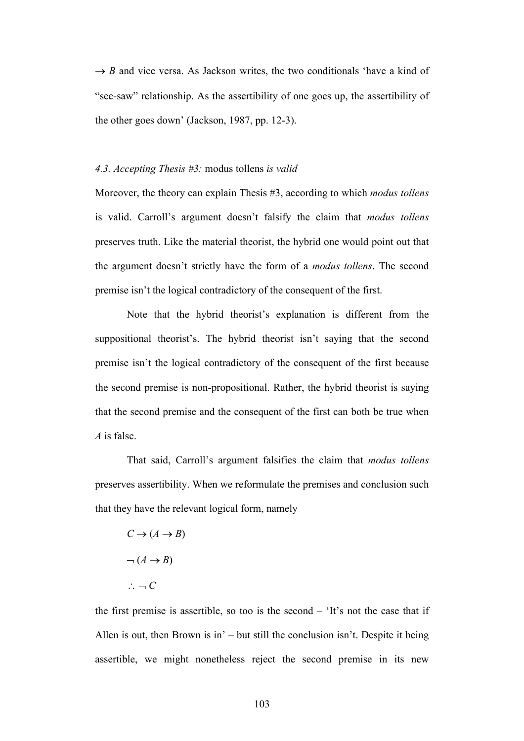$\rightarrow$  *B* and vice versa. As Jackson writes, the two conditionals 'have a kind of "see-saw" relationship. As the assertibility of one goes up, the assertibility of the other goes down' (Jackson, 1987, pp. 12-3).

#### *4.3. Accepting Thesis #3:* modus tollens *is valid*

Moreover, the theory can explain Thesis #3, according to which *modus tollens* is valid. Carroll's argument doesn't falsify the claim that *modus tollens* preserves truth. Like the material theorist, the hybrid one would point out that the argument doesn't strictly have the form of a *modus tollens*. The second premise isn't the logical contradictory of the consequent of the first.

Note that the hybrid theorist's explanation is different from the suppositional theorist's. The hybrid theorist isn't saying that the second premise isn't the logical contradictory of the consequent of the first because the second premise is non-propositional. Rather, the hybrid theorist is saying that the second premise and the consequent of the first can both be true when *A* is false.

That said, Carroll's argument falsifies the claim that *modus tollens* preserves assertibility. When we reformulate the premises and conclusion such that they have the relevant logical form, namely

$$
C \to (A \to B)
$$

$$
\neg (A \to B)
$$

$$
\therefore \neg C
$$

the first premise is assertible, so too is the second – 'It's not the case that if Allen is out, then Brown is in' – but still the conclusion isn't. Despite it being assertible, we might nonetheless reject the second premise in its new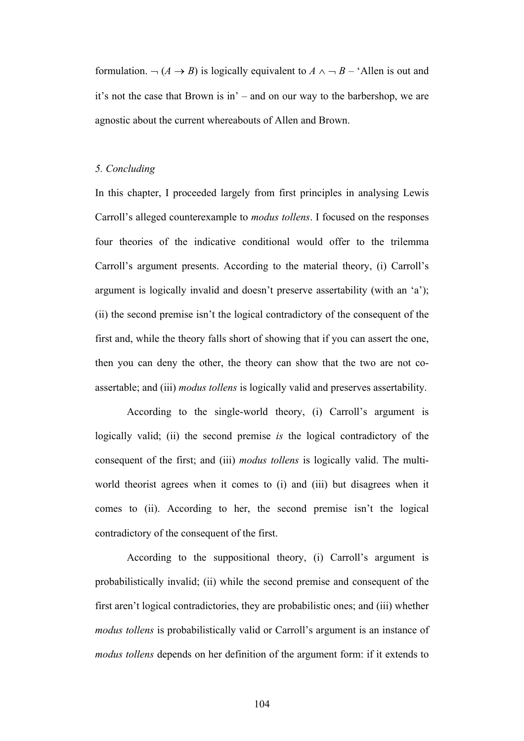formulation.  $\neg (A \rightarrow B)$  is logically equivalent to  $A \land \neg B$  – 'Allen is out and it's not the case that Brown is in' – and on our way to the barbershop, we are agnostic about the current whereabouts of Allen and Brown.

# *5. Concluding*

In this chapter, I proceeded largely from first principles in analysing Lewis Carroll's alleged counterexample to *modus tollens*. I focused on the responses four theories of the indicative conditional would offer to the trilemma Carroll's argument presents. According to the material theory, (i) Carroll's argument is logically invalid and doesn't preserve assertability (with an 'a'); (ii) the second premise isn't the logical contradictory of the consequent of the first and, while the theory falls short of showing that if you can assert the one, then you can deny the other, the theory can show that the two are not coassertable; and (iii) *modus tollens* is logically valid and preserves assertability.

According to the single-world theory, (i) Carroll's argument is logically valid; (ii) the second premise *is* the logical contradictory of the consequent of the first; and (iii) *modus tollens* is logically valid. The multiworld theorist agrees when it comes to (i) and (iii) but disagrees when it comes to (ii). According to her, the second premise isn't the logical contradictory of the consequent of the first.

According to the suppositional theory, (i) Carroll's argument is probabilistically invalid; (ii) while the second premise and consequent of the first aren't logical contradictories, they are probabilistic ones; and (iii) whether *modus tollens* is probabilistically valid or Carroll's argument is an instance of *modus tollens* depends on her definition of the argument form: if it extends to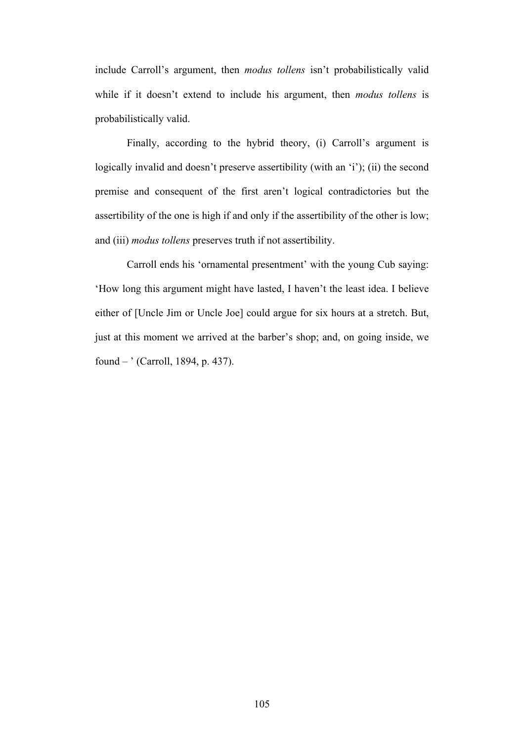include Carroll's argument, then *modus tollens* isn't probabilistically valid while if it doesn't extend to include his argument, then *modus tollens* is probabilistically valid.

Finally, according to the hybrid theory, (i) Carroll's argument is logically invalid and doesn't preserve assertibility (with an 'i'); (ii) the second premise and consequent of the first aren't logical contradictories but the assertibility of the one is high if and only if the assertibility of the other is low; and (iii) *modus tollens* preserves truth if not assertibility.

Carroll ends his 'ornamental presentment' with the young Cub saying: 'How long this argument might have lasted, I haven't the least idea. I believe either of [Uncle Jim or Uncle Joe] could argue for six hours at a stretch. But, just at this moment we arrived at the barber's shop; and, on going inside, we found – ' (Carroll, 1894, p. 437).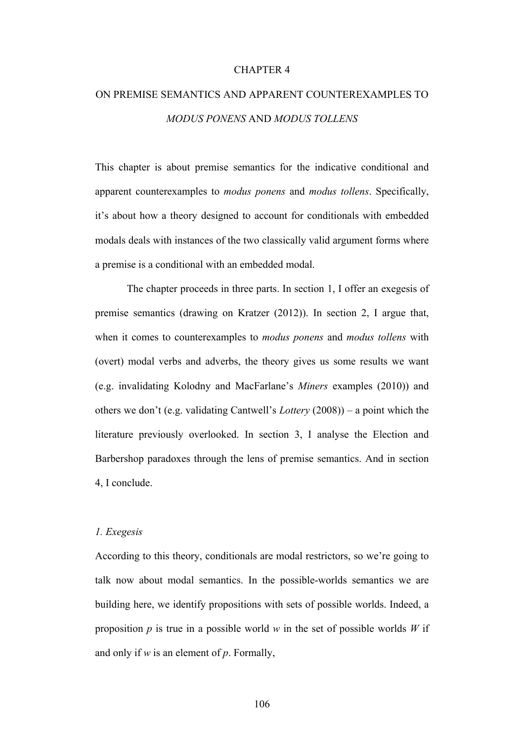### CHAPTER 4

# ON PREMISE SEMANTICS AND APPARENT COUNTEREXAMPLES TO *MODUS PONENS* AND *MODUS TOLLENS*

This chapter is about premise semantics for the indicative conditional and apparent counterexamples to *modus ponens* and *modus tollens*. Specifically, it's about how a theory designed to account for conditionals with embedded modals deals with instances of the two classically valid argument forms where a premise is a conditional with an embedded modal.

The chapter proceeds in three parts. In section 1, I offer an exegesis of premise semantics (drawing on Kratzer (2012)). In section 2, I argue that, when it comes to counterexamples to *modus ponens* and *modus tollens* with (overt) modal verbs and adverbs, the theory gives us some results we want (e.g. invalidating Kolodny and MacFarlane's *Miners* examples (2010)) and others we don't (e.g. validating Cantwell's *Lottery* (2008)) – a point which the literature previously overlooked. In section 3, I analyse the Election and Barbershop paradoxes through the lens of premise semantics. And in section 4, I conclude.

#### *1. Exegesis*

According to this theory, conditionals are modal restrictors, so we're going to talk now about modal semantics. In the possible-worlds semantics we are building here, we identify propositions with sets of possible worlds. Indeed, a proposition *p* is true in a possible world *w* in the set of possible worlds *W* if and only if *w* is an element of *p*. Formally,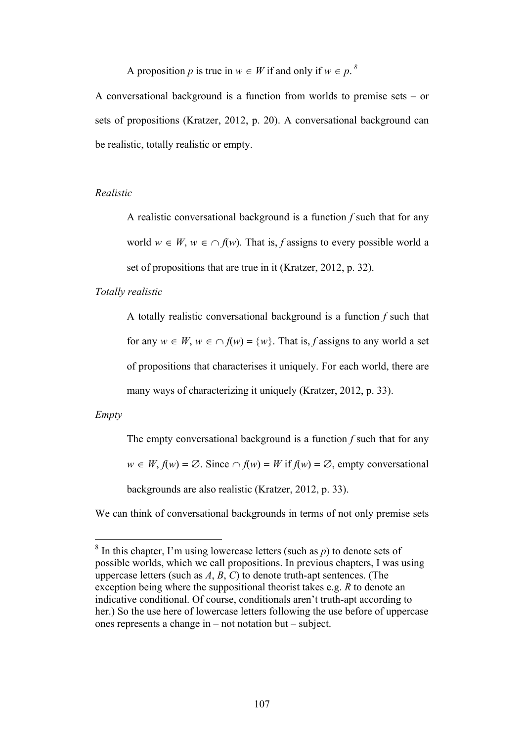A proposition *p* is true in  $w \in W$  if and only if  $w \in p$ .

A conversational background is a function from worlds to premise sets – or sets of propositions (Kratzer, 2012, p. 20). A conversational background can be realistic, totally realistic or empty.

# *Realistic*

A realistic conversational background is a function *f* such that for any world  $w \in W$ ,  $w \in \bigcap f(w)$ . That is, *f* assigns to every possible world a set of propositions that are true in it (Kratzer, 2012, p. 32).

*Totally realistic*

A totally realistic conversational background is a function *f* such that for any  $w \in W$ ,  $w \in \bigcap f(w) = \{w\}$ . That is, *f* assigns to any world a set of propositions that characterises it uniquely. For each world, there are many ways of characterizing it uniquely (Kratzer, 2012, p. 33).

*Empty*

The empty conversational background is a function *f* such that for any  $w \in W$ ,  $f(w) = \emptyset$ . Since  $\cap f(w) = W$  if  $f(w) = \emptyset$ , empty conversational backgrounds are also realistic (Kratzer, 2012, p. 33).

We can think of conversational backgrounds in terms of not only premise sets

 $8 \text{ In this chapter, I'm using lowercase letters (such as } p)$  to denote sets of possible worlds, which we call propositions. In previous chapters, I was using uppercase letters (such as *A*, *B*, *C*) to denote truth-apt sentences. (The exception being where the suppositional theorist takes e.g. *R* to denote an indicative conditional. Of course, conditionals aren't truth-apt according to her.) So the use here of lowercase letters following the use before of uppercase ones represents a change in – not notation but – subject.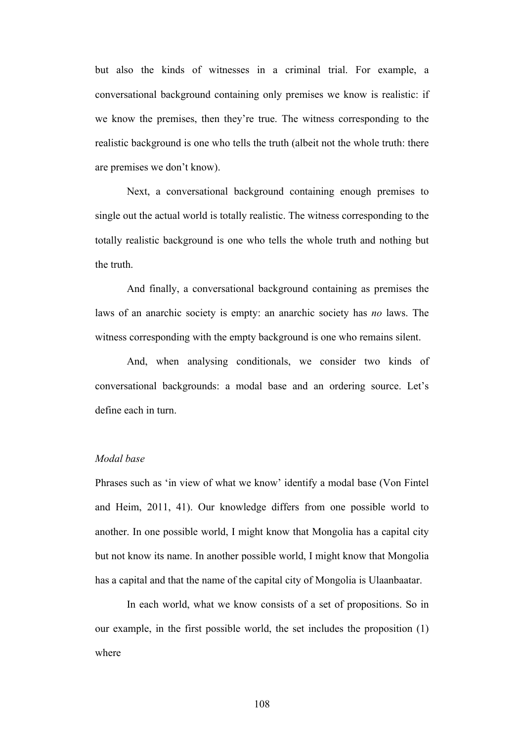but also the kinds of witnesses in a criminal trial. For example, a conversational background containing only premises we know is realistic: if we know the premises, then they're true. The witness corresponding to the realistic background is one who tells the truth (albeit not the whole truth: there are premises we don't know).

Next, a conversational background containing enough premises to single out the actual world is totally realistic. The witness corresponding to the totally realistic background is one who tells the whole truth and nothing but the truth.

And finally, a conversational background containing as premises the laws of an anarchic society is empty: an anarchic society has *no* laws. The witness corresponding with the empty background is one who remains silent.

And, when analysing conditionals, we consider two kinds of conversational backgrounds: a modal base and an ordering source. Let's define each in turn.

# *Modal base*

Phrases such as 'in view of what we know' identify a modal base (Von Fintel and Heim, 2011, 41). Our knowledge differs from one possible world to another. In one possible world, I might know that Mongolia has a capital city but not know its name. In another possible world, I might know that Mongolia has a capital and that the name of the capital city of Mongolia is Ulaanbaatar.

In each world, what we know consists of a set of propositions. So in our example, in the first possible world, the set includes the proposition (1) where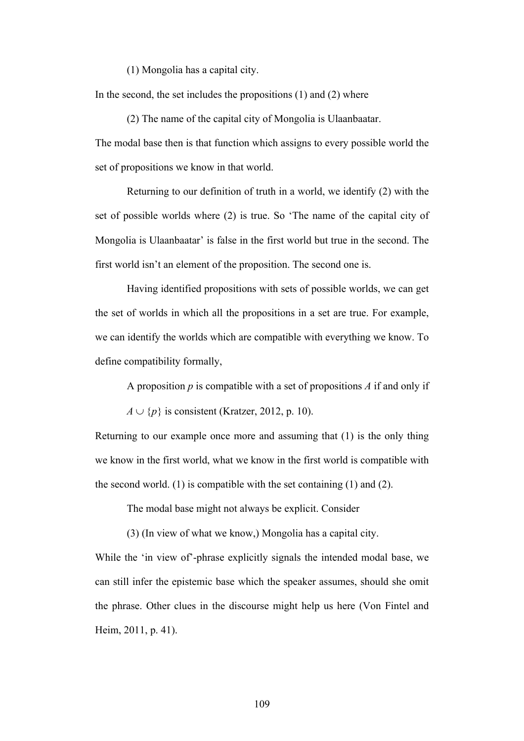(1) Mongolia has a capital city.

In the second, the set includes the propositions  $(1)$  and  $(2)$  where

(2) The name of the capital city of Mongolia is Ulaanbaatar.

The modal base then is that function which assigns to every possible world the set of propositions we know in that world.

Returning to our definition of truth in a world, we identify (2) with the set of possible worlds where (2) is true. So 'The name of the capital city of Mongolia is Ulaanbaatar' is false in the first world but true in the second. The first world isn't an element of the proposition. The second one is.

Having identified propositions with sets of possible worlds, we can get the set of worlds in which all the propositions in a set are true. For example, we can identify the worlds which are compatible with everything we know. To define compatibility formally,

A proposition *p* is compatible with a set of propositions *A* if and only if

 $A \cup \{p\}$  is consistent (Kratzer, 2012, p. 10).

Returning to our example once more and assuming that (1) is the only thing we know in the first world, what we know in the first world is compatible with the second world. (1) is compatible with the set containing (1) and (2).

The modal base might not always be explicit. Consider

(3) (In view of what we know,) Mongolia has a capital city.

While the 'in view of'-phrase explicitly signals the intended modal base, we can still infer the epistemic base which the speaker assumes, should she omit the phrase. Other clues in the discourse might help us here (Von Fintel and Heim, 2011, p. 41).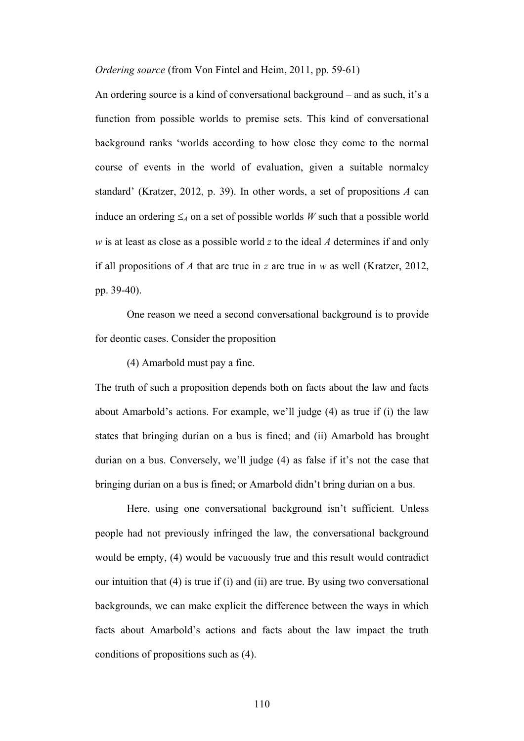*Ordering source* (from Von Fintel and Heim, 2011, pp. 59-61)

An ordering source is a kind of conversational background – and as such, it's a function from possible worlds to premise sets. This kind of conversational background ranks 'worlds according to how close they come to the normal course of events in the world of evaluation, given a suitable normalcy standard' (Kratzer, 2012, p. 39). In other words, a set of propositions *A* can induce an ordering  $\leq_A$  on a set of possible worlds *W* such that a possible world *w* is at least as close as a possible world *z* to the ideal *A* determines if and only if all propositions of *A* that are true in *z* are true in *w* as well (Kratzer, 2012, pp. 39-40).

One reason we need a second conversational background is to provide for deontic cases. Consider the proposition

(4) Amarbold must pay a fine.

The truth of such a proposition depends both on facts about the law and facts about Amarbold's actions. For example, we'll judge (4) as true if (i) the law states that bringing durian on a bus is fined; and (ii) Amarbold has brought durian on a bus. Conversely, we'll judge (4) as false if it's not the case that bringing durian on a bus is fined; or Amarbold didn't bring durian on a bus.

Here, using one conversational background isn't sufficient. Unless people had not previously infringed the law, the conversational background would be empty, (4) would be vacuously true and this result would contradict our intuition that (4) is true if (i) and (ii) are true. By using two conversational backgrounds, we can make explicit the difference between the ways in which facts about Amarbold's actions and facts about the law impact the truth conditions of propositions such as (4).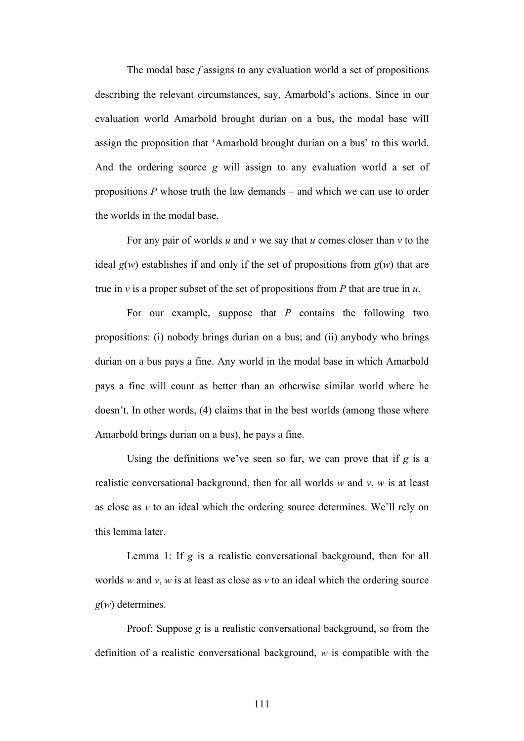The modal base *f* assigns to any evaluation world a set of propositions describing the relevant circumstances, say, Amarbold's actions. Since in our evaluation world Amarbold brought durian on a bus, the modal base will assign the proposition that 'Amarbold brought durian on a bus' to this world. And the ordering source *g* will assign to any evaluation world a set of propositions *P* whose truth the law demands – and which we can use to order the worlds in the modal base.

For any pair of worlds *u* and *v* we say that *u* comes closer than *v* to the ideal  $g(w)$  establishes if and only if the set of propositions from  $g(w)$  that are true in *v* is a proper subset of the set of propositions from *P* that are true in *u*.

For our example, suppose that *P* contains the following two propositions: (i) nobody brings durian on a bus; and (ii) anybody who brings durian on a bus pays a fine. Any world in the modal base in which Amarbold pays a fine will count as better than an otherwise similar world where he doesn't. In other words, (4) claims that in the best worlds (among those where Amarbold brings durian on a bus), he pays a fine.

Using the definitions we've seen so far, we can prove that if *g* is a realistic conversational background, then for all worlds *w* and *v*, *w* is at least as close as *v* to an ideal which the ordering source determines. We'll rely on this lemma later.

Lemma 1: If *g* is a realistic conversational background, then for all worlds *w* and *v*, *w* is at least as close as *v* to an ideal which the ordering source *g*(*w*) determines.

Proof: Suppose *g* is a realistic conversational background, so from the definition of a realistic conversational background, *w* is compatible with the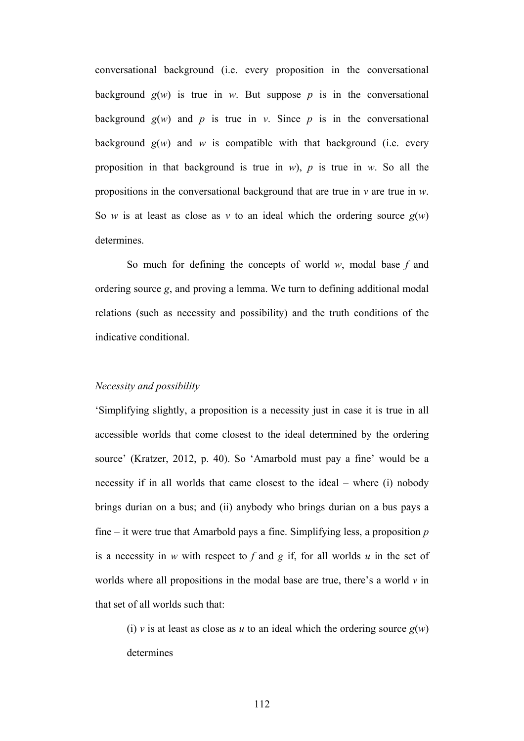conversational background (i.e. every proposition in the conversational background  $g(w)$  is true in *w*. But suppose *p* is in the conversational background  $g(w)$  and  $p$  is true in  $v$ . Since  $p$  is in the conversational background  $g(w)$  and  $w$  is compatible with that background (i.e. every proposition in that background is true in *w*), *p* is true in *w*. So all the propositions in the conversational background that are true in *v* are true in *w*. So *w* is at least as close as *v* to an ideal which the ordering source  $g(w)$ determines.

So much for defining the concepts of world *w*, modal base *f* and ordering source *g*, and proving a lemma. We turn to defining additional modal relations (such as necessity and possibility) and the truth conditions of the indicative conditional.

# *Necessity and possibility*

'Simplifying slightly, a proposition is a necessity just in case it is true in all accessible worlds that come closest to the ideal determined by the ordering source' (Kratzer, 2012, p. 40). So 'Amarbold must pay a fine' would be a necessity if in all worlds that came closest to the ideal – where (i) nobody brings durian on a bus; and (ii) anybody who brings durian on a bus pays a fine – it were true that Amarbold pays a fine. Simplifying less, a proposition *p* is a necessity in *w* with respect to *f* and *g* if, for all worlds *u* in the set of worlds where all propositions in the modal base are true, there's a world *v* in that set of all worlds such that:

(i) *v* is at least as close as *u* to an ideal which the ordering source  $g(w)$ determines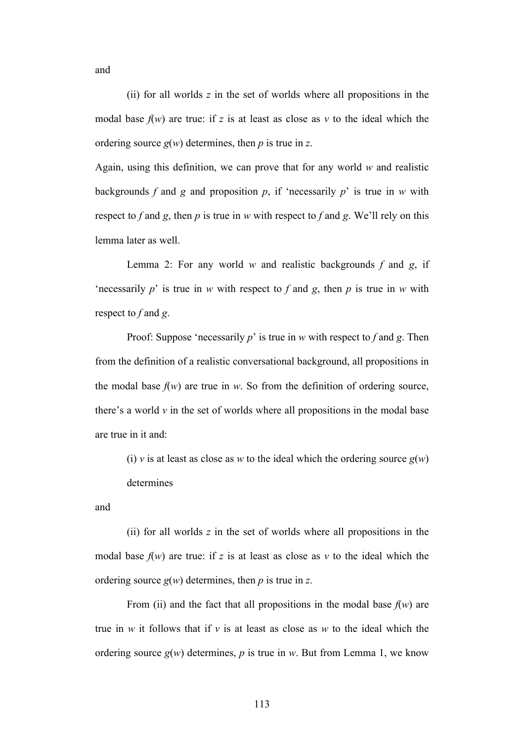and

(ii) for all worlds *z* in the set of worlds where all propositions in the modal base  $f(w)$  are true: if z is at least as close as  $v$  to the ideal which the ordering source *g*(*w*) determines, then *p* is true in *z*.

Again, using this definition, we can prove that for any world *w* and realistic backgrounds *f* and *g* and proposition *p*, if 'necessarily *p*' is true in *w* with respect to *f* and *g*, then *p* is true in *w* with respect to *f* and *g*. We'll rely on this lemma later as well.

Lemma 2: For any world *w* and realistic backgrounds *f* and *g*, if 'necessarily  $p$ ' is true in *w* with respect to  $f$  and  $g$ , then  $p$  is true in  $w$  with respect to *f* and *g*.

Proof: Suppose 'necessarily *p*' is true in *w* with respect to *f* and *g*. Then from the definition of a realistic conversational background, all propositions in the modal base  $f(w)$  are true in *w*. So from the definition of ordering source, there's a world *v* in the set of worlds where all propositions in the modal base are true in it and:

(i) *v* is at least as close as *w* to the ideal which the ordering source  $g(w)$ determines

and

(ii) for all worlds *z* in the set of worlds where all propositions in the modal base  $f(w)$  are true: if z is at least as close as  $v$  to the ideal which the ordering source *g*(*w*) determines, then *p* is true in *z*.

From (ii) and the fact that all propositions in the modal base  $f(w)$  are true in *w* it follows that if *v* is at least as close as *w* to the ideal which the ordering source  $g(w)$  determines,  $p$  is true in  $w$ . But from Lemma 1, we know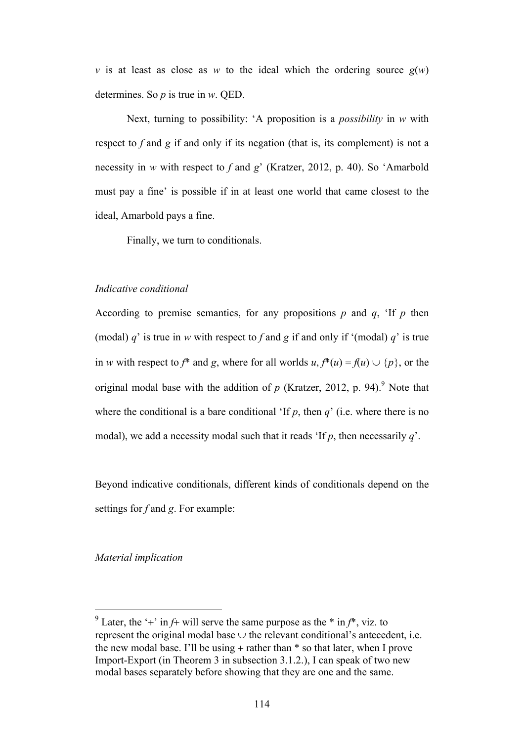*v* is at least as close as *w* to the ideal which the ordering source  $g(w)$ determines. So *p* is true in *w*. QED.

Next, turning to possibility: 'A proposition is a *possibility* in *w* with respect to *f* and *g* if and only if its negation (that is, its complement) is not a necessity in *w* with respect to *f* and *g*' (Kratzer, 2012, p. 40). So 'Amarbold must pay a fine' is possible if in at least one world that came closest to the ideal, Amarbold pays a fine.

Finally, we turn to conditionals.

# *Indicative conditional*

According to premise semantics, for any propositions  $p$  and  $q$ , 'If  $p$  then (modal)  $q'$  is true in *w* with respect to f and g if and only if '(modal)  $q'$  is true in *w* with respect to *f*\* and *g*, where for all worlds *u*,  $f^*(u) = f(u) \cup \{p\}$ , or the original modal base with the addition of  $p$  (Kratzer, 2012, p. 94).<sup>9</sup> Note that where the conditional is a bare conditional 'If  $p$ , then  $q'$  (i.e. where there is no modal), we add a necessity modal such that it reads 'If *p*, then necessarily *q*'.

Beyond indicative conditionals, different kinds of conditionals depend on the settings for *f* and *g*. For example:

*Material implication*

<sup>&</sup>lt;sup>9</sup> Later, the '+' in  $f$ + will serve the same purpose as the  $*$  in  $f^*$ , viz. to represent the original modal base  $\cup$  the relevant conditional's antecedent, i.e. the new modal base. I'll be using  $+$  rather than  $*$  so that later, when I prove Import-Export (in Theorem 3 in subsection 3.1.2.), I can speak of two new modal bases separately before showing that they are one and the same.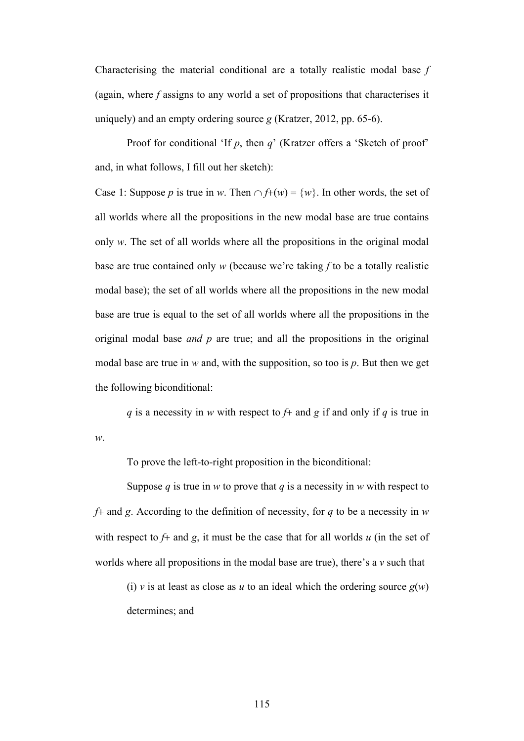Characterising the material conditional are a totally realistic modal base *f* (again, where *f* assigns to any world a set of propositions that characterises it uniquely) and an empty ordering source *g* (Kratzer, 2012, pp. 65-6).

Proof for conditional 'If *p*, then *q*' (Kratzer offers a 'Sketch of proof' and, in what follows, I fill out her sketch):

Case 1: Suppose *p* is true in *w*. Then  $\cap f+(w) = \{w\}$ . In other words, the set of all worlds where all the propositions in the new modal base are true contains only *w*. The set of all worlds where all the propositions in the original modal base are true contained only *w* (because we're taking *f* to be a totally realistic modal base); the set of all worlds where all the propositions in the new modal base are true is equal to the set of all worlds where all the propositions in the original modal base *and p* are true; and all the propositions in the original modal base are true in *w* and, with the supposition, so too is *p*. But then we get the following biconditional:

*q* is a necessity in *w* with respect to *f*+ and *g* if and only if *q* is true in

To prove the left-to-right proposition in the biconditional:

*w*.

Suppose  $q$  is true in  $w$  to prove that  $q$  is a necessity in  $w$  with respect to *f*+ and *g*. According to the definition of necessity, for *q* to be a necessity in *w* with respect to *f*+ and *g*, it must be the case that for all worlds *u* (in the set of worlds where all propositions in the modal base are true), there's a *v* such that

(i) *v* is at least as close as *u* to an ideal which the ordering source  $g(w)$ determines; and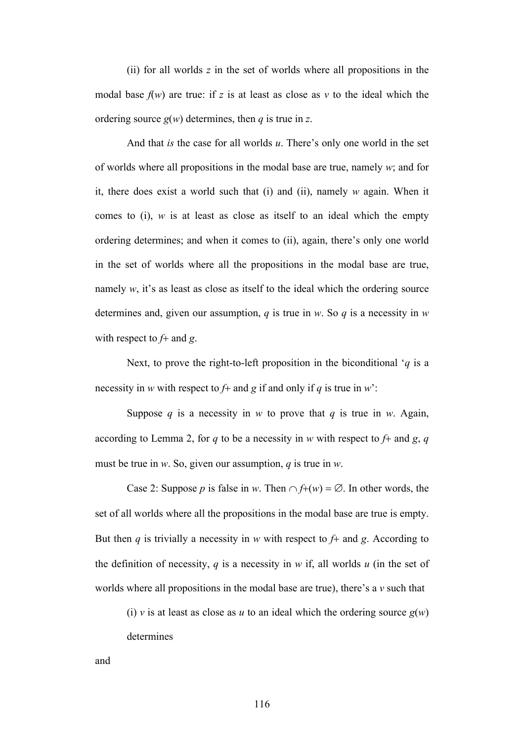(ii) for all worlds *z* in the set of worlds where all propositions in the modal base  $f(w)$  are true: if z is at least as close as  $v$  to the ideal which the ordering source *g*(*w*) determines, then *q* is true in *z*.

And that *is* the case for all worlds *u*. There's only one world in the set of worlds where all propositions in the modal base are true, namely *w*; and for it, there does exist a world such that (i) and (ii), namely *w* again. When it comes to (i),  $w$  is at least as close as itself to an ideal which the empty ordering determines; and when it comes to (ii), again, there's only one world in the set of worlds where all the propositions in the modal base are true, namely  $w$ , it's as least as close as itself to the ideal which the ordering source determines and, given our assumption, *q* is true in *w*. So *q* is a necessity in *w* with respect to *f*+ and *g*.

Next, to prove the right-to-left proposition in the biconditional '*q* is a necessity in *w* with respect to *f*+ and *g* if and only if *q* is true in *w*':

Suppose *q* is a necessity in *w* to prove that *q* is true in *w*. Again, according to Lemma 2, for *q* to be a necessity in *w* with respect to *f*+ and *g*, *q* must be true in *w*. So, given our assumption, *q* is true in *w*.

Case 2: Suppose *p* is false in *w*. Then  $\cap$  *f*+(*w*) =  $\emptyset$ . In other words, the set of all worlds where all the propositions in the modal base are true is empty. But then *q* is trivially a necessity in *w* with respect to *f*+ and *g*. According to the definition of necessity,  $q$  is a necessity in  $w$  if, all worlds  $u$  (in the set of worlds where all propositions in the modal base are true), there's a *v* such that

(i) *v* is at least as close as *u* to an ideal which the ordering source  $g(w)$ 

determines

and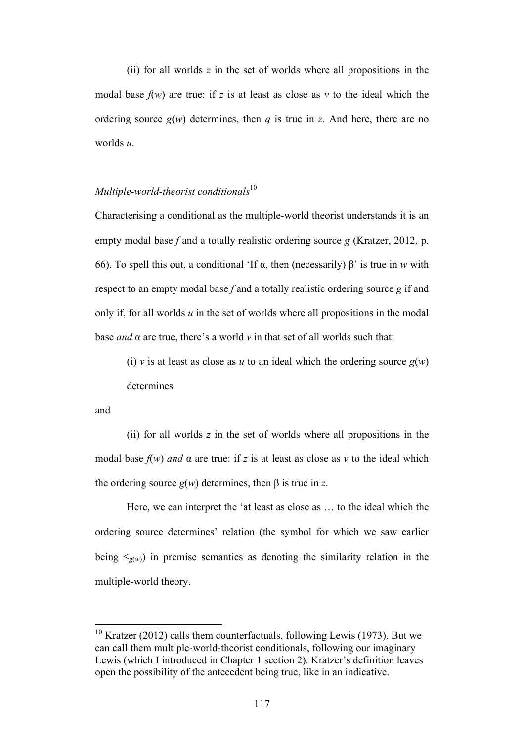(ii) for all worlds *z* in the set of worlds where all propositions in the modal base  $f(w)$  are true: if z is at least as close as  $v$  to the ideal which the ordering source  $g(w)$  determines, then *q* is true in *z*. And here, there are no worlds *u*.

# *Multiple-world-theorist conditionals*<sup>10</sup>

Characterising a conditional as the multiple-world theorist understands it is an empty modal base *f* and a totally realistic ordering source *g* (Kratzer, 2012, p. 66). To spell this out, a conditional 'If α, then (necessarily) β' is true in *w* with respect to an empty modal base *f* and a totally realistic ordering source *g* if and only if, for all worlds *u* in the set of worlds where all propositions in the modal base *and*  $\alpha$  are true, there's a world  $\nu$  in that set of all worlds such that:

(i) *v* is at least as close as *u* to an ideal which the ordering source  $g(w)$ determines

and

(ii) for all worlds *z* in the set of worlds where all propositions in the modal base  $f(w)$  *and*  $\alpha$  are true: if z is at least as close as  $v$  to the ideal which the ordering source  $g(w)$  determines, then  $\beta$  is true in *z*.

Here, we can interpret the 'at least as close as … to the ideal which the ordering source determines' relation (the symbol for which we saw earlier being  $\leq_{g(w)}$ ) in premise semantics as denoting the similarity relation in the multiple-world theory.

 $10$  Kratzer (2012) calls them counterfactuals, following Lewis (1973). But we can call them multiple-world-theorist conditionals, following our imaginary Lewis (which I introduced in Chapter 1 section 2). Kratzer's definition leaves open the possibility of the antecedent being true, like in an indicative.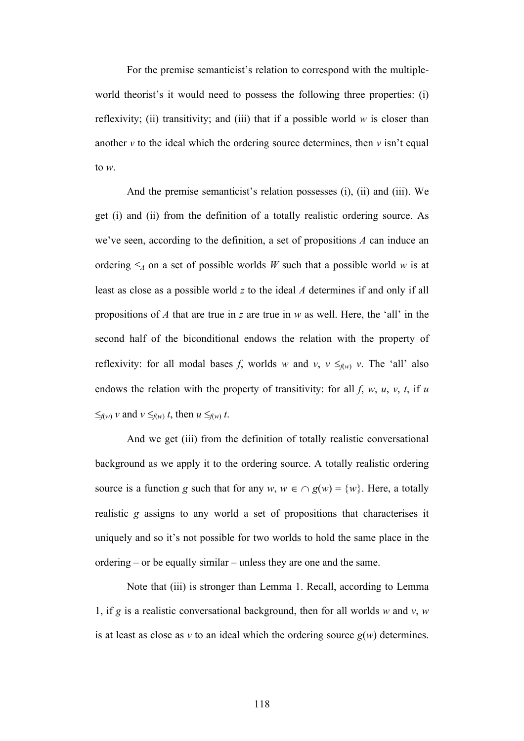For the premise semanticist's relation to correspond with the multipleworld theorist's it would need to possess the following three properties: (i) reflexivity; (ii) transitivity; and (iii) that if a possible world *w* is closer than another  $\nu$  to the ideal which the ordering source determines, then  $\nu$  isn't equal to *w*.

And the premise semanticist's relation possesses (i), (ii) and (iii). We get (i) and (ii) from the definition of a totally realistic ordering source. As we've seen, according to the definition, a set of propositions *A* can induce an ordering  $\leq_A$  on a set of possible worlds *W* such that a possible world *w* is at least as close as a possible world *z* to the ideal *A* determines if and only if all propositions of *A* that are true in *z* are true in *w* as well. Here, the 'all' in the second half of the biconditional endows the relation with the property of reflexivity: for all modal bases *f*, worlds *w* and *v*,  $v \leq_{f(w)} v$ . The 'all' also endows the relation with the property of transitivity: for all  $f$ ,  $w$ ,  $u$ ,  $v$ ,  $t$ , if  $u$  $\leq$ <sup>*f*(*w*)</sub>  $\nu$  and  $\nu \leq$ <sup>*f*(*w*)</sub>  $t$ , then  $u \leq$ <sub>*f*(*w*)</sub>  $t$ .</sup></sup>

And we get (iii) from the definition of totally realistic conversational background as we apply it to the ordering source. A totally realistic ordering source is a function *g* such that for any  $w, w \in \bigcap g(w) = \{w\}$ . Here, a totally realistic *g* assigns to any world a set of propositions that characterises it uniquely and so it's not possible for two worlds to hold the same place in the ordering – or be equally similar – unless they are one and the same.

Note that (iii) is stronger than Lemma 1. Recall, according to Lemma 1, if *g* is a realistic conversational background, then for all worlds *w* and *v*, *w* is at least as close as *v* to an ideal which the ordering source  $g(w)$  determines.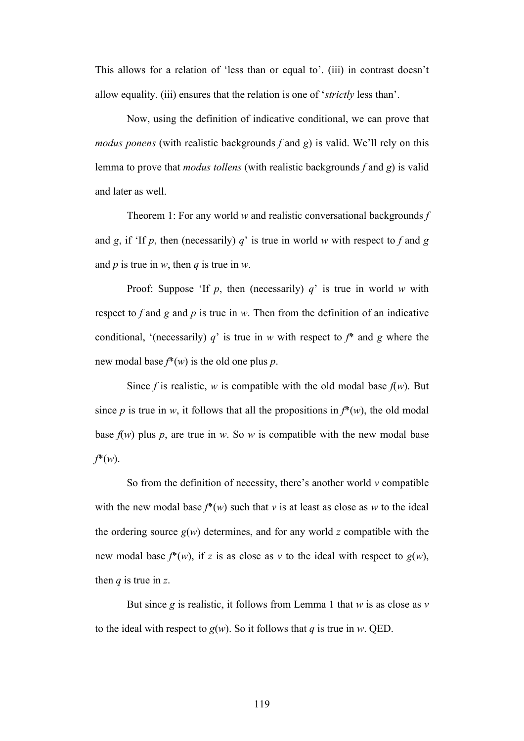This allows for a relation of 'less than or equal to'. (iii) in contrast doesn't allow equality. (iii) ensures that the relation is one of '*strictly* less than'.

Now, using the definition of indicative conditional, we can prove that *modus ponens* (with realistic backgrounds *f* and *g*) is valid. We'll rely on this lemma to prove that *modus tollens* (with realistic backgrounds *f* and *g*) is valid and later as well.

Theorem 1: For any world *w* and realistic conversational backgrounds *f* and *g*, if 'If *p*, then (necessarily) *q*' is true in world *w* with respect to *f* and *g* and *p* is true in *w*, then *q* is true in *w*.

Proof: Suppose 'If *p*, then (necessarily) *q*' is true in world *w* with respect to *f* and *g* and *p* is true in *w*. Then from the definition of an indicative conditional, '(necessarily)  $q$ ' is true in *w* with respect to  $f^*$  and  $g$  where the new modal base *f*\*(*w*) is the old one plus *p*.

Since *f* is realistic, *w* is compatible with the old modal base  $f(w)$ . But since *p* is true in *w*, it follows that all the propositions in  $f^*(w)$ , the old modal base  $f(w)$  plus p, are true in w. So w is compatible with the new modal base *f*\*(*w*).

So from the definition of necessity, there's another world  $\nu$  compatible with the new modal base  $f^*(w)$  such that *v* is at least as close as *w* to the ideal the ordering source  $g(w)$  determines, and for any world *z* compatible with the new modal base  $f^*(w)$ , if *z* is as close as *v* to the ideal with respect to  $g(w)$ , then *q* is true in *z*.

But since *g* is realistic, it follows from Lemma 1 that *w* is as close as *v* to the ideal with respect to  $g(w)$ . So it follows that *q* is true in *w*. QED.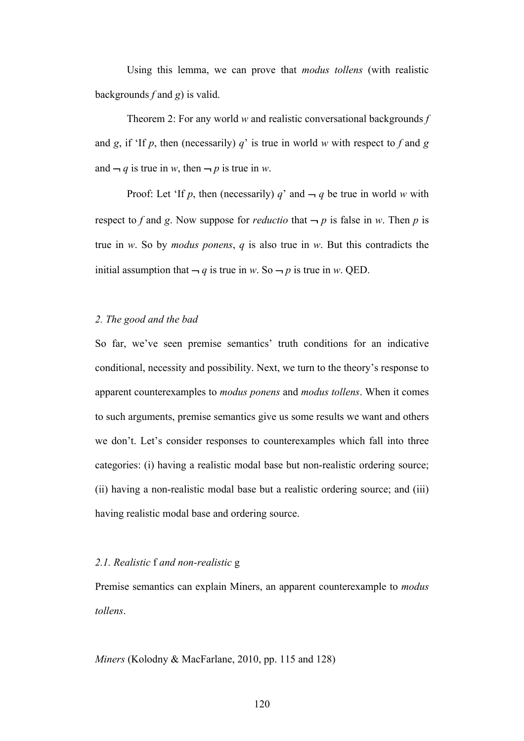Using this lemma, we can prove that *modus tollens* (with realistic backgrounds *f* and *g*) is valid.

Theorem 2: For any world *w* and realistic conversational backgrounds *f* and *g*, if 'If *p*, then (necessarily) *q*' is true in world *w* with respect to *f* and *g* and  $-q$  is true in *w*, then  $-p$  is true in *w*.

Proof: Let 'If p, then (necessarily) q' and  $-q$  be true in world w with respect to *f* and *g*. Now suppose for *reductio* that  $-p$  is false in *w*. Then *p* is true in *w*. So by *modus ponens*, *q* is also true in *w*. But this contradicts the initial assumption that  $-q$  is true in *w*. So  $-p$  is true in *w*. QED.

# *2. The good and the bad*

So far, we've seen premise semantics' truth conditions for an indicative conditional, necessity and possibility. Next, we turn to the theory's response to apparent counterexamples to *modus ponens* and *modus tollens*. When it comes to such arguments, premise semantics give us some results we want and others we don't. Let's consider responses to counterexamples which fall into three categories: (i) having a realistic modal base but non-realistic ordering source; (ii) having a non-realistic modal base but a realistic ordering source; and (iii) having realistic modal base and ordering source.

# *2.1. Realistic* f *and non-realistic* g

Premise semantics can explain Miners, an apparent counterexample to *modus tollens*.

*Miners* (Kolodny & MacFarlane, 2010, pp. 115 and 128)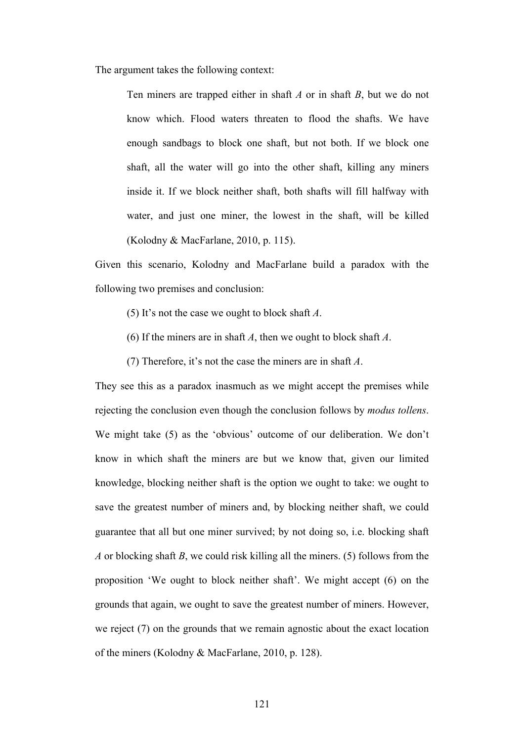The argument takes the following context:

Ten miners are trapped either in shaft *A* or in shaft *B*, but we do not know which. Flood waters threaten to flood the shafts. We have enough sandbags to block one shaft, but not both. If we block one shaft, all the water will go into the other shaft, killing any miners inside it. If we block neither shaft, both shafts will fill halfway with water, and just one miner, the lowest in the shaft, will be killed (Kolodny & MacFarlane, 2010, p. 115).

Given this scenario, Kolodny and MacFarlane build a paradox with the following two premises and conclusion:

- (5) It's not the case we ought to block shaft *A*.
- (6) If the miners are in shaft *A*, then we ought to block shaft *A*.
- (7) Therefore, it's not the case the miners are in shaft *A*.

They see this as a paradox inasmuch as we might accept the premises while rejecting the conclusion even though the conclusion follows by *modus tollens*. We might take (5) as the 'obvious' outcome of our deliberation. We don't know in which shaft the miners are but we know that, given our limited knowledge, blocking neither shaft is the option we ought to take: we ought to save the greatest number of miners and, by blocking neither shaft, we could guarantee that all but one miner survived; by not doing so, i.e. blocking shaft *A* or blocking shaft *B*, we could risk killing all the miners. (5) follows from the proposition 'We ought to block neither shaft'. We might accept (6) on the grounds that again, we ought to save the greatest number of miners. However, we reject (7) on the grounds that we remain agnostic about the exact location of the miners (Kolodny & MacFarlane, 2010, p. 128).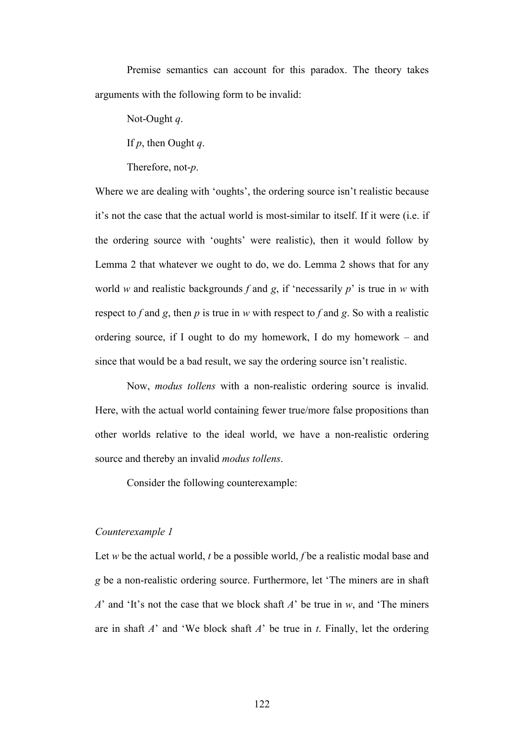Premise semantics can account for this paradox. The theory takes arguments with the following form to be invalid:

Not-Ought *q*.

If *p*, then Ought *q*.

Therefore, not-*p*.

Where we are dealing with 'oughts', the ordering source isn't realistic because it's not the case that the actual world is most-similar to itself. If it were (i.e. if the ordering source with 'oughts' were realistic), then it would follow by Lemma 2 that whatever we ought to do, we do. Lemma 2 shows that for any world *w* and realistic backgrounds *f* and *g*, if 'necessarily *p*' is true in *w* with respect to *f* and *g*, then *p* is true in *w* with respect to *f* and *g*. So with a realistic ordering source, if I ought to do my homework, I do my homework – and since that would be a bad result, we say the ordering source isn't realistic.

Now, *modus tollens* with a non-realistic ordering source is invalid. Here, with the actual world containing fewer true/more false propositions than other worlds relative to the ideal world, we have a non-realistic ordering source and thereby an invalid *modus tollens*.

Consider the following counterexample:

#### *Counterexample 1*

Let *w* be the actual world, *t* be a possible world, *f* be a realistic modal base and *g* be a non-realistic ordering source. Furthermore, let 'The miners are in shaft *A*' and 'It's not the case that we block shaft *A*' be true in *w*, and 'The miners are in shaft *A*' and 'We block shaft *A*' be true in *t*. Finally, let the ordering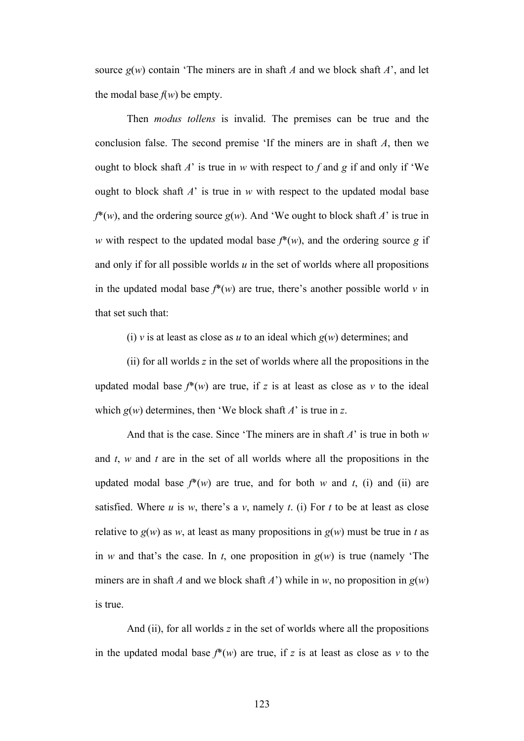source  $g(w)$  contain 'The miners are in shaft *A* and we block shaft *A*', and let the modal base  $f(w)$  be empty.

Then *modus tollens* is invalid. The premises can be true and the conclusion false. The second premise 'If the miners are in shaft *A*, then we ought to block shaft  $A'$  is true in  $w$  with respect to  $f$  and  $g$  if and only if 'We ought to block shaft *A*' is true in *w* with respect to the updated modal base  $f^*(w)$ , and the ordering source  $g(w)$ . And 'We ought to block shaft *A*' is true in *w* with respect to the updated modal base  $f^*(w)$ , and the ordering source *g* if and only if for all possible worlds *u* in the set of worlds where all propositions in the updated modal base  $f^*(w)$  are true, there's another possible world  $v$  in that set such that:

(i) *v* is at least as close as *u* to an ideal which  $g(w)$  determines; and

(ii) for all worlds *z* in the set of worlds where all the propositions in the updated modal base  $f^*(w)$  are true, if z is at least as close as  $v$  to the ideal which  $g(w)$  determines, then 'We block shaft *A*' is true in *z*.

And that is the case. Since 'The miners are in shaft *A*' is true in both *w* and *t*, *w* and *t* are in the set of all worlds where all the propositions in the updated modal base  $f^*(w)$  are true, and for both *w* and *t*, (i) and (ii) are satisfied. Where  $u$  is  $w$ , there's a  $v$ , namely  $t$ . (i) For  $t$  to be at least as close relative to  $g(w)$  as *w*, at least as many propositions in  $g(w)$  must be true in *t* as in *w* and that's the case. In *t*, one proposition in  $g(w)$  is true (namely 'The miners are in shaft *A* and we block shaft *A*') while in *w*, no proposition in  $g(w)$ is true.

And (ii), for all worlds *z* in the set of worlds where all the propositions in the updated modal base  $f^*(w)$  are true, if *z* is at least as close as *v* to the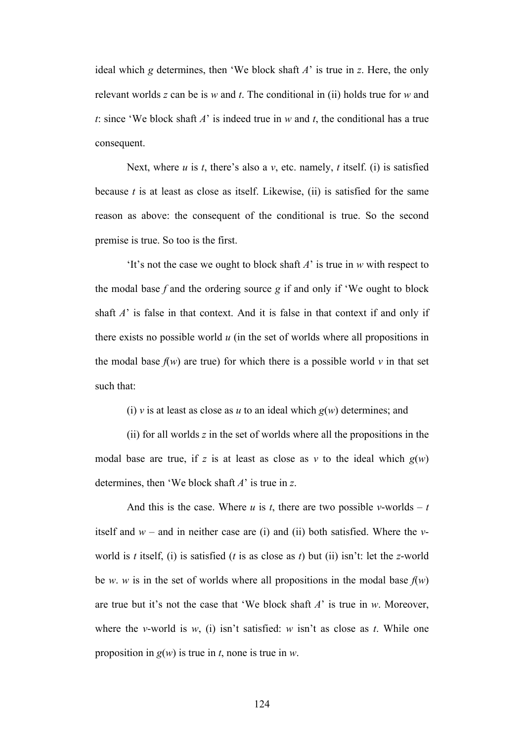ideal which *g* determines, then 'We block shaft *A*' is true in *z*. Here, the only relevant worlds *z* can be is *w* and *t*. The conditional in (ii) holds true for *w* and *t*: since 'We block shaft *A*' is indeed true in *w* and *t*, the conditional has a true consequent.

Next, where *u* is *t*, there's also a *v*, etc. namely, *t* itself. (i) is satisfied because *t* is at least as close as itself. Likewise, (ii) is satisfied for the same reason as above: the consequent of the conditional is true. So the second premise is true. So too is the first.

'It's not the case we ought to block shaft *A*' is true in *w* with respect to the modal base  $f$  and the ordering source  $g$  if and only if 'We ought to block shaft *A*' is false in that context. And it is false in that context if and only if there exists no possible world *u* (in the set of worlds where all propositions in the modal base  $f(w)$  are true) for which there is a possible world  $v$  in that set such that:

(i) *v* is at least as close as *u* to an ideal which  $g(w)$  determines; and

(ii) for all worlds *z* in the set of worlds where all the propositions in the modal base are true, if z is at least as close as  $v$  to the ideal which  $g(w)$ determines, then 'We block shaft *A*' is true in *z*.

And this is the case. Where  $u$  is  $t$ , there are two possible  $v$ -worlds –  $t$ itself and  $w$  – and in neither case are (i) and (ii) both satisfied. Where the  $v$ world is *t* itself, (i) is satisfied (*t* is as close as *t*) but (ii) isn't: let the *z*-world be *w*. *w* is in the set of worlds where all propositions in the modal base  $f(w)$ are true but it's not the case that 'We block shaft *A*' is true in *w*. Moreover, where the *v*-world is *w*, (i) isn't satisfied: *w* isn't as close as *t*. While one proposition in *g*(*w*) is true in *t*, none is true in *w*.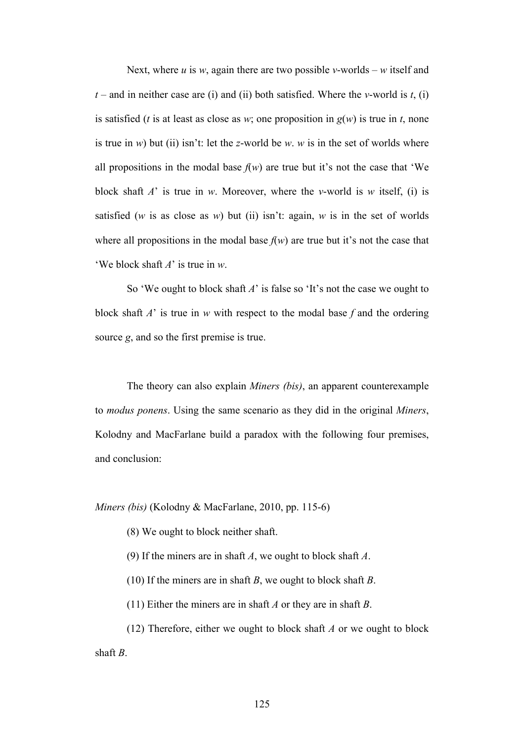Next, where *u* is *w*, again there are two possible *v*-worlds – *w* itself and  $t$  – and in neither case are (i) and (ii) both satisfied. Where the *v*-world is *t*, (i) is satisfied (*t* is at least as close as *w*; one proposition in  $g(w)$  is true in *t*, none is true in *w*) but (ii) isn't: let the *z*-world be *w*. *w* is in the set of worlds where all propositions in the modal base  $f(w)$  are true but it's not the case that 'We block shaft *A*' is true in *w*. Moreover, where the *v*-world is *w* itself, (i) is satisfied (*w* is as close as *w*) but (ii) isn't: again, *w* is in the set of worlds where all propositions in the modal base  $f(w)$  are true but it's not the case that 'We block shaft *A*' is true in *w*.

So 'We ought to block shaft *A*' is false so 'It's not the case we ought to block shaft *A*' is true in *w* with respect to the modal base *f* and the ordering source *g*, and so the first premise is true.

The theory can also explain *Miners (bis)*, an apparent counterexample to *modus ponens*. Using the same scenario as they did in the original *Miners*, Kolodny and MacFarlane build a paradox with the following four premises, and conclusion:

*Miners (bis)* (Kolodny & MacFarlane, 2010, pp. 115-6)

(8) We ought to block neither shaft.

(9) If the miners are in shaft *A*, we ought to block shaft *A*.

(10) If the miners are in shaft *B*, we ought to block shaft *B*.

(11) Either the miners are in shaft *A* or they are in shaft *B*.

(12) Therefore, either we ought to block shaft *A* or we ought to block shaft *B*.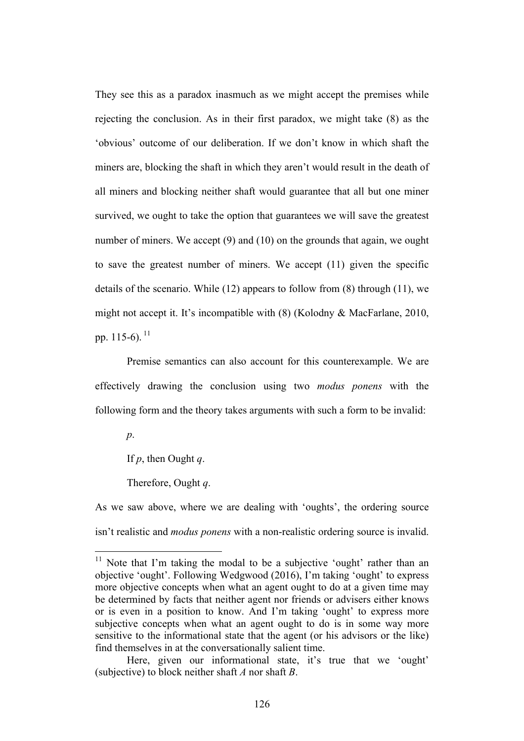They see this as a paradox inasmuch as we might accept the premises while rejecting the conclusion. As in their first paradox, we might take (8) as the 'obvious' outcome of our deliberation. If we don't know in which shaft the miners are, blocking the shaft in which they aren't would result in the death of all miners and blocking neither shaft would guarantee that all but one miner survived, we ought to take the option that guarantees we will save the greatest number of miners. We accept (9) and (10) on the grounds that again, we ought to save the greatest number of miners. We accept (11) given the specific details of the scenario. While (12) appears to follow from (8) through (11), we might not accept it. It's incompatible with (8) (Kolodny & MacFarlane, 2010, pp.  $115-6$ ).  $^{11}$ 

Premise semantics can also account for this counterexample. We are effectively drawing the conclusion using two *modus ponens* with the following form and the theory takes arguments with such a form to be invalid:

*p*.

If *p*, then Ought *q*.

Therefore, Ought *q*.

As we saw above, where we are dealing with 'oughts', the ordering source isn't realistic and *modus ponens* with a non-realistic ordering source is invalid.

<sup>&</sup>lt;sup>11</sup> Note that I'm taking the modal to be a subjective 'ought' rather than an objective 'ought'. Following Wedgwood (2016), I'm taking 'ought' to express more objective concepts when what an agent ought to do at a given time may be determined by facts that neither agent nor friends or advisers either knows or is even in a position to know. And I'm taking 'ought' to express more subjective concepts when what an agent ought to do is in some way more sensitive to the informational state that the agent (or his advisors or the like) find themselves in at the conversationally salient time.

Here, given our informational state, it's true that we 'ought' (subjective) to block neither shaft *A* nor shaft *B*.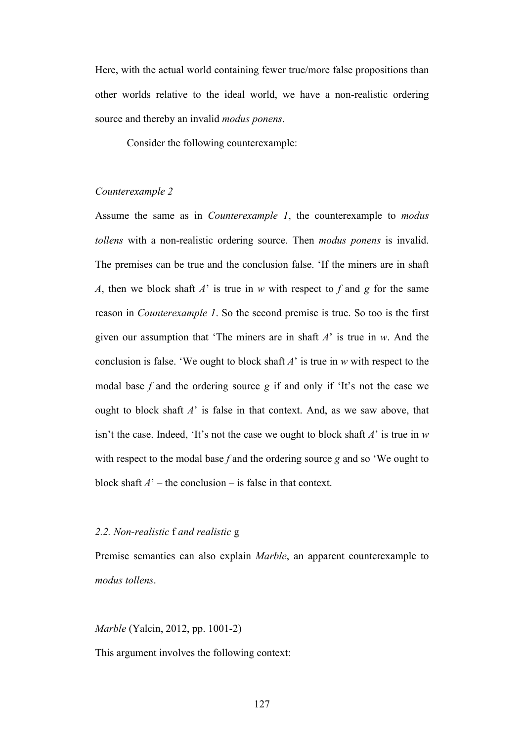Here, with the actual world containing fewer true/more false propositions than other worlds relative to the ideal world, we have a non-realistic ordering source and thereby an invalid *modus ponens*.

Consider the following counterexample:

#### *Counterexample 2*

Assume the same as in *Counterexample 1*, the counterexample to *modus tollens* with a non-realistic ordering source. Then *modus ponens* is invalid. The premises can be true and the conclusion false. 'If the miners are in shaft *A*, then we block shaft *A*' is true in *w* with respect to *f* and *g* for the same reason in *Counterexample 1*. So the second premise is true. So too is the first given our assumption that 'The miners are in shaft *A*' is true in *w*. And the conclusion is false. 'We ought to block shaft *A*' is true in *w* with respect to the modal base *f* and the ordering source *g* if and only if 'It's not the case we ought to block shaft *A*' is false in that context. And, as we saw above, that isn't the case. Indeed, 'It's not the case we ought to block shaft *A*' is true in *w* with respect to the modal base *f* and the ordering source *g* and so 'We ought to block shaft  $A'$  – the conclusion – is false in that context.

#### *2.2. Non-realistic* f *and realistic* g

Premise semantics can also explain *Marble*, an apparent counterexample to *modus tollens*.

*Marble* (Yalcin, 2012, pp. 1001-2)

This argument involves the following context: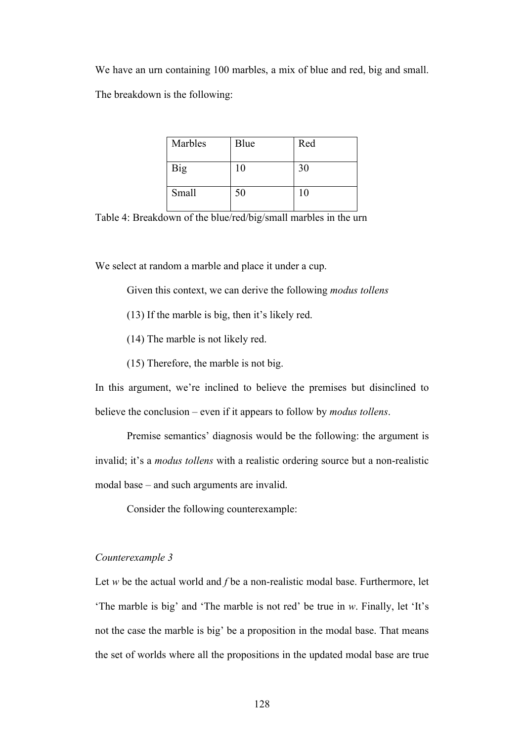We have an urn containing 100 marbles, a mix of blue and red, big and small. The breakdown is the following:

| Marbles | Blue | Red |
|---------|------|-----|
| Big     | 10   | 30  |
| Small   | 50   | 10  |

Table 4: Breakdown of the blue/red/big/small marbles in the urn

We select at random a marble and place it under a cup.

Given this context, we can derive the following *modus tollens*

- (13) If the marble is big, then it's likely red.
- (14) The marble is not likely red.
- (15) Therefore, the marble is not big.

In this argument, we're inclined to believe the premises but disinclined to believe the conclusion – even if it appears to follow by *modus tollens*.

Premise semantics' diagnosis would be the following: the argument is invalid; it's a *modus tollens* with a realistic ordering source but a non-realistic modal base – and such arguments are invalid.

Consider the following counterexample:

# *Counterexample 3*

Let *w* be the actual world and *f* be a non-realistic modal base. Furthermore, let 'The marble is big' and 'The marble is not red' be true in *w*. Finally, let 'It's not the case the marble is big' be a proposition in the modal base. That means the set of worlds where all the propositions in the updated modal base are true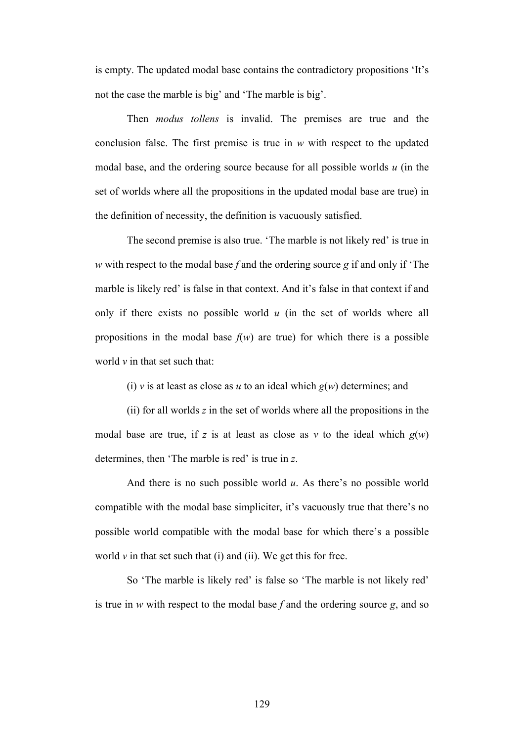is empty. The updated modal base contains the contradictory propositions 'It's not the case the marble is big' and 'The marble is big'.

Then *modus tollens* is invalid. The premises are true and the conclusion false. The first premise is true in *w* with respect to the updated modal base, and the ordering source because for all possible worlds *u* (in the set of worlds where all the propositions in the updated modal base are true) in the definition of necessity, the definition is vacuously satisfied.

The second premise is also true. 'The marble is not likely red' is true in *w* with respect to the modal base *f* and the ordering source *g* if and only if 'The marble is likely red' is false in that context. And it's false in that context if and only if there exists no possible world *u* (in the set of worlds where all propositions in the modal base  $f(w)$  are true) for which there is a possible world *v* in that set such that:

(i) *v* is at least as close as *u* to an ideal which  $g(w)$  determines; and

(ii) for all worlds *z* in the set of worlds where all the propositions in the modal base are true, if z is at least as close as  $v$  to the ideal which  $g(w)$ determines, then 'The marble is red' is true in *z*.

And there is no such possible world *u*. As there's no possible world compatible with the modal base simpliciter, it's vacuously true that there's no possible world compatible with the modal base for which there's a possible world  $\nu$  in that set such that (i) and (ii). We get this for free.

So 'The marble is likely red' is false so 'The marble is not likely red' is true in *w* with respect to the modal base *f* and the ordering source *g*, and so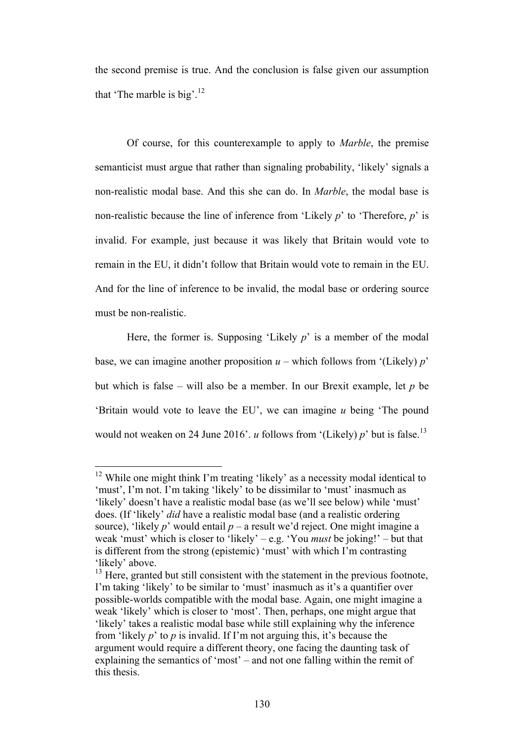the second premise is true. And the conclusion is false given our assumption that 'The marble is big'.<sup>12</sup>

Of course, for this counterexample to apply to *Marble*, the premise semanticist must argue that rather than signaling probability, 'likely' signals a non-realistic modal base. And this she can do. In *Marble*, the modal base is non-realistic because the line of inference from 'Likely *p*' to 'Therefore, *p*' is invalid. For example, just because it was likely that Britain would vote to remain in the EU, it didn't follow that Britain would vote to remain in the EU. And for the line of inference to be invalid, the modal base or ordering source must be non-realistic.

Here, the former is. Supposing 'Likely *p*' is a member of the modal base, we can imagine another proposition  $u$  – which follows from '(Likely)  $p$ ' but which is false – will also be a member. In our Brexit example, let *p* be 'Britain would vote to leave the EU', we can imagine *u* being 'The pound would not weaken on 24 June 2016'. *u* follows from '(Likely) *p*' but is false.<sup>13</sup>

<sup>&</sup>lt;sup>12</sup> While one might think I'm treating 'likely' as a necessity modal identical to 'must', I'm not. I'm taking 'likely' to be dissimilar to 'must' inasmuch as 'likely' doesn't have a realistic modal base (as we'll see below) while 'must' does. (If 'likely' *did* have a realistic modal base (and a realistic ordering source), 'likely *p*' would entail  $p - a$  result we'd reject. One might imagine a weak 'must' which is closer to 'likely' – e.g. 'You *must* be joking!' – but that is different from the strong (epistemic) 'must' with which I'm contrasting 'likely' above.

<sup>&</sup>lt;sup>13</sup> Here, granted but still consistent with the statement in the previous footnote, I'm taking 'likely' to be similar to 'must' inasmuch as it's a quantifier over possible-worlds compatible with the modal base. Again, one might imagine a weak 'likely' which is closer to 'most'. Then, perhaps, one might argue that 'likely' takes a realistic modal base while still explaining why the inference from 'likely *p*' to *p* is invalid. If I'm not arguing this, it's because the argument would require a different theory, one facing the daunting task of explaining the semantics of 'most' – and not one falling within the remit of this thesis.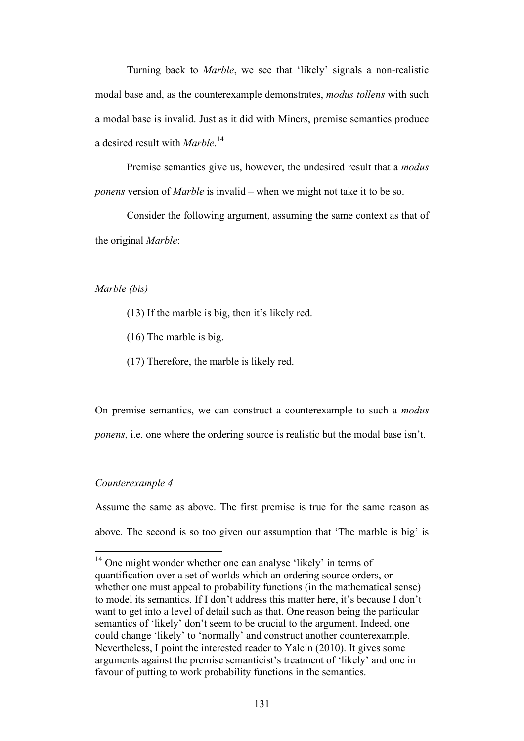Turning back to *Marble*, we see that 'likely' signals a non-realistic modal base and, as the counterexample demonstrates, *modus tollens* with such a modal base is invalid. Just as it did with Miners, premise semantics produce a desired result with *Marble*. 14

Premise semantics give us, however, the undesired result that a *modus ponens* version of *Marble* is invalid – when we might not take it to be so.

Consider the following argument, assuming the same context as that of the original *Marble*:

#### *Marble (bis)*

- (13) If the marble is big, then it's likely red.
- (16) The marble is big.
- (17) Therefore, the marble is likely red.

On premise semantics, we can construct a counterexample to such a *modus ponens*, i.e. one where the ordering source is realistic but the modal base isn't.

#### *Counterexample 4*

Assume the same as above. The first premise is true for the same reason as above. The second is so too given our assumption that 'The marble is big' is

<sup>&</sup>lt;sup>14</sup> One might wonder whether one can analyse 'likely' in terms of quantification over a set of worlds which an ordering source orders, or whether one must appeal to probability functions (in the mathematical sense) to model its semantics. If I don't address this matter here, it's because I don't want to get into a level of detail such as that. One reason being the particular semantics of 'likely' don't seem to be crucial to the argument. Indeed, one could change 'likely' to 'normally' and construct another counterexample. Nevertheless, I point the interested reader to Yalcin (2010). It gives some arguments against the premise semanticist's treatment of 'likely' and one in favour of putting to work probability functions in the semantics.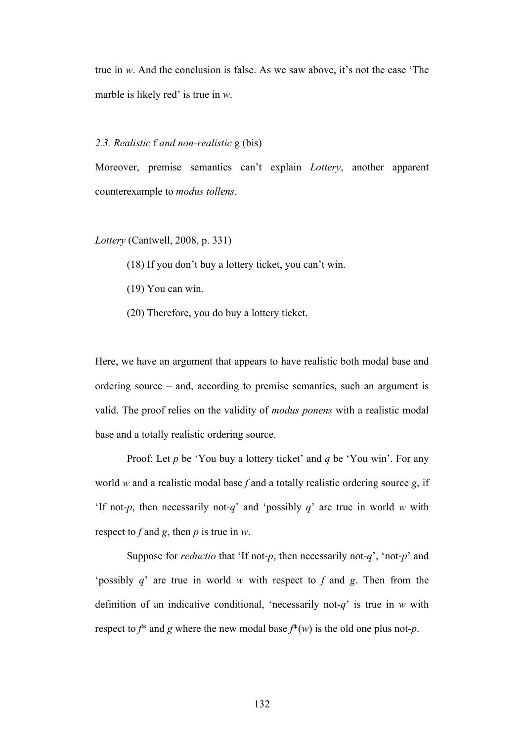true in *w*. And the conclusion is false. As we saw above, it's not the case 'The marble is likely red' is true in *w*.

# *2.3. Realistic* f *and non-realistic* g (bis)

Moreover, premise semantics can't explain *Lottery*, another apparent counterexample to *modus tollens*.

*Lottery* (Cantwell, 2008, p. 331)

(18) If you don't buy a lottery ticket, you can't win.

- (19) You can win.
- (20) Therefore, you do buy a lottery ticket.

Here, we have an argument that appears to have realistic both modal base and ordering source – and, according to premise semantics, such an argument is valid. The proof relies on the validity of *modus ponens* with a realistic modal base and a totally realistic ordering source.

Proof: Let *p* be 'You buy a lottery ticket' and *q* be 'You win'. For any world *w* and a realistic modal base *f* and a totally realistic ordering source *g*, if 'If not-*p*, then necessarily not-*q*' and 'possibly *q*' are true in world *w* with respect to *f* and *g*, then *p* is true in *w*.

Suppose for *reductio* that 'If not-*p*, then necessarily not-*q*', 'not-*p*' and 'possibly *q*' are true in world *w* with respect to *f* and *g*. Then from the definition of an indicative conditional, 'necessarily not-*q*' is true in *w* with respect to  $f^*$  and  $g$  where the new modal base  $f^*(w)$  is the old one plus not- $p$ .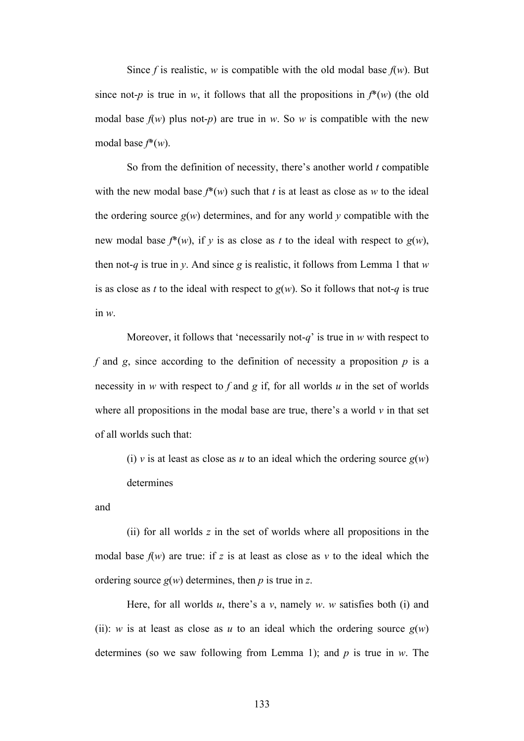Since *f* is realistic, *w* is compatible with the old modal base  $f(w)$ . But since not-*p* is true in *w*, it follows that all the propositions in  $f^*(w)$  (the old modal base  $f(w)$  plus not-*p*) are true in *w*. So *w* is compatible with the new modal base *f*\*(*w*).

So from the definition of necessity, there's another world *t* compatible with the new modal base  $f^*(w)$  such that *t* is at least as close as *w* to the ideal the ordering source  $g(w)$  determines, and for any world  $y$  compatible with the new modal base  $f^*(w)$ , if *y* is as close as *t* to the ideal with respect to  $g(w)$ , then not-*q* is true in *y*. And since *g* is realistic, it follows from Lemma 1 that *w* is as close as *t* to the ideal with respect to  $g(w)$ . So it follows that not-*q* is true in *w*.

Moreover, it follows that 'necessarily not-*q*' is true in *w* with respect to  $f$  and  $g$ , since according to the definition of necessity a proposition  $p$  is a necessity in *w* with respect to *f* and *g* if, for all worlds *u* in the set of worlds where all propositions in the modal base are true, there's a world  $\nu$  in that set of all worlds such that:

(i) *v* is at least as close as *u* to an ideal which the ordering source  $g(w)$ determines

and

(ii) for all worlds *z* in the set of worlds where all propositions in the modal base  $f(w)$  are true: if z is at least as close as v to the ideal which the ordering source *g*(*w*) determines, then *p* is true in *z*.

Here, for all worlds *u*, there's a *v*, namely *w*. *w* satisfies both (i) and (ii): *w* is at least as close as *u* to an ideal which the ordering source  $g(w)$ determines (so we saw following from Lemma 1); and *p* is true in *w*. The

133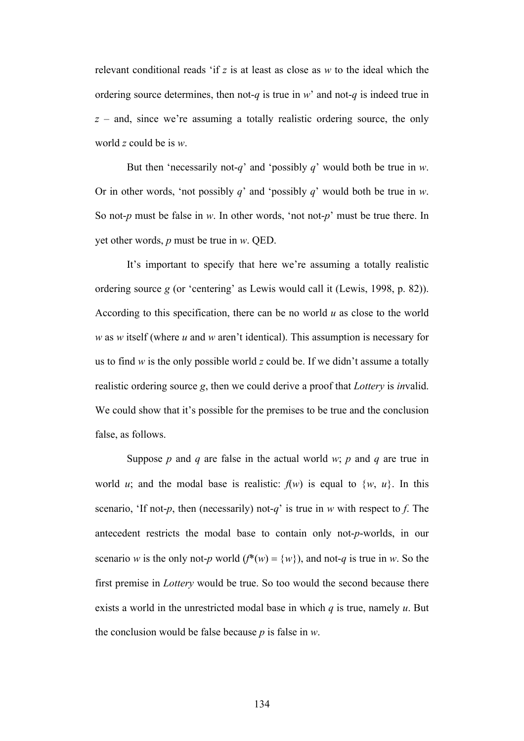relevant conditional reads 'if *z* is at least as close as *w* to the ideal which the ordering source determines, then not-*q* is true in *w*' and not-*q* is indeed true in *z* – and, since we're assuming a totally realistic ordering source, the only world *z* could be is *w*.

But then 'necessarily not-*q*' and 'possibly *q*' would both be true in *w*. Or in other words, 'not possibly *q*' and 'possibly *q*' would both be true in *w*. So not-*p* must be false in *w*. In other words, 'not not-*p*' must be true there. In yet other words, *p* must be true in *w*. QED.

It's important to specify that here we're assuming a totally realistic ordering source *g* (or 'centering' as Lewis would call it (Lewis, 1998, p. 82)). According to this specification, there can be no world *u* as close to the world *w* as *w* itself (where *u* and *w* aren't identical). This assumption is necessary for us to find *w* is the only possible world *z* could be. If we didn't assume a totally realistic ordering source *g*, then we could derive a proof that *Lottery* is *in*valid. We could show that it's possible for the premises to be true and the conclusion false, as follows.

Suppose *p* and *q* are false in the actual world *w*; *p* and *q* are true in world *u*; and the modal base is realistic:  $f(w)$  is equal to  $\{w, u\}$ . In this scenario, 'If not-*p*, then (necessarily) not-*q*' is true in *w* with respect to *f*. The antecedent restricts the modal base to contain only not-*p*-worlds, in our scenario *w* is the only not-*p* world ( $f^*(w) = \{w\}$ ), and not-*q* is true in *w*. So the first premise in *Lottery* would be true. So too would the second because there exists a world in the unrestricted modal base in which *q* is true, namely *u*. But the conclusion would be false because *p* is false in *w*.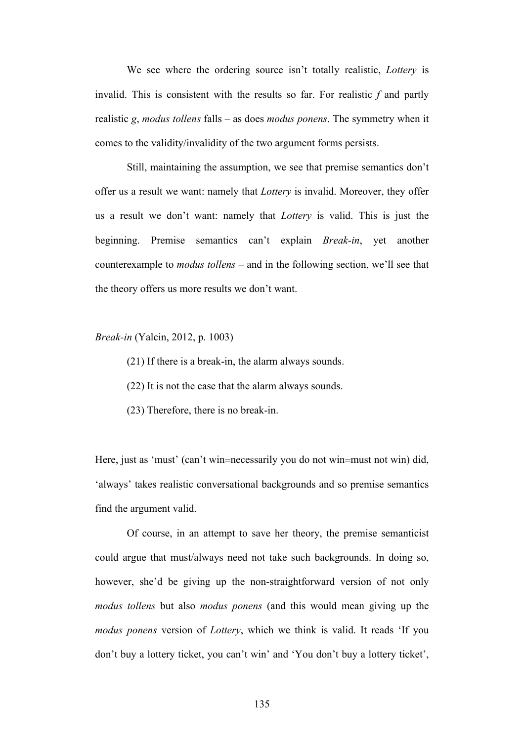We see where the ordering source isn't totally realistic, *Lottery* is invalid. This is consistent with the results so far. For realistic *f* and partly realistic *g*, *modus tollens* falls – as does *modus ponens*. The symmetry when it comes to the validity/invalidity of the two argument forms persists.

Still, maintaining the assumption, we see that premise semantics don't offer us a result we want: namely that *Lottery* is invalid. Moreover, they offer us a result we don't want: namely that *Lottery* is valid. This is just the beginning. Premise semantics can't explain *Break-in*, yet another counterexample to *modus tollens* – and in the following section, we'll see that the theory offers us more results we don't want.

*Break-in* (Yalcin, 2012, p. 1003)

(21) If there is a break-in, the alarm always sounds.

(22) It is not the case that the alarm always sounds.

(23) Therefore, there is no break-in.

Here, just as 'must' (can't win=necessarily you do not win=must not win) did, 'always' takes realistic conversational backgrounds and so premise semantics find the argument valid.

Of course, in an attempt to save her theory, the premise semanticist could argue that must/always need not take such backgrounds. In doing so, however, she'd be giving up the non-straightforward version of not only *modus tollens* but also *modus ponens* (and this would mean giving up the *modus ponens* version of *Lottery*, which we think is valid. It reads 'If you don't buy a lottery ticket, you can't win' and 'You don't buy a lottery ticket',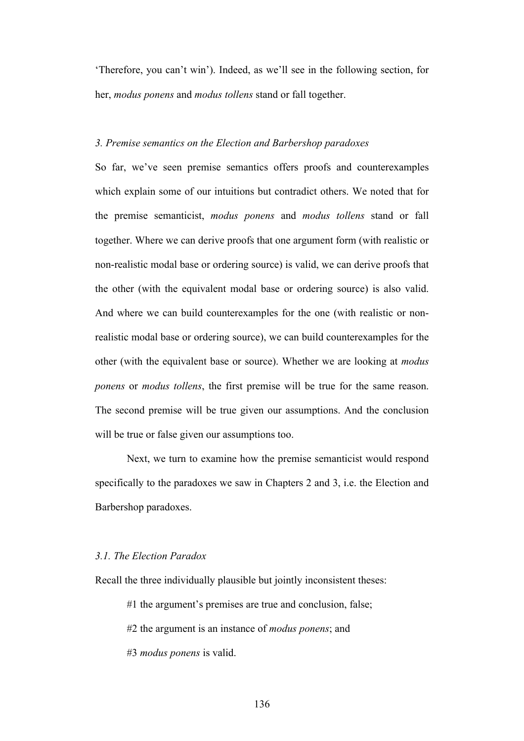'Therefore, you can't win'). Indeed, as we'll see in the following section, for her, *modus ponens* and *modus tollens* stand or fall together.

## *3. Premise semantics on the Election and Barbershop paradoxes*

So far, we've seen premise semantics offers proofs and counterexamples which explain some of our intuitions but contradict others. We noted that for the premise semanticist, *modus ponens* and *modus tollens* stand or fall together. Where we can derive proofs that one argument form (with realistic or non-realistic modal base or ordering source) is valid, we can derive proofs that the other (with the equivalent modal base or ordering source) is also valid. And where we can build counterexamples for the one (with realistic or nonrealistic modal base or ordering source), we can build counterexamples for the other (with the equivalent base or source). Whether we are looking at *modus ponens* or *modus tollens*, the first premise will be true for the same reason. The second premise will be true given our assumptions. And the conclusion will be true or false given our assumptions too.

Next, we turn to examine how the premise semanticist would respond specifically to the paradoxes we saw in Chapters 2 and 3, i.e. the Election and Barbershop paradoxes.

### *3.1. The Election Paradox*

Recall the three individually plausible but jointly inconsistent theses:

#1 the argument's premises are true and conclusion, false;

#2 the argument is an instance of *modus ponens*; and

#3 *modus ponens* is valid.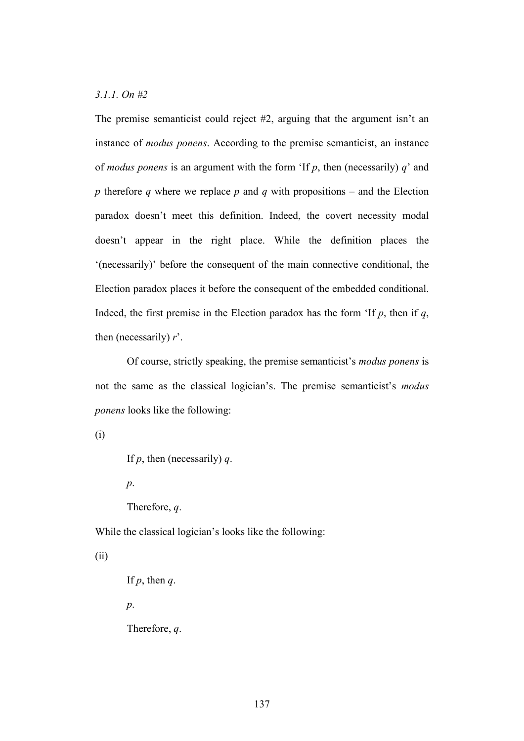# *3.1.1. On #2*

The premise semanticist could reject #2, arguing that the argument isn't an instance of *modus ponens*. According to the premise semanticist, an instance of *modus ponens* is an argument with the form 'If *p*, then (necessarily) *q*' and *p* therefore *q* where we replace *p* and *q* with propositions – and the Election paradox doesn't meet this definition. Indeed, the covert necessity modal doesn't appear in the right place. While the definition places the '(necessarily)' before the consequent of the main connective conditional, the Election paradox places it before the consequent of the embedded conditional. Indeed, the first premise in the Election paradox has the form 'If  $p$ , then if  $q$ , then (necessarily) *r*'.

Of course, strictly speaking, the premise semanticist's *modus ponens* is not the same as the classical logician's. The premise semanticist's *modus ponens* looks like the following:

(i)

```
If p, then (necessarily) q.
```
*p*.

Therefore, *q*.

While the classical logician's looks like the following:

## (ii)

```
If p, then q.
```
*p*.

Therefore, *q*.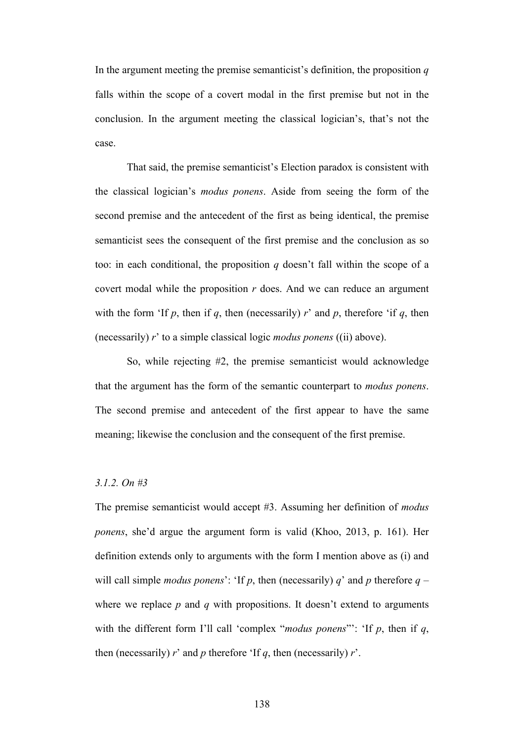In the argument meeting the premise semanticist's definition, the proposition *q* falls within the scope of a covert modal in the first premise but not in the conclusion. In the argument meeting the classical logician's, that's not the case.

That said, the premise semanticist's Election paradox is consistent with the classical logician's *modus ponens*. Aside from seeing the form of the second premise and the antecedent of the first as being identical, the premise semanticist sees the consequent of the first premise and the conclusion as so too: in each conditional, the proposition *q* doesn't fall within the scope of a covert modal while the proposition *r* does. And we can reduce an argument with the form 'If  $p$ , then if  $q$ , then (necessarily)  $r'$  and  $p$ , therefore 'if  $q$ , then (necessarily) *r*' to a simple classical logic *modus ponens* ((ii) above).

So, while rejecting #2, the premise semanticist would acknowledge that the argument has the form of the semantic counterpart to *modus ponens*. The second premise and antecedent of the first appear to have the same meaning; likewise the conclusion and the consequent of the first premise.

## *3.1.2. On #3*

The premise semanticist would accept #3. Assuming her definition of *modus ponens*, she'd argue the argument form is valid (Khoo, 2013, p. 161). Her definition extends only to arguments with the form I mention above as (i) and will call simple *modus ponens*': 'If p, then (necessarily) q' and p therefore  $q$  – where we replace  $p$  and  $q$  with propositions. It doesn't extend to arguments with the different form I'll call 'complex "*modus ponens*"': 'If *p*, then if *q*, then (necessarily)  $r'$  and  $p$  therefore 'If  $q$ , then (necessarily)  $r'$ .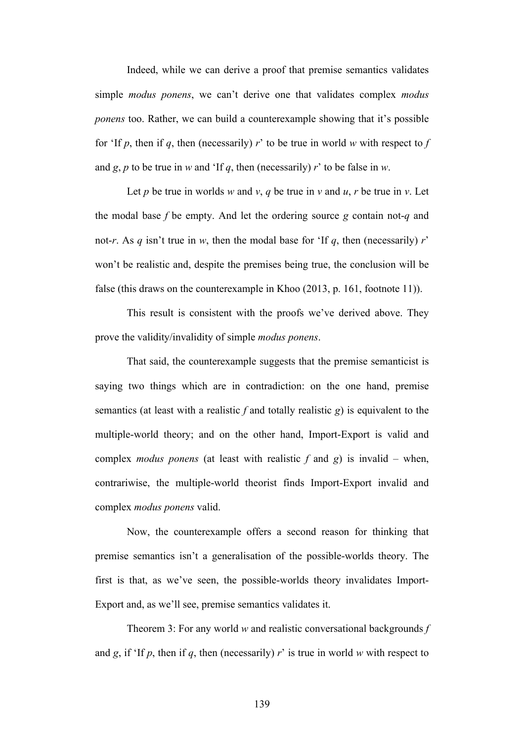Indeed, while we can derive a proof that premise semantics validates simple *modus ponens*, we can't derive one that validates complex *modus ponens* too. Rather, we can build a counterexample showing that it's possible for 'If  $p$ , then if  $q$ , then (necessarily)  $r'$  to be true in world  $w$  with respect to  $f$ and  $g$ ,  $p$  to be true in  $w$  and 'If  $q$ , then (necessarily)  $r$ ' to be false in  $w$ .

Let *p* be true in worlds *w* and *v*, *q* be true in *v* and *u*, *r* be true in *v*. Let the modal base *f* be empty. And let the ordering source *g* contain not-*q* and not-*r*. As *q* isn't true in *w*, then the modal base for 'If *q*, then (necessarily) *r*' won't be realistic and, despite the premises being true, the conclusion will be false (this draws on the counterexample in Khoo (2013, p. 161, footnote 11)).

This result is consistent with the proofs we've derived above. They prove the validity/invalidity of simple *modus ponens*.

That said, the counterexample suggests that the premise semanticist is saying two things which are in contradiction: on the one hand, premise semantics (at least with a realistic *f* and totally realistic *g*) is equivalent to the multiple-world theory; and on the other hand, Import-Export is valid and complex *modus ponens* (at least with realistic *f* and *g*) is invalid – when, contrariwise, the multiple-world theorist finds Import-Export invalid and complex *modus ponens* valid.

Now, the counterexample offers a second reason for thinking that premise semantics isn't a generalisation of the possible-worlds theory. The first is that, as we've seen, the possible-worlds theory invalidates Import-Export and, as we'll see, premise semantics validates it.

Theorem 3: For any world *w* and realistic conversational backgrounds *f* and *g*, if 'If *p*, then if *q*, then (necessarily) *r*' is true in world *w* with respect to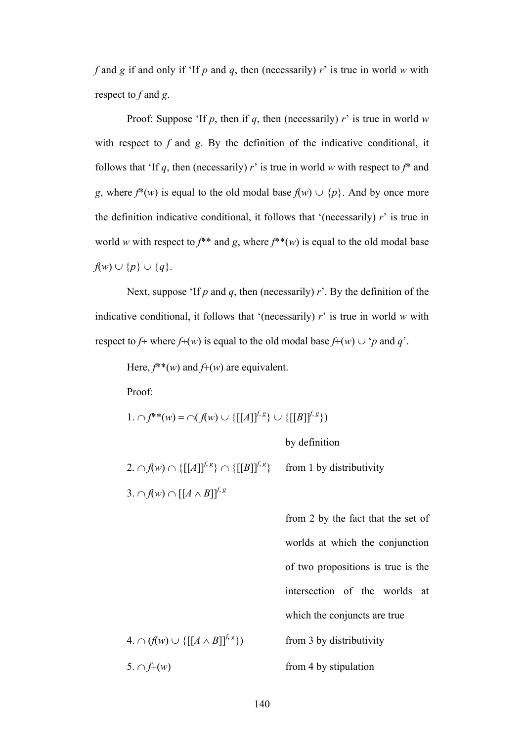*f* and *g* if and only if 'If *p* and *q*, then (necessarily) *r*' is true in world *w* with respect to *f* and *g*.

Proof: Suppose 'If *p*, then if *q*, then (necessarily) *r*' is true in world *w* with respect to *f* and *g*. By the definition of the indicative conditional, it follows that 'If  $q$ , then (necessarily)  $r'$  is true in world  $w$  with respect to  $f^*$  and *g*, where  $f^*(w)$  is equal to the old modal base  $f(w) \cup \{p\}$ . And by once more the definition indicative conditional, it follows that '(necessarily)  $r'$  is true in world *w* with respect to  $f^{**}$  and *g*, where  $f^{**}(w)$  is equal to the old modal base  $f(w) \cup \{p\} \cup \{q\}.$ 

Next, suppose 'If *p* and *q*, then (necessarily) *r*'. By the definition of the indicative conditional, it follows that '(necessarily) *r*' is true in world *w* with respect to *f*+ where *f*+(*w*) is equal to the old modal base *f*+(*w*)  $\cup$  '*p* and *q*'.

Here,  $f^*$ (*w*) and  $f^+(w)$  are equivalent.

Proof:

1. 
$$
\bigcap f^{**}(w) = \bigcap (f(w) \cup \{[[A]]^{f,g}\} \cup \{[[B]]^{f,g}\})
$$

by definition

 $2. \cap f(w) \cap \{[[A]]^{f, g}\} \cap \{[[B]]^{f, g}\}$ from 1 by distributivity  $3. \cap f(w) \cap [[A \wedge B]]^{f,g}$ 

from 2 by the fact that the set of worlds at which the conjunction of two propositions is true is the intersection of the worlds at which the conjuncts are true  $4. \cap (f(w) \cup \{[(A \wedge B)]^{f, g}\})$ from 3 by distributivity 5.  $\cap$  *f*+(*w*) from 4 by stipulation

140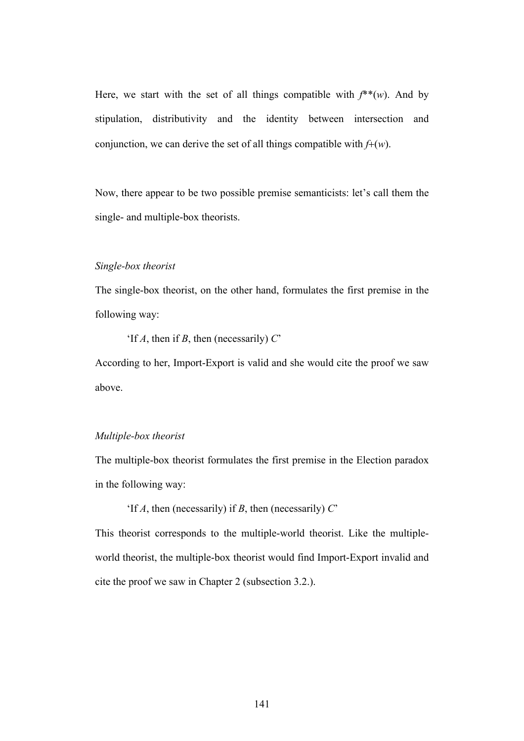Here, we start with the set of all things compatible with  $f^*(w)$ . And by stipulation, distributivity and the identity between intersection and conjunction, we can derive the set of all things compatible with *f*+(*w*).

Now, there appear to be two possible premise semanticists: let's call them the single- and multiple-box theorists.

### *Single-box theorist*

The single-box theorist, on the other hand, formulates the first premise in the following way:

'If *A*, then if *B*, then (necessarily) *C*'

According to her, Import-Export is valid and she would cite the proof we saw above.

## *Multiple-box theorist*

The multiple-box theorist formulates the first premise in the Election paradox in the following way:

'If *A*, then (necessarily) if *B*, then (necessarily) *C*'

This theorist corresponds to the multiple-world theorist. Like the multipleworld theorist, the multiple-box theorist would find Import-Export invalid and cite the proof we saw in Chapter 2 (subsection 3.2.).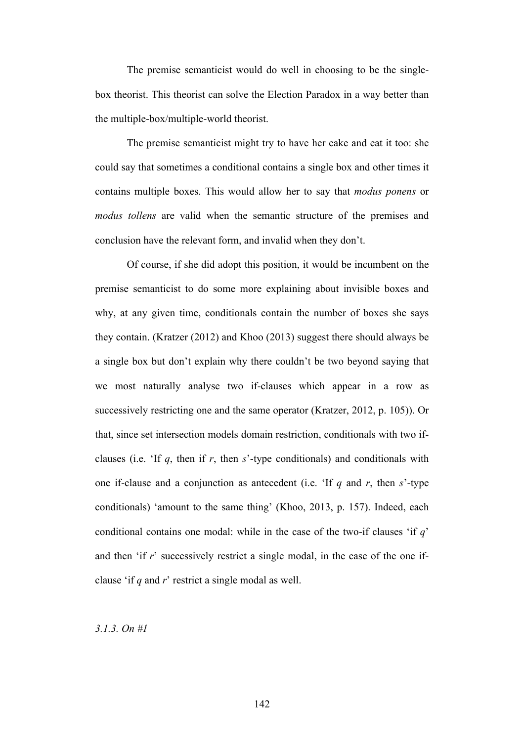The premise semanticist would do well in choosing to be the singlebox theorist. This theorist can solve the Election Paradox in a way better than the multiple-box/multiple-world theorist.

The premise semanticist might try to have her cake and eat it too: she could say that sometimes a conditional contains a single box and other times it contains multiple boxes. This would allow her to say that *modus ponens* or *modus tollens* are valid when the semantic structure of the premises and conclusion have the relevant form, and invalid when they don't.

Of course, if she did adopt this position, it would be incumbent on the premise semanticist to do some more explaining about invisible boxes and why, at any given time, conditionals contain the number of boxes she says they contain. (Kratzer (2012) and Khoo (2013) suggest there should always be a single box but don't explain why there couldn't be two beyond saying that we most naturally analyse two if-clauses which appear in a row as successively restricting one and the same operator (Kratzer, 2012, p. 105)). Or that, since set intersection models domain restriction, conditionals with two ifclauses (i.e. 'If *q*, then if *r*, then *s*'-type conditionals) and conditionals with one if-clause and a conjunction as antecedent (i.e. 'If *q* and *r*, then *s*'-type conditionals) 'amount to the same thing' (Khoo, 2013, p. 157). Indeed, each conditional contains one modal: while in the case of the two-if clauses 'if *q*' and then 'if *r*' successively restrict a single modal, in the case of the one ifclause 'if *q* and *r*' restrict a single modal as well.

*3.1.3. On #1*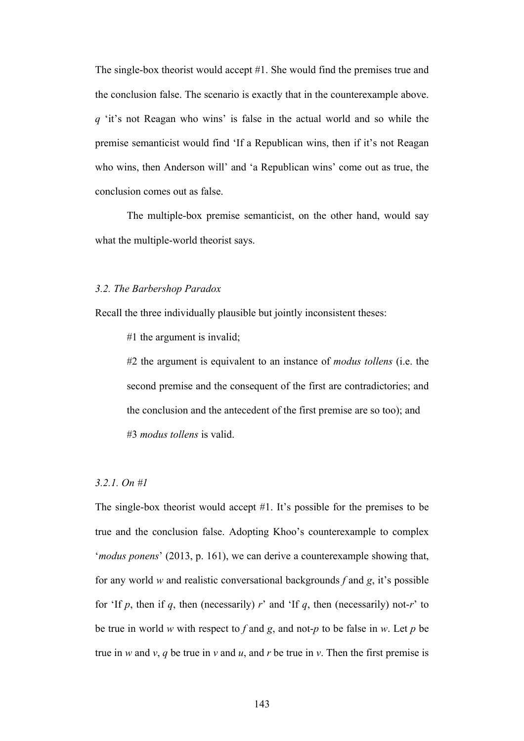The single-box theorist would accept #1. She would find the premises true and the conclusion false. The scenario is exactly that in the counterexample above. *q* 'it's not Reagan who wins' is false in the actual world and so while the premise semanticist would find 'If a Republican wins, then if it's not Reagan who wins, then Anderson will' and 'a Republican wins' come out as true, the conclusion comes out as false.

The multiple-box premise semanticist, on the other hand, would say what the multiple-world theorist says.

#### *3.2. The Barbershop Paradox*

Recall the three individually plausible but jointly inconsistent theses:

#1 the argument is invalid;

#2 the argument is equivalent to an instance of *modus tollens* (i.e. the second premise and the consequent of the first are contradictories; and the conclusion and the antecedent of the first premise are so too); and #3 *modus tollens* is valid.

## *3.2.1. On #1*

The single-box theorist would accept #1. It's possible for the premises to be true and the conclusion false. Adopting Khoo's counterexample to complex '*modus ponens*' (2013, p. 161), we can derive a counterexample showing that, for any world *w* and realistic conversational backgrounds *f* and *g*, it's possible for 'If  $p$ , then if  $q$ , then (necessarily)  $r'$  and 'If  $q$ , then (necessarily) not- $r'$  to be true in world *w* with respect to *f* and *g*, and not-*p* to be false in *w*. Let *p* be true in *w* and *v*, *q* be true in *v* and *u*, and *r* be true in *v*. Then the first premise is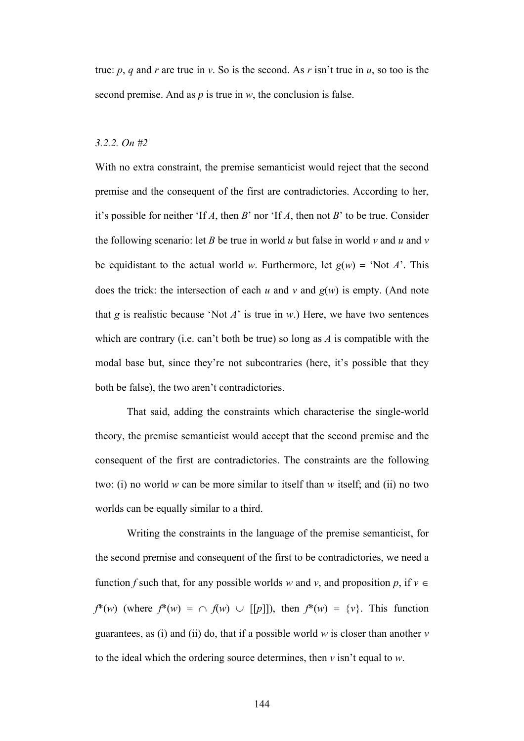true: *p*, *q* and *r* are true in *v*. So is the second. As *r* isn't true in *u*, so too is the second premise. And as *p* is true in *w*, the conclusion is false.

### *3.2.2. On #2*

With no extra constraint, the premise semanticist would reject that the second premise and the consequent of the first are contradictories. According to her, it's possible for neither 'If *A*, then *B*' nor 'If *A*, then not *B*' to be true. Consider the following scenario: let *B* be true in world *u* but false in world *v* and *u* and *v* be equidistant to the actual world *w*. Furthermore, let  $g(w) = 'Not A'.$  This does the trick: the intersection of each  $u$  and  $v$  and  $g(w)$  is empty. (And note that *g* is realistic because 'Not *A*' is true in *w*.) Here, we have two sentences which are contrary (i.e. can't both be true) so long as *A* is compatible with the modal base but, since they're not subcontraries (here, it's possible that they both be false), the two aren't contradictories.

That said, adding the constraints which characterise the single-world theory, the premise semanticist would accept that the second premise and the consequent of the first are contradictories. The constraints are the following two: (i) no world *w* can be more similar to itself than *w* itself; and (ii) no two worlds can be equally similar to a third.

Writing the constraints in the language of the premise semanticist, for the second premise and consequent of the first to be contradictories, we need a function *f* such that, for any possible worlds *w* and *v*, and proposition *p*, if  $v \in$  $f^*(w)$  (where  $f^*(w) = \bigcap f(w) \cup [[p]]$ ), then  $f^*(w) = \{v\}$ . This function guarantees, as (i) and (ii) do, that if a possible world *w* is closer than another *v* to the ideal which the ordering source determines, then *v* isn't equal to *w*.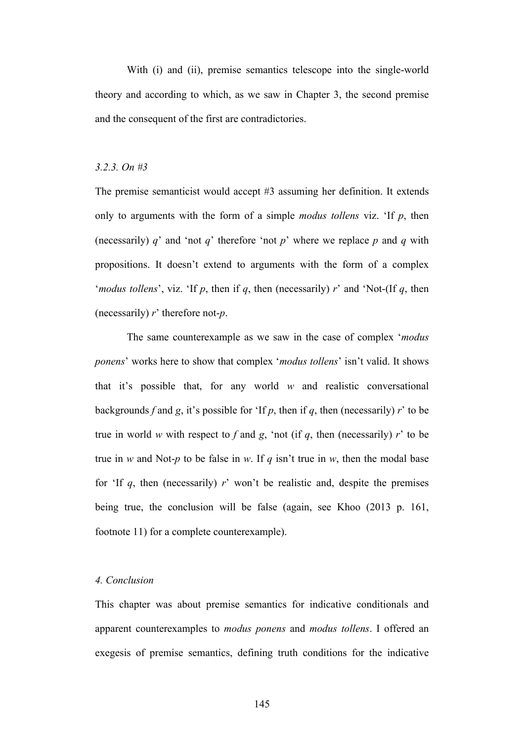With (i) and (ii), premise semantics telescope into the single-world theory and according to which, as we saw in Chapter 3, the second premise and the consequent of the first are contradictories.

### *3.2.3. On #3*

The premise semanticist would accept #3 assuming her definition. It extends only to arguments with the form of a simple *modus tollens* viz. 'If *p*, then (necessarily) *q*' and 'not *q*' therefore 'not *p*' where we replace *p* and *q* with propositions. It doesn't extend to arguments with the form of a complex '*modus tollens*', viz. 'If *p*, then if *q*, then (necessarily) *r*' and 'Not-(If *q*, then (necessarily) *r*' therefore not-*p*.

The same counterexample as we saw in the case of complex '*modus ponens*' works here to show that complex '*modus tollens*' isn't valid. It shows that it's possible that, for any world *w* and realistic conversational backgrounds *f* and *g*, it's possible for 'If *p*, then if *q*, then (necessarily) *r*' to be true in world *w* with respect to  $f$  and  $g$ , 'not (if  $q$ , then (necessarily)  $r'$  to be true in *w* and Not-*p* to be false in *w*. If *q* isn't true in *w*, then the modal base for 'If  $q$ , then (necessarily)  $r$ ' won't be realistic and, despite the premises being true, the conclusion will be false (again, see Khoo (2013 p. 161, footnote 11) for a complete counterexample).

#### *4. Conclusion*

This chapter was about premise semantics for indicative conditionals and apparent counterexamples to *modus ponens* and *modus tollens*. I offered an exegesis of premise semantics, defining truth conditions for the indicative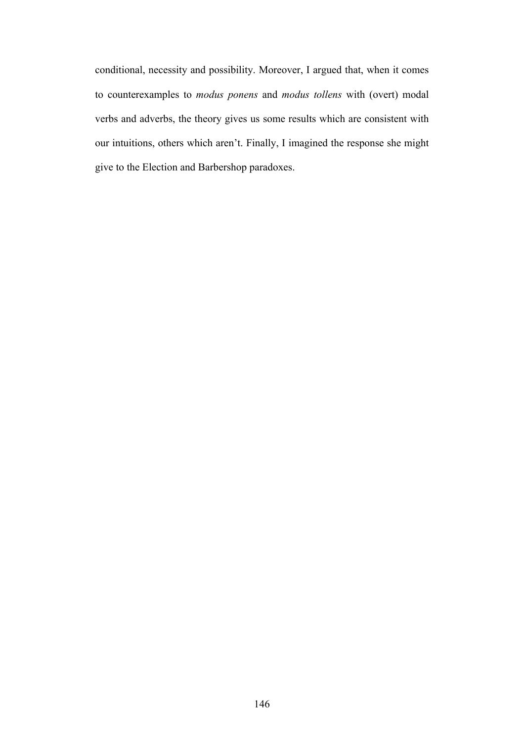conditional, necessity and possibility. Moreover, I argued that, when it comes to counterexamples to *modus ponens* and *modus tollens* with (overt) modal verbs and adverbs, the theory gives us some results which are consistent with our intuitions, others which aren't. Finally, I imagined the response she might give to the Election and Barbershop paradoxes.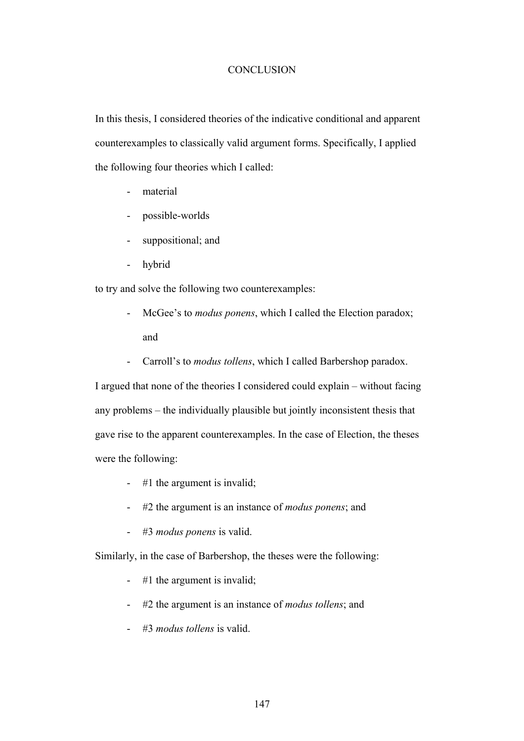## **CONCLUSION**

In this thesis, I considered theories of the indicative conditional and apparent counterexamples to classically valid argument forms. Specifically, I applied the following four theories which I called:

- material
- possible-worlds
- suppositional; and
- hybrid

to try and solve the following two counterexamples:

- McGee's to *modus ponens*, which I called the Election paradox; and
- Carroll's to *modus tollens*, which I called Barbershop paradox.

I argued that none of the theories I considered could explain – without facing any problems – the individually plausible but jointly inconsistent thesis that gave rise to the apparent counterexamples. In the case of Election, the theses were the following:

- #1 the argument is invalid;
- #2 the argument is an instance of *modus ponens*; and
- #3 *modus ponens* is valid.

Similarly, in the case of Barbershop, the theses were the following:

- #1 the argument is invalid;
- #2 the argument is an instance of *modus tollens*; and
- #3 *modus tollens* is valid.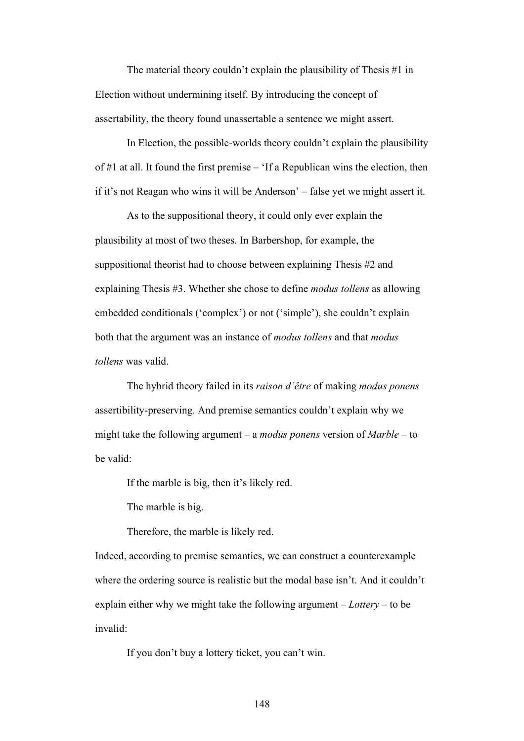The material theory couldn't explain the plausibility of Thesis #1 in Election without undermining itself. By introducing the concept of assertability, the theory found unassertable a sentence we might assert.

In Election, the possible-worlds theory couldn't explain the plausibility of #1 at all. It found the first premise – 'If a Republican wins the election, then if it's not Reagan who wins it will be Anderson' – false yet we might assert it.

As to the suppositional theory, it could only ever explain the plausibility at most of two theses. In Barbershop, for example, the suppositional theorist had to choose between explaining Thesis #2 and explaining Thesis #3. Whether she chose to define *modus tollens* as allowing embedded conditionals ('complex') or not ('simple'), she couldn't explain both that the argument was an instance of *modus tollens* and that *modus tollens* was valid.

The hybrid theory failed in its *raison d'être* of making *modus ponens* assertibility-preserving. And premise semantics couldn't explain why we might take the following argument – a *modus ponens* version of *Marble* – to be valid:

If the marble is big, then it's likely red.

The marble is big.

Therefore, the marble is likely red.

Indeed, according to premise semantics, we can construct a counterexample where the ordering source is realistic but the modal base isn't. And it couldn't explain either why we might take the following argument – *Lottery* – to be invalid:

If you don't buy a lottery ticket, you can't win.

148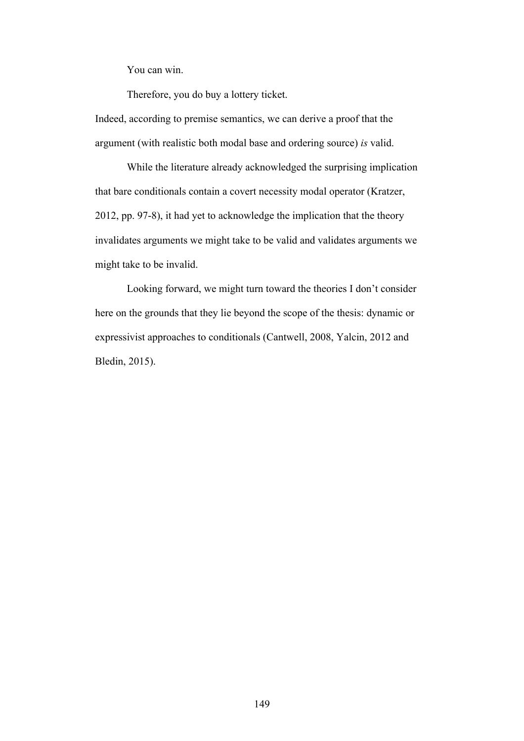You can win.

Therefore, you do buy a lottery ticket.

Indeed, according to premise semantics, we can derive a proof that the argument (with realistic both modal base and ordering source) *is* valid.

While the literature already acknowledged the surprising implication that bare conditionals contain a covert necessity modal operator (Kratzer, 2012, pp. 97-8), it had yet to acknowledge the implication that the theory invalidates arguments we might take to be valid and validates arguments we might take to be invalid.

Looking forward, we might turn toward the theories I don't consider here on the grounds that they lie beyond the scope of the thesis: dynamic or expressivist approaches to conditionals (Cantwell, 2008, Yalcin, 2012 and Bledin, 2015).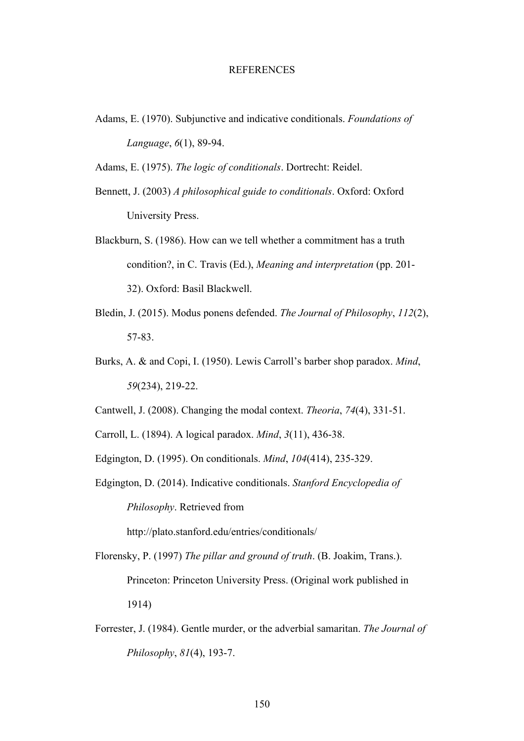### **REFERENCES**

Adams, E. (1970). Subjunctive and indicative conditionals. *Foundations of Language*, *6*(1), 89-94.

Adams, E. (1975). *The logic of conditionals*. Dortrecht: Reidel.

- Bennett, J. (2003) *A philosophical guide to conditionals*. Oxford: Oxford University Press.
- Blackburn, S. (1986). How can we tell whether a commitment has a truth condition?, in C. Travis (Ed.), *Meaning and interpretation* (pp. 201- 32). Oxford: Basil Blackwell.
- Bledin, J. (2015). Modus ponens defended. *The Journal of Philosophy*, *112*(2), 57-83.
- Burks, A. & and Copi, I. (1950). Lewis Carroll's barber shop paradox. *Mind*, *59*(234), 219-22.
- Cantwell, J. (2008). Changing the modal context. *Theoria*, *74*(4), 331-51.
- Carroll, L. (1894). A logical paradox. *Mind*, *3*(11), 436-38.
- Edgington, D. (1995). On conditionals. *Mind*, *104*(414), 235-329.
- Edgington, D. (2014). Indicative conditionals. *Stanford Encyclopedia of Philosophy*. Retrieved from

http://plato.stanford.edu/entries/conditionals/

- Florensky, P. (1997) *The pillar and ground of truth*. (B. Joakim, Trans.). Princeton: Princeton University Press. (Original work published in 1914)
- Forrester, J. (1984). Gentle murder, or the adverbial samaritan. *The Journal of Philosophy*, *81*(4), 193-7.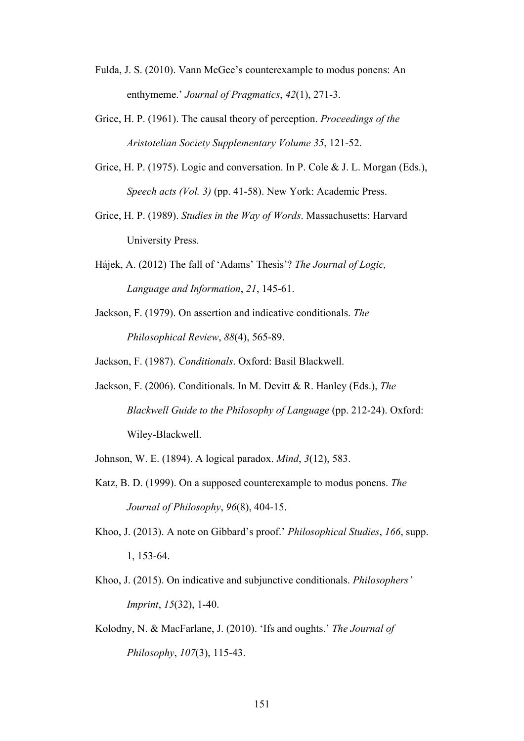- Fulda, J. S. (2010). Vann McGee's counterexample to modus ponens: An enthymeme.' *Journal of Pragmatics*, *42*(1), 271-3.
- Grice, H. P. (1961). The causal theory of perception. *Proceedings of the Aristotelian Society Supplementary Volume 35*, 121-52.
- Grice, H. P. (1975). Logic and conversation. In P. Cole & J. L. Morgan (Eds.), *Speech acts (Vol. 3)* (pp. 41-58). New York: Academic Press.
- Grice, H. P. (1989). *Studies in the Way of Words*. Massachusetts: Harvard University Press.
- Hájek, A. (2012) The fall of 'Adams' Thesis'? *The Journal of Logic, Language and Information*, *21*, 145-61.
- Jackson, F. (1979). On assertion and indicative conditionals. *The Philosophical Review*, *88*(4), 565-89.

Jackson, F. (1987). *Conditionals*. Oxford: Basil Blackwell.

- Jackson, F. (2006). Conditionals. In M. Devitt & R. Hanley (Eds.), *The Blackwell Guide to the Philosophy of Language* (pp. 212-24). Oxford: Wiley-Blackwell.
- Johnson, W. E. (1894). A logical paradox. *Mind*, *3*(12), 583.
- Katz, B. D. (1999). On a supposed counterexample to modus ponens. *The Journal of Philosophy*, *96*(8), 404-15.
- Khoo, J. (2013). A note on Gibbard's proof.' *Philosophical Studies*, *166*, supp. 1, 153-64.
- Khoo, J. (2015). On indicative and subjunctive conditionals. *Philosophers' Imprint*, *15*(32), 1-40.
- Kolodny, N. & MacFarlane, J. (2010). 'Ifs and oughts.' *The Journal of Philosophy*, *107*(3), 115-43.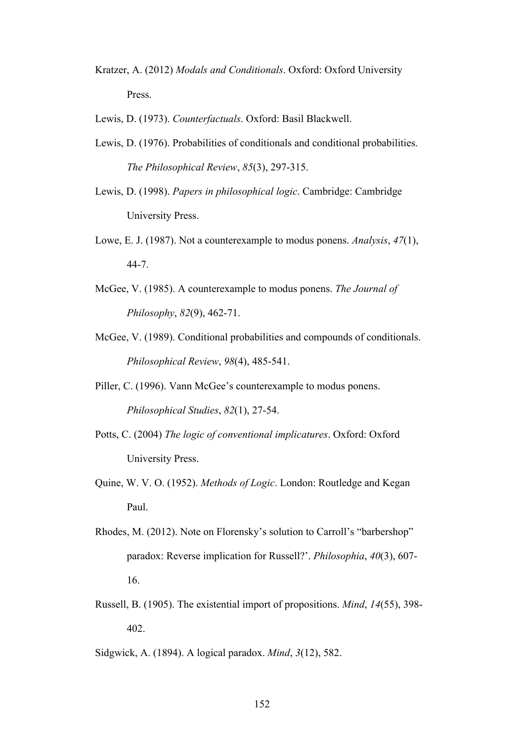- Kratzer, A. (2012) *Modals and Conditionals*. Oxford: Oxford University Press.
- Lewis, D. (1973). *Counterfactuals*. Oxford: Basil Blackwell.
- Lewis, D. (1976). Probabilities of conditionals and conditional probabilities. *The Philosophical Review*, *85*(3), 297-315.
- Lewis, D. (1998). *Papers in philosophical logic*. Cambridge: Cambridge University Press.
- Lowe, E. J. (1987). Not a counterexample to modus ponens. *Analysis*, *47*(1), 44-7.
- McGee, V. (1985). A counterexample to modus ponens. *The Journal of Philosophy*, *82*(9), 462-71.
- McGee, V. (1989). Conditional probabilities and compounds of conditionals. *Philosophical Review*, *98*(4), 485-541.
- Piller, C. (1996). Vann McGee's counterexample to modus ponens. *Philosophical Studies*, *82*(1), 27-54.
- Potts, C. (2004) *The logic of conventional implicatures*. Oxford: Oxford University Press.
- Quine, W. V. O. (1952). *Methods of Logic*. London: Routledge and Kegan Paul.
- Rhodes, M. (2012). Note on Florensky's solution to Carroll's "barbershop" paradox: Reverse implication for Russell?'. *Philosophia*, *40*(3), 607- 16.
- Russell, B. (1905). The existential import of propositions. *Mind*, *14*(55), 398- 402.
- Sidgwick, A. (1894). A logical paradox. *Mind*, *3*(12), 582.